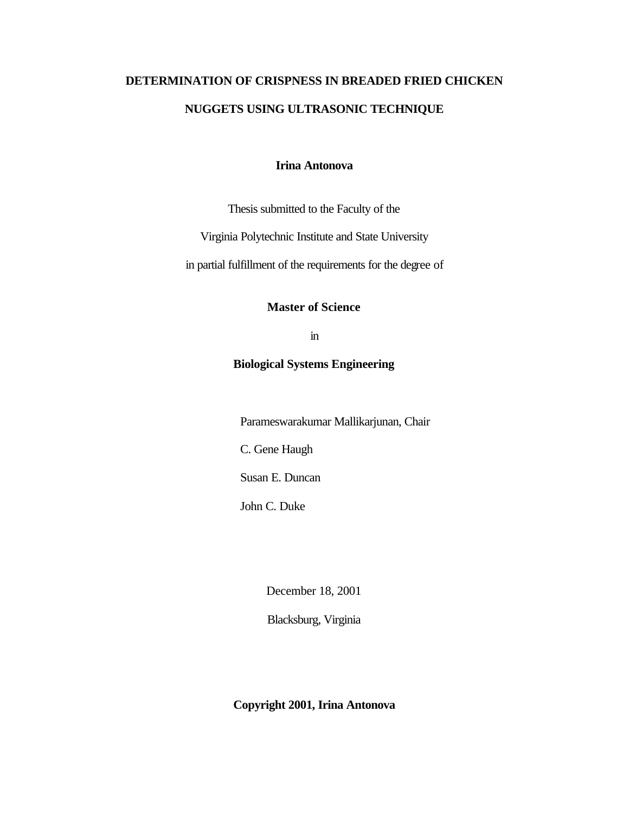# **DETERMINATION OF CRISPNESS IN BREADED FRIED CHICKEN NUGGETS USING ULTRASONIC TECHNIQUE**

# **Irina Antonova**

Thesis submitted to the Faculty of the

Virginia Polytechnic Institute and State University

in partial fulfillment of the requirements for the degree of

**Master of Science**

in

# **Biological Systems Engineering**

Parameswarakumar Mallikarjunan, Chair

C. Gene Haugh

Susan E. Duncan

John C. Duke

December 18, 2001

Blacksburg, Virginia

**Copyright 2001, Irina Antonova**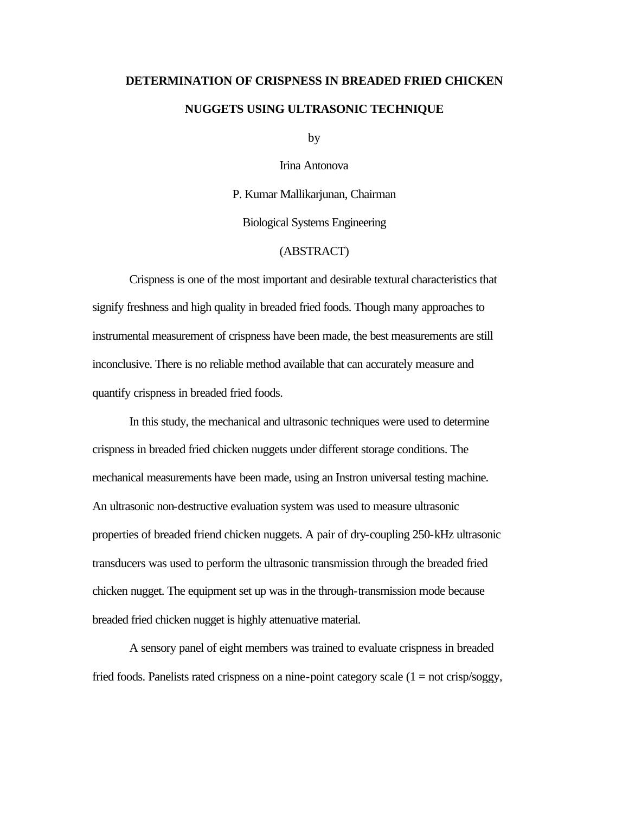# **DETERMINATION OF CRISPNESS IN BREADED FRIED CHICKEN NUGGETS USING ULTRASONIC TECHNIQUE**

by

Irina Antonova

P. Kumar Mallikarjunan, Chairman

Biological Systems Engineering

# (ABSTRACT)

Crispness is one of the most important and desirable textural characteristics that signify freshness and high quality in breaded fried foods. Though many approaches to instrumental measurement of crispness have been made, the best measurements are still inconclusive. There is no reliable method available that can accurately measure and quantify crispness in breaded fried foods.

In this study, the mechanical and ultrasonic techniques were used to determine crispness in breaded fried chicken nuggets under different storage conditions. The mechanical measurements have been made, using an Instron universal testing machine. An ultrasonic non-destructive evaluation system was used to measure ultrasonic properties of breaded friend chicken nuggets. A pair of dry-coupling 250-kHz ultrasonic transducers was used to perform the ultrasonic transmission through the breaded fried chicken nugget. The equipment set up was in the through-transmission mode because breaded fried chicken nugget is highly attenuative material.

A sensory panel of eight members was trained to evaluate crispness in breaded fried foods. Panelists rated crispness on a nine-point category scale  $(1 = not crisp/sogy,$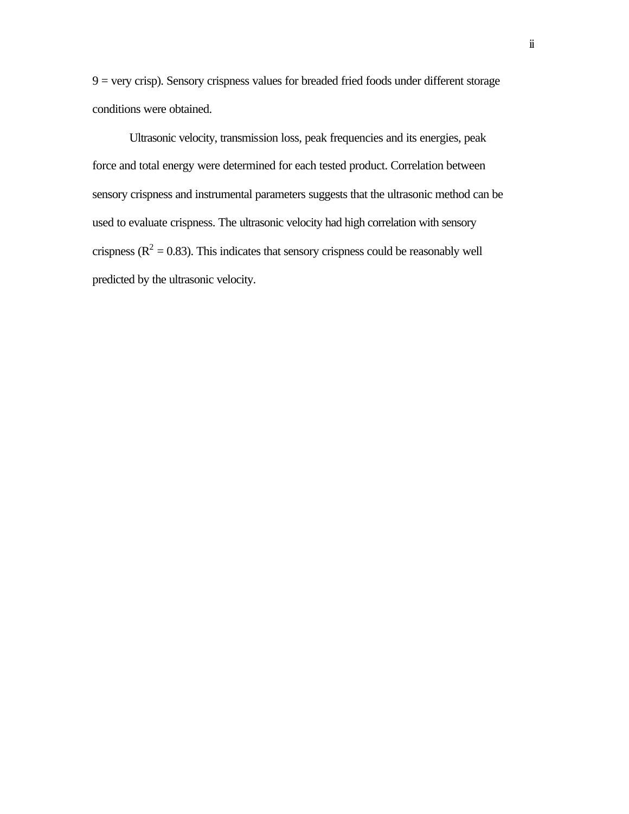$9 = \text{very crisp}$ ). Sensory crispness values for breaded fried foods under different storage conditions were obtained.

Ultrasonic velocity, transmission loss, peak frequencies and its energies, peak force and total energy were determined for each tested product. Correlation between sensory crispness and instrumental parameters suggests that the ultrasonic method can be used to evaluate crispness. The ultrasonic velocity had high correlation with sensory crispness ( $R^2 = 0.83$ ). This indicates that sensory crispness could be reasonably well predicted by the ultrasonic velocity.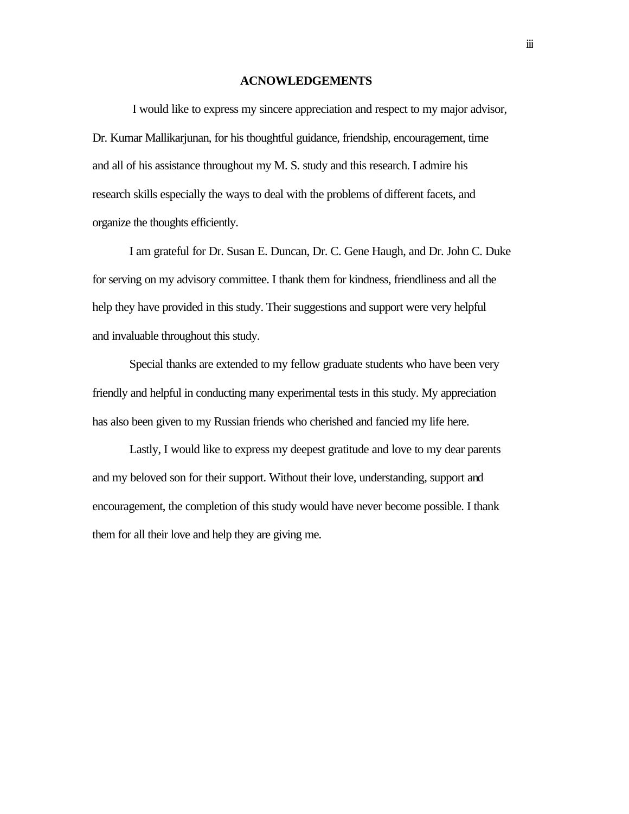#### **ACNOWLEDGEMENTS**

 I would like to express my sincere appreciation and respect to my major advisor, Dr. Kumar Mallikarjunan, for his thoughtful guidance, friendship, encouragement, time and all of his assistance throughout my M. S. study and this research. I admire his research skills especially the ways to deal with the problems of different facets, and organize the thoughts efficiently.

I am grateful for Dr. Susan E. Duncan, Dr. C. Gene Haugh, and Dr. John C. Duke for serving on my advisory committee. I thank them for kindness, friendliness and all the help they have provided in this study. Their suggestions and support were very helpful and invaluable throughout this study.

Special thanks are extended to my fellow graduate students who have been very friendly and helpful in conducting many experimental tests in this study. My appreciation has also been given to my Russian friends who cherished and fancied my life here.

Lastly, I would like to express my deepest gratitude and love to my dear parents and my beloved son for their support. Without their love, understanding, support and encouragement, the completion of this study would have never become possible. I thank them for all their love and help they are giving me.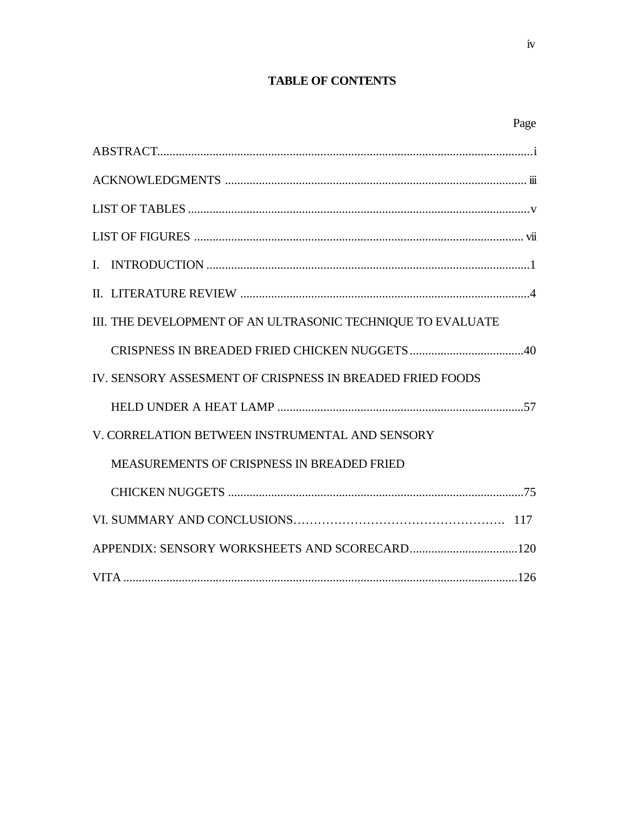# **TABLE OF CONTENTS**

| I |
|---|
|---|

| III. THE DEVELOPMENT OF AN ULTRASONIC TECHNIQUE TO EVALUATE |
|-------------------------------------------------------------|
|                                                             |
| IV. SENSORY ASSESMENT OF CRISPNESS IN BREADED FRIED FOODS   |
|                                                             |
| V. CORRELATION BETWEEN INSTRUMENTAL AND SENSORY             |
| <b>MEASUREMENTS OF CRISPNESS IN BREADED FRIED</b>           |
|                                                             |
|                                                             |
|                                                             |
|                                                             |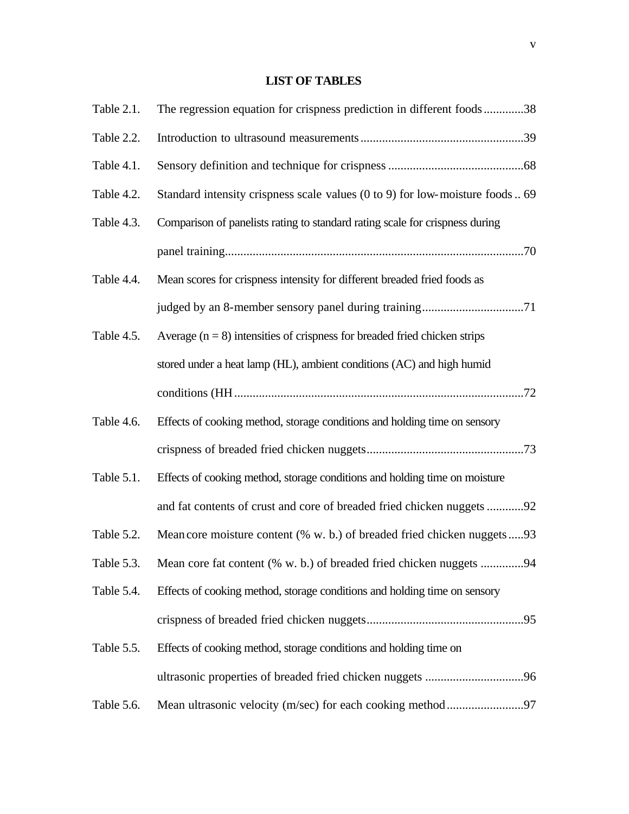# **LIST OF TABLES**

| Table 2.1. | The regression equation for crispness prediction in different foods38          |
|------------|--------------------------------------------------------------------------------|
| Table 2.2. |                                                                                |
| Table 4.1. |                                                                                |
| Table 4.2. | Standard intensity crispness scale values (0 to 9) for low-moisture foods 69   |
| Table 4.3. | Comparison of panelists rating to standard rating scale for crispness during   |
|            |                                                                                |
| Table 4.4. | Mean scores for crispness intensity for different breaded fried foods as       |
|            |                                                                                |
| Table 4.5. | Average $(n = 8)$ intensities of crispness for breaded fried chicken strips    |
|            | stored under a heat lamp (HL), ambient conditions (AC) and high humid          |
|            |                                                                                |
| Table 4.6. | Effects of cooking method, storage conditions and holding time on sensory      |
|            |                                                                                |
| Table 5.1. | Effects of cooking method, storage conditions and holding time on moisture     |
|            | and fat contents of crust and core of breaded fried chicken nuggets 92         |
| Table 5.2. | Mean core moisture content (% w. b.) of breaded fried chicken nuggets93        |
|            | Table 5.3. Mean core fat content (% w. b.) of breaded fried chicken nuggets 94 |
| Table 5.4. | Effects of cooking method, storage conditions and holding time on sensory      |
|            |                                                                                |
| Table 5.5. | Effects of cooking method, storage conditions and holding time on              |
|            |                                                                                |
| Table 5.6. |                                                                                |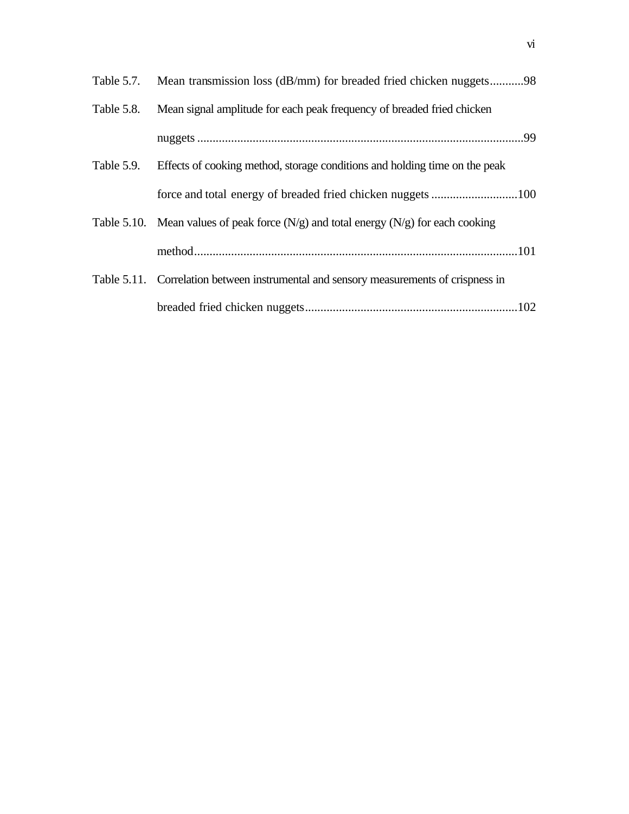| Table 5.7. | Mean transmission loss (dB/mm) for breaded fried chicken nuggets98                      |  |
|------------|-----------------------------------------------------------------------------------------|--|
| Table 5.8. | Mean signal amplitude for each peak frequency of breaded fried chicken                  |  |
|            |                                                                                         |  |
| Table 5.9. | Effects of cooking method, storage conditions and holding time on the peak              |  |
|            |                                                                                         |  |
|            | Table 5.10. Mean values of peak force $(N/g)$ and total energy $(N/g)$ for each cooking |  |
|            |                                                                                         |  |
|            | Table 5.11. Correlation between instrumental and sensory measurements of crispness in   |  |
|            |                                                                                         |  |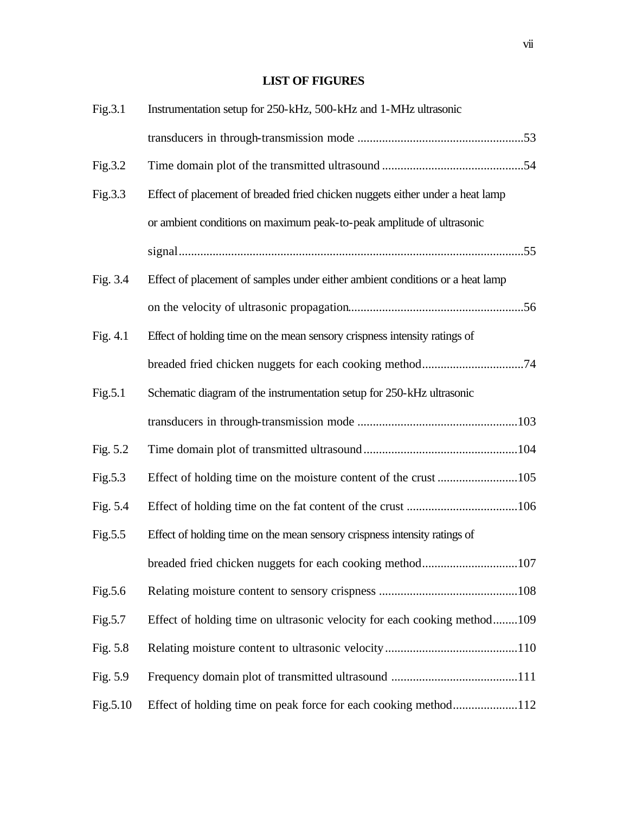# **LIST OF FIGURES**

| Fig.3.1    | Instrumentation setup for 250-kHz, 500-kHz and 1-MHz ultrasonic               |  |
|------------|-------------------------------------------------------------------------------|--|
|            |                                                                               |  |
| Fig.3.2    |                                                                               |  |
| Fig.3.3    | Effect of placement of breaded fried chicken nuggets either under a heat lamp |  |
|            | or ambient conditions on maximum peak-to-peak amplitude of ultrasonic         |  |
|            |                                                                               |  |
| Fig. 3.4   | Effect of placement of samples under either ambient conditions or a heat lamp |  |
|            |                                                                               |  |
| Fig. $4.1$ | Effect of holding time on the mean sensory crispness intensity ratings of     |  |
|            |                                                                               |  |
| Fig.5.1    | Schematic diagram of the instrumentation setup for 250-kHz ultrasonic         |  |
|            |                                                                               |  |
| Fig. 5.2   |                                                                               |  |
| Fig.5.3    |                                                                               |  |
| Fig. 5.4   |                                                                               |  |
| Fig.5.5    | Effect of holding time on the mean sensory crispness intensity ratings of     |  |
|            | breaded fried chicken nuggets for each cooking method107                      |  |
| Fig.5.6    |                                                                               |  |
| Fig.5.7    | Effect of holding time on ultrasonic velocity for each cooking method109      |  |
| Fig. 5.8   |                                                                               |  |
| Fig. 5.9   |                                                                               |  |
| Fig.5.10   | Effect of holding time on peak force for each cooking method112               |  |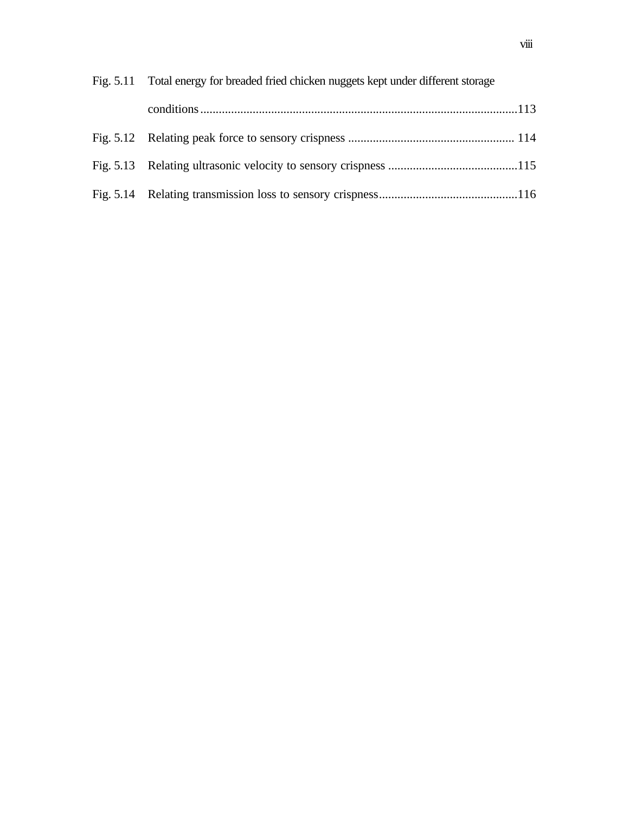| Fig. 5.11 Total energy for breaded fried chicken nuggets kept under different storage |  |
|---------------------------------------------------------------------------------------|--|
|                                                                                       |  |
|                                                                                       |  |
|                                                                                       |  |
|                                                                                       |  |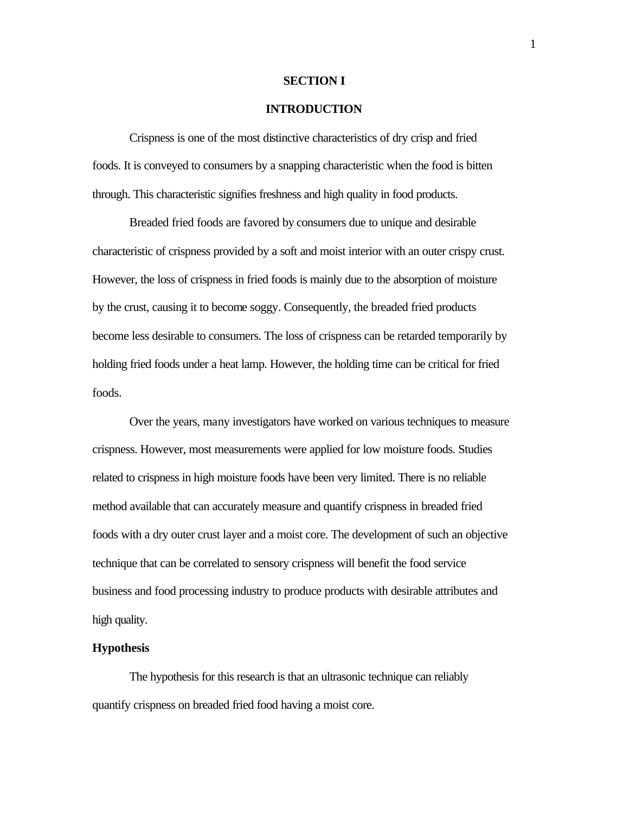#### **SECTION I**

### **INTRODUCTION**

Crispness is one of the most distinctive characteristics of dry crisp and fried foods. It is conveyed to consumers by a snapping characteristic when the food is bitten through. This characteristic signifies freshness and high quality in food products.

Breaded fried foods are favored by consumers due to unique and desirable characteristic of crispness provided by a soft and moist interior with an outer crispy crust. However, the loss of crispness in fried foods is mainly due to the absorption of moisture by the crust, causing it to become soggy. Consequently, the breaded fried products become less desirable to consumers. The loss of crispness can be retarded temporarily by holding fried foods under a heat lamp. However, the holding time can be critical for fried foods.

Over the years, many investigators have worked on various techniques to measure crispness. However, most measurements were applied for low moisture foods. Studies related to crispness in high moisture foods have been very limited. There is no reliable method available that can accurately measure and quantify crispness in breaded fried foods with a dry outer crust layer and a moist core. The development of such an objective technique that can be correlated to sensory crispness will benefit the food service business and food processing industry to produce products with desirable attributes and high quality.

#### **Hypothesis**

The hypothesis for this research is that an ultrasonic technique can reliably quantify crispness on breaded fried food having a moist core.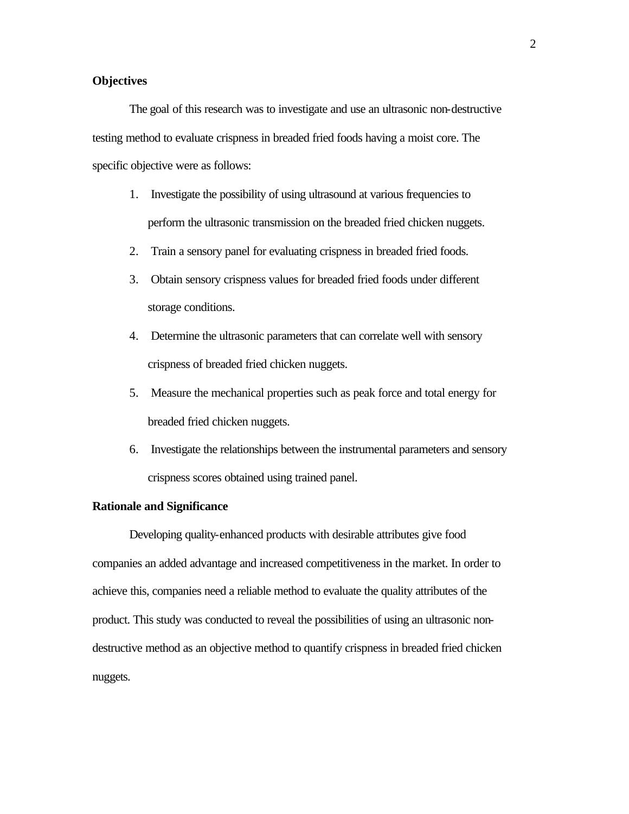# **Objectives**

The goal of this research was to investigate and use an ultrasonic non-destructive testing method to evaluate crispness in breaded fried foods having a moist core. The specific objective were as follows:

- 1. Investigate the possibility of using ultrasound at various frequencies to perform the ultrasonic transmission on the breaded fried chicken nuggets.
- 2. Train a sensory panel for evaluating crispness in breaded fried foods.
- 3. Obtain sensory crispness values for breaded fried foods under different storage conditions.
- 4. Determine the ultrasonic parameters that can correlate well with sensory crispness of breaded fried chicken nuggets.
- 5. Measure the mechanical properties such as peak force and total energy for breaded fried chicken nuggets.
- 6. Investigate the relationships between the instrumental parameters and sensory crispness scores obtained using trained panel.

# **Rationale and Significance**

Developing quality-enhanced products with desirable attributes give food companies an added advantage and increased competitiveness in the market. In order to achieve this, companies need a reliable method to evaluate the quality attributes of the product. This study was conducted to reveal the possibilities of using an ultrasonic nondestructive method as an objective method to quantify crispness in breaded fried chicken nuggets.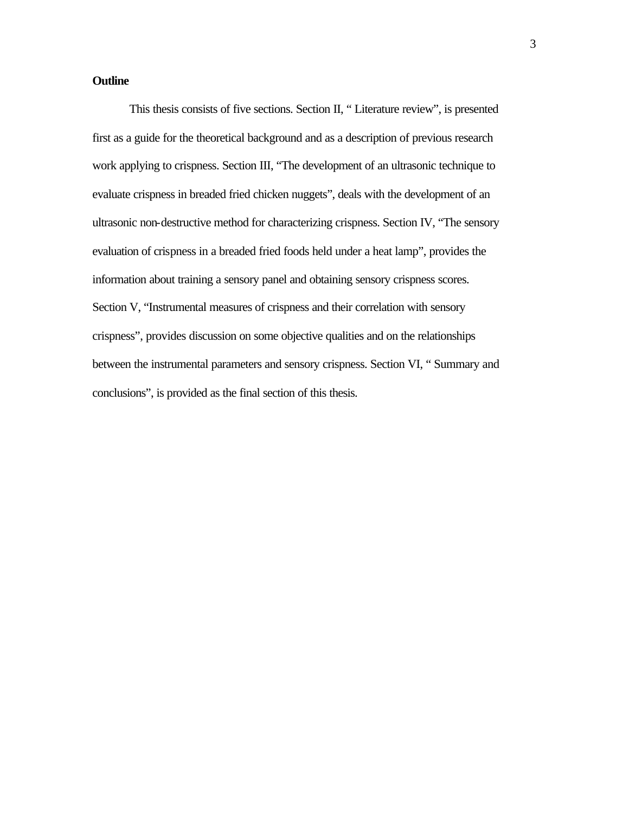# **Outline**

This thesis consists of five sections. Section II, " Literature review", is presented first as a guide for the theoretical background and as a description of previous research work applying to crispness. Section III, "The development of an ultrasonic technique to evaluate crispness in breaded fried chicken nuggets", deals with the development of an ultrasonic non-destructive method for characterizing crispness. Section IV, "The sensory evaluation of crispness in a breaded fried foods held under a heat lamp", provides the information about training a sensory panel and obtaining sensory crispness scores. Section V, "Instrumental measures of crispness and their correlation with sensory crispness", provides discussion on some objective qualities and on the relationships between the instrumental parameters and sensory crispness. Section VI, " Summary and conclusions", is provided as the final section of this thesis.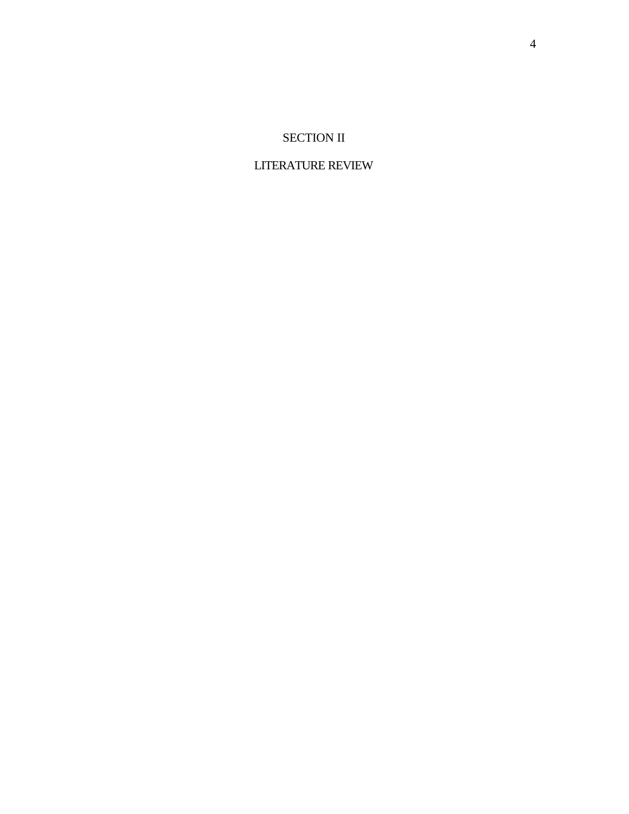# SECTION II

# LITERATURE REVIEW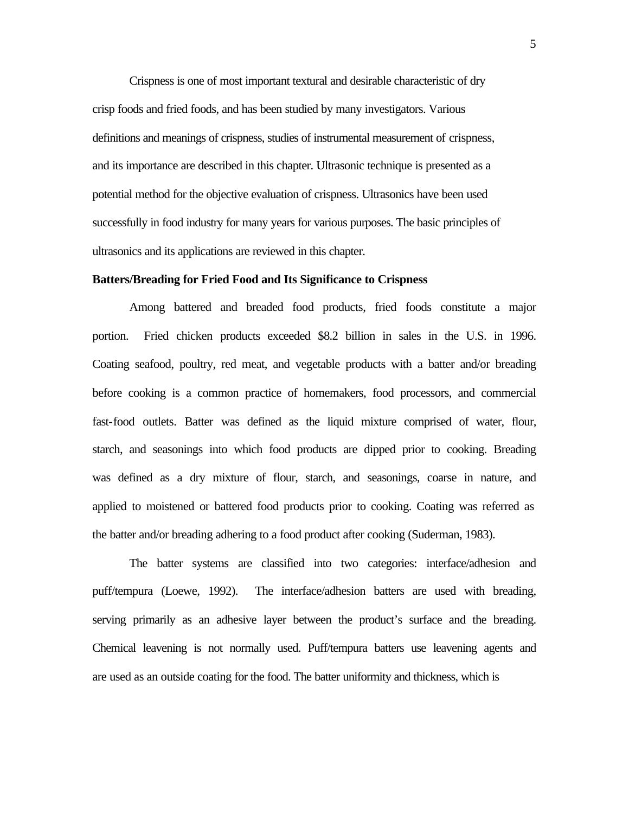Crispness is one of most important textural and desirable characteristic of dry crisp foods and fried foods, and has been studied by many investigators. Various definitions and meanings of crispness, studies of instrumental measurement of crispness, and its importance are described in this chapter. Ultrasonic technique is presented as a potential method for the objective evaluation of crispness. Ultrasonics have been used successfully in food industry for many years for various purposes. The basic principles of ultrasonics and its applications are reviewed in this chapter.

# **Batters/Breading for Fried Food and Its Significance to Crispness**

Among battered and breaded food products, fried foods constitute a major portion. Fried chicken products exceeded \$8.2 billion in sales in the U.S. in 1996. Coating seafood, poultry, red meat, and vegetable products with a batter and/or breading before cooking is a common practice of homemakers, food processors, and commercial fast-food outlets. Batter was defined as the liquid mixture comprised of water, flour, starch, and seasonings into which food products are dipped prior to cooking. Breading was defined as a dry mixture of flour, starch, and seasonings, coarse in nature, and applied to moistened or battered food products prior to cooking. Coating was referred as the batter and/or breading adhering to a food product after cooking (Suderman, 1983).

The batter systems are classified into two categories: interface/adhesion and puff/tempura (Loewe, 1992). The interface/adhesion batters are used with breading, serving primarily as an adhesive layer between the product's surface and the breading. Chemical leavening is not normally used. Puff/tempura batters use leavening agents and are used as an outside coating for the food. The batter uniformity and thickness, which is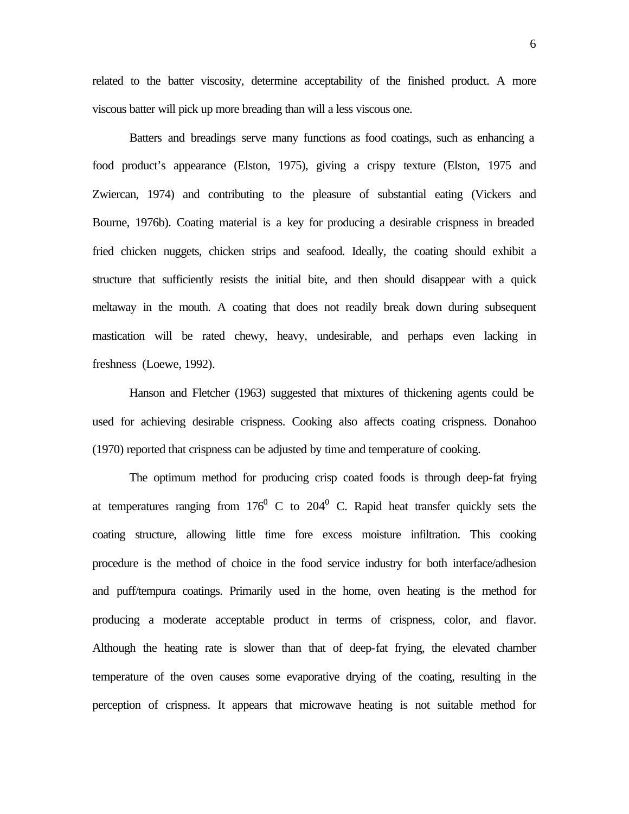related to the batter viscosity, determine acceptability of the finished product. A more viscous batter will pick up more breading than will a less viscous one.

Batters and breadings serve many functions as food coatings, such as enhancing a food product's appearance (Elston, 1975), giving a crispy texture (Elston, 1975 and Zwiercan, 1974) and contributing to the pleasure of substantial eating (Vickers and Bourne, 1976b). Coating material is a key for producing a desirable crispness in breaded fried chicken nuggets, chicken strips and seafood. Ideally, the coating should exhibit a structure that sufficiently resists the initial bite, and then should disappear with a quick meltaway in the mouth. A coating that does not readily break down during subsequent mastication will be rated chewy, heavy, undesirable, and perhaps even lacking in freshness (Loewe, 1992).

Hanson and Fletcher (1963) suggested that mixtures of thickening agents could be used for achieving desirable crispness. Cooking also affects coating crispness. Donahoo (1970) reported that crispness can be adjusted by time and temperature of cooking.

The optimum method for producing crisp coated foods is through deep-fat frying at temperatures ranging from  $176^{\circ}$  C to  $204^{\circ}$  C. Rapid heat transfer quickly sets the coating structure, allowing little time fore excess moisture infiltration. This cooking procedure is the method of choice in the food service industry for both interface/adhesion and puff/tempura coatings. Primarily used in the home, oven heating is the method for producing a moderate acceptable product in terms of crispness, color, and flavor. Although the heating rate is slower than that of deep-fat frying, the elevated chamber temperature of the oven causes some evaporative drying of the coating, resulting in the perception of crispness. It appears that microwave heating is not suitable method for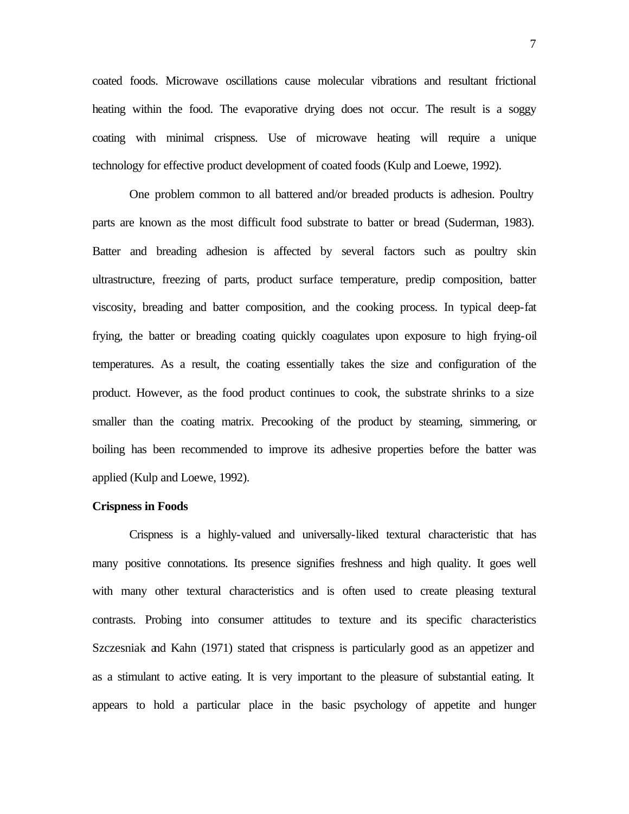coated foods. Microwave oscillations cause molecular vibrations and resultant frictional heating within the food. The evaporative drying does not occur. The result is a soggy coating with minimal crispness. Use of microwave heating will require a unique technology for effective product development of coated foods (Kulp and Loewe, 1992).

One problem common to all battered and/or breaded products is adhesion. Poultry parts are known as the most difficult food substrate to batter or bread (Suderman, 1983). Batter and breading adhesion is affected by several factors such as poultry skin ultrastructure, freezing of parts, product surface temperature, predip composition, batter viscosity, breading and batter composition, and the cooking process. In typical deep-fat frying, the batter or breading coating quickly coagulates upon exposure to high frying-oil temperatures. As a result, the coating essentially takes the size and configuration of the product. However, as the food product continues to cook, the substrate shrinks to a size smaller than the coating matrix. Precooking of the product by steaming, simmering, or boiling has been recommended to improve its adhesive properties before the batter was applied (Kulp and Loewe, 1992).

# **Crispness in Foods**

Crispness is a highly-valued and universally-liked textural characteristic that has many positive connotations. Its presence signifies freshness and high quality. It goes well with many other textural characteristics and is often used to create pleasing textural contrasts. Probing into consumer attitudes to texture and its specific characteristics Szczesniak and Kahn (1971) stated that crispness is particularly good as an appetizer and as a stimulant to active eating. It is very important to the pleasure of substantial eating. It appears to hold a particular place in the basic psychology of appetite and hunger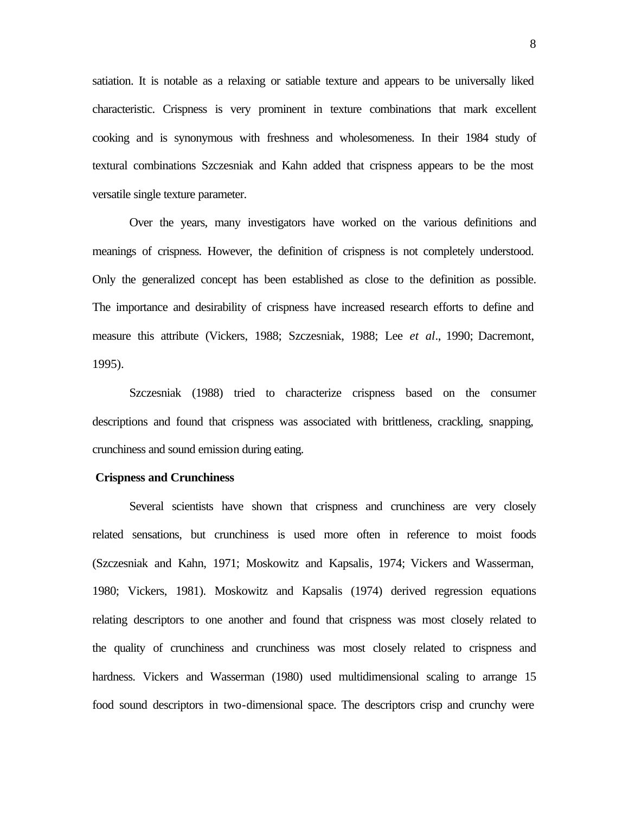satiation. It is notable as a relaxing or satiable texture and appears to be universally liked characteristic. Crispness is very prominent in texture combinations that mark excellent cooking and is synonymous with freshness and wholesomeness. In their 1984 study of textural combinations Szczesniak and Kahn added that crispness appears to be the most versatile single texture parameter.

Over the years, many investigators have worked on the various definitions and meanings of crispness. However, the definition of crispness is not completely understood. Only the generalized concept has been established as close to the definition as possible. The importance and desirability of crispness have increased research efforts to define and measure this attribute (Vickers, 1988; Szczesniak, 1988; Lee *et al*., 1990; Dacremont, 1995).

Szczesniak (1988) tried to characterize crispness based on the consumer descriptions and found that crispness was associated with brittleness, crackling, snapping, crunchiness and sound emission during eating.

#### **Crispness and Crunchiness**

Several scientists have shown that crispness and crunchiness are very closely related sensations, but crunchiness is used more often in reference to moist foods (Szczesniak and Kahn, 1971; Moskowitz and Kapsalis, 1974; Vickers and Wasserman, 1980; Vickers, 1981). Moskowitz and Kapsalis (1974) derived regression equations relating descriptors to one another and found that crispness was most closely related to the quality of crunchiness and crunchiness was most closely related to crispness and hardness. Vickers and Wasserman (1980) used multidimensional scaling to arrange 15 food sound descriptors in two-dimensional space. The descriptors crisp and crunchy were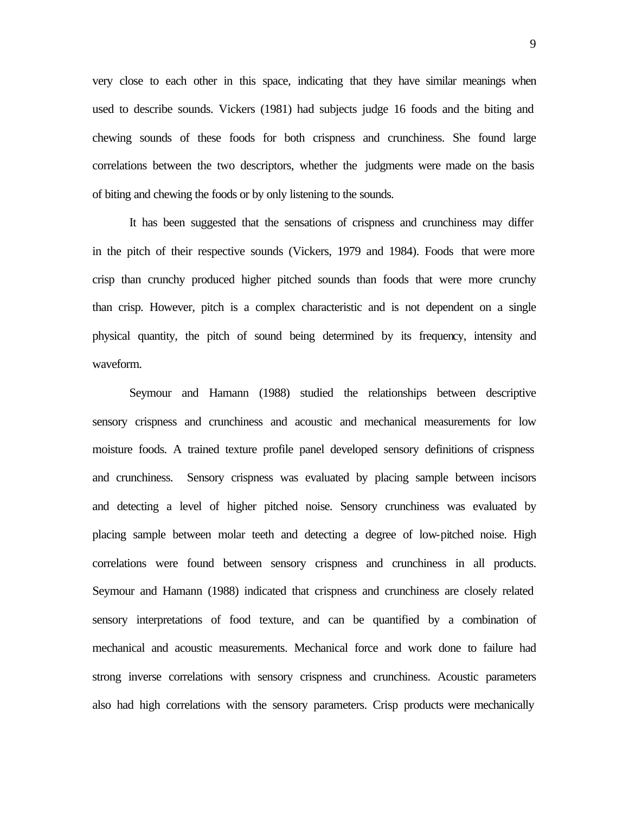very close to each other in this space, indicating that they have similar meanings when used to describe sounds. Vickers (1981) had subjects judge 16 foods and the biting and chewing sounds of these foods for both crispness and crunchiness. She found large correlations between the two descriptors, whether the judgments were made on the basis of biting and chewing the foods or by only listening to the sounds.

It has been suggested that the sensations of crispness and crunchiness may differ in the pitch of their respective sounds (Vickers, 1979 and 1984). Foods that were more crisp than crunchy produced higher pitched sounds than foods that were more crunchy than crisp. However, pitch is a complex characteristic and is not dependent on a single physical quantity, the pitch of sound being determined by its frequency, intensity and waveform.

Seymour and Hamann (1988) studied the relationships between descriptive sensory crispness and crunchiness and acoustic and mechanical measurements for low moisture foods. A trained texture profile panel developed sensory definitions of crispness and crunchiness. Sensory crispness was evaluated by placing sample between incisors and detecting a level of higher pitched noise. Sensory crunchiness was evaluated by placing sample between molar teeth and detecting a degree of low-pitched noise. High correlations were found between sensory crispness and crunchiness in all products. Seymour and Hamann (1988) indicated that crispness and crunchiness are closely related sensory interpretations of food texture, and can be quantified by a combination of mechanical and acoustic measurements. Mechanical force and work done to failure had strong inverse correlations with sensory crispness and crunchiness. Acoustic parameters also had high correlations with the sensory parameters. Crisp products were mechanically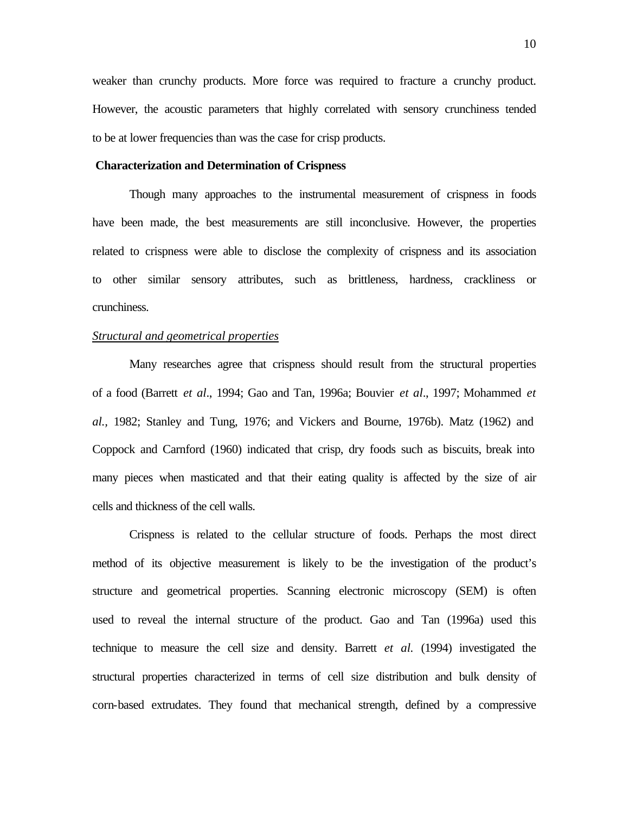weaker than crunchy products. More force was required to fracture a crunchy product. However, the acoustic parameters that highly correlated with sensory crunchiness tended to be at lower frequencies than was the case for crisp products.

#### **Characterization and Determination of Crispness**

Though many approaches to the instrumental measurement of crispness in foods have been made, the best measurements are still inconclusive. However, the properties related to crispness were able to disclose the complexity of crispness and its association to other similar sensory attributes, such as brittleness, hardness, crackliness or crunchiness.

### *Structural and geometrical properties*

Many researches agree that crispness should result from the structural properties of a food (Barrett *et al*., 1994; Gao and Tan, 1996a; Bouvier *et al*., 1997; Mohammed *et al.,* 1982; Stanley and Tung, 1976; and Vickers and Bourne, 1976b). Matz (1962) and Coppock and Carnford (1960) indicated that crisp, dry foods such as biscuits, break into many pieces when masticated and that their eating quality is affected by the size of air cells and thickness of the cell walls.

Crispness is related to the cellular structure of foods. Perhaps the most direct method of its objective measurement is likely to be the investigation of the product's structure and geometrical properties. Scanning electronic microscopy (SEM) is often used to reveal the internal structure of the product. Gao and Tan (1996a) used this technique to measure the cell size and density. Barrett *et al.* (1994) investigated the structural properties characterized in terms of cell size distribution and bulk density of corn-based extrudates. They found that mechanical strength, defined by a compressive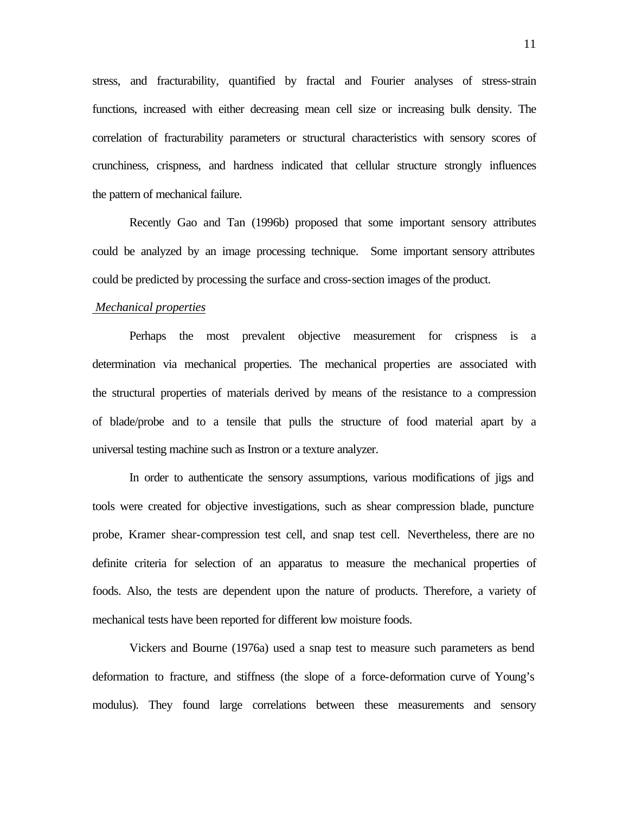stress, and fracturability, quantified by fractal and Fourier analyses of stress-strain functions, increased with either decreasing mean cell size or increasing bulk density. The correlation of fracturability parameters or structural characteristics with sensory scores of crunchiness, crispness, and hardness indicated that cellular structure strongly influences the pattern of mechanical failure.

Recently Gao and Tan (1996b) proposed that some important sensory attributes could be analyzed by an image processing technique. Some important sensory attributes could be predicted by processing the surface and cross-section images of the product.

#### *Mechanical properties*

Perhaps the most prevalent objective measurement for crispness is a determination via mechanical properties. The mechanical properties are associated with the structural properties of materials derived by means of the resistance to a compression of blade/probe and to a tensile that pulls the structure of food material apart by a universal testing machine such as Instron or a texture analyzer.

In order to authenticate the sensory assumptions, various modifications of jigs and tools were created for objective investigations, such as shear compression blade, puncture probe, Kramer shear-compression test cell, and snap test cell. Nevertheless, there are no definite criteria for selection of an apparatus to measure the mechanical properties of foods. Also, the tests are dependent upon the nature of products. Therefore, a variety of mechanical tests have been reported for different low moisture foods.

Vickers and Bourne (1976a) used a snap test to measure such parameters as bend deformation to fracture, and stiffness (the slope of a force-deformation curve of Young's modulus). They found large correlations between these measurements and sensory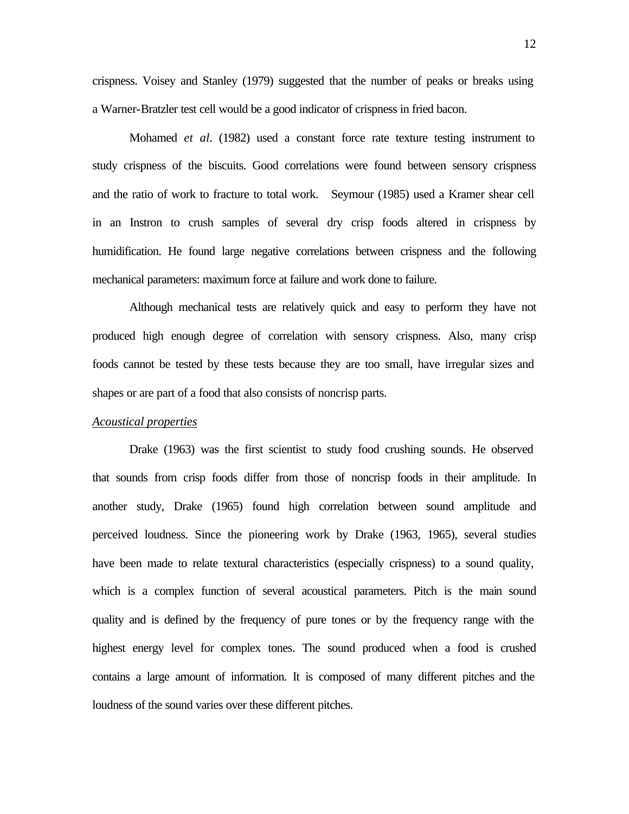crispness. Voisey and Stanley (1979) suggested that the number of peaks or breaks using a Warner-Bratzler test cell would be a good indicator of crispness in fried bacon.

Mohamed *et al*. (1982) used a constant force rate texture testing instrument to study crispness of the biscuits. Good correlations were found between sensory crispness and the ratio of work to fracture to total work. Seymour (1985) used a Kramer shear cell in an Instron to crush samples of several dry crisp foods altered in crispness by humidification. He found large negative correlations between crispness and the following mechanical parameters: maximum force at failure and work done to failure.

Although mechanical tests are relatively quick and easy to perform they have not produced high enough degree of correlation with sensory crispness. Also, many crisp foods cannot be tested by these tests because they are too small, have irregular sizes and shapes or are part of a food that also consists of noncrisp parts.

# *Acoustical properties*

Drake (1963) was the first scientist to study food crushing sounds. He observed that sounds from crisp foods differ from those of noncrisp foods in their amplitude. In another study, Drake (1965) found high correlation between sound amplitude and perceived loudness. Since the pioneering work by Drake (1963, 1965), several studies have been made to relate textural characteristics (especially crispness) to a sound quality, which is a complex function of several acoustical parameters. Pitch is the main sound quality and is defined by the frequency of pure tones or by the frequency range with the highest energy level for complex tones. The sound produced when a food is crushed contains a large amount of information. It is composed of many different pitches and the loudness of the sound varies over these different pitches.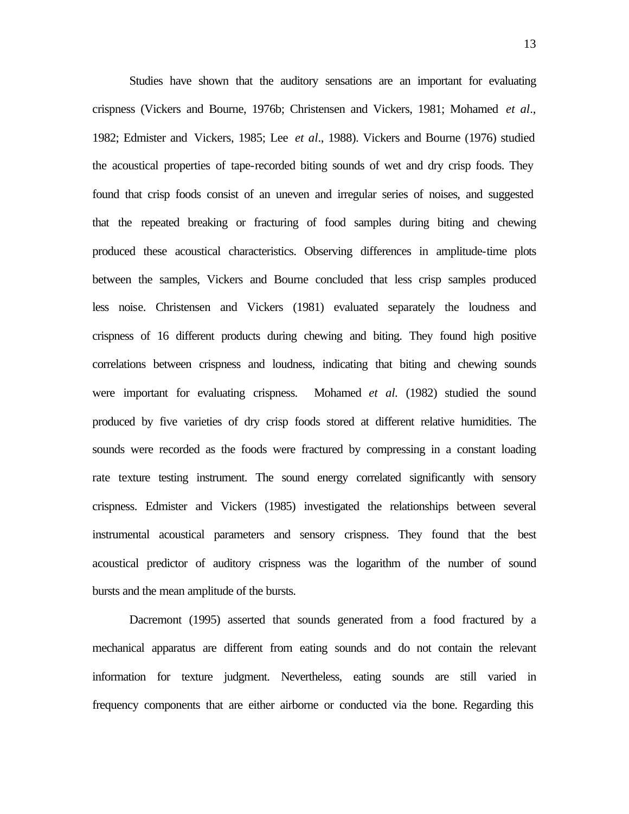Studies have shown that the auditory sensations are an important for evaluating crispness (Vickers and Bourne, 1976b; Christensen and Vickers, 1981; Mohamed *et al*., 1982; Edmister and Vickers, 1985; Lee *et al*., 1988). Vickers and Bourne (1976) studied the acoustical properties of tape-recorded biting sounds of wet and dry crisp foods. They found that crisp foods consist of an uneven and irregular series of noises, and suggested that the repeated breaking or fracturing of food samples during biting and chewing produced these acoustical characteristics. Observing differences in amplitude-time plots between the samples, Vickers and Bourne concluded that less crisp samples produced less noise. Christensen and Vickers (1981) evaluated separately the loudness and crispness of 16 different products during chewing and biting. They found high positive correlations between crispness and loudness, indicating that biting and chewing sounds were important for evaluating crispness. Mohamed *et al.* (1982) studied the sound produced by five varieties of dry crisp foods stored at different relative humidities. The sounds were recorded as the foods were fractured by compressing in a constant loading rate texture testing instrument. The sound energy correlated significantly with sensory crispness. Edmister and Vickers (1985) investigated the relationships between several instrumental acoustical parameters and sensory crispness. They found that the best acoustical predictor of auditory crispness was the logarithm of the number of sound bursts and the mean amplitude of the bursts.

Dacremont (1995) asserted that sounds generated from a food fractured by a mechanical apparatus are different from eating sounds and do not contain the relevant information for texture judgment. Nevertheless, eating sounds are still varied in frequency components that are either airborne or conducted via the bone. Regarding this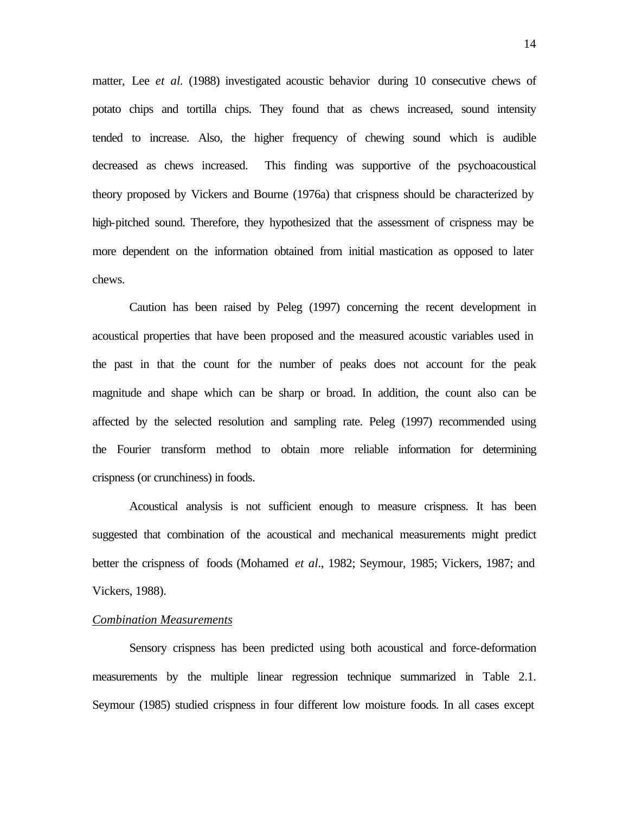matter, Lee *et al.* (1988) investigated acoustic behavior during 10 consecutive chews of potato chips and tortilla chips. They found that as chews increased, sound intensity tended to increase. Also, the higher frequency of chewing sound which is audible decreased as chews increased. This finding was supportive of the psychoacoustical theory proposed by Vickers and Bourne (1976a) that crispness should be characterized by high-pitched sound. Therefore, they hypothesized that the assessment of crispness may be more dependent on the information obtained from initial mastication as opposed to later chews.

Caution has been raised by Peleg (1997) concerning the recent development in acoustical properties that have been proposed and the measured acoustic variables used in the past in that the count for the number of peaks does not account for the peak magnitude and shape which can be sharp or broad. In addition, the count also can be affected by the selected resolution and sampling rate. Peleg (1997) recommended using the Fourier transform method to obtain more reliable information for determining crispness (or crunchiness) in foods.

Acoustical analysis is not sufficient enough to measure crispness. It has been suggested that combination of the acoustical and mechanical measurements might predict better the crispness of foods (Mohamed *et al*., 1982; Seymour, 1985; Vickers, 1987; and Vickers, 1988).

### *Combination Measurements*

Sensory crispness has been predicted using both acoustical and force-deformation measurements by the multiple linear regression technique summarized in Table 2.1. Seymour (1985) studied crispness in four different low moisture foods. In all cases except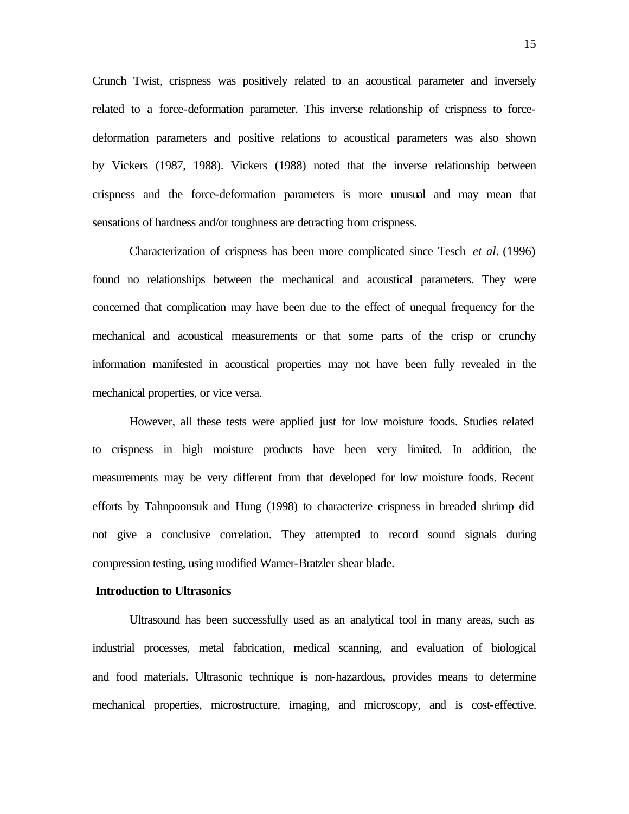Crunch Twist, crispness was positively related to an acoustical parameter and inversely related to a force-deformation parameter. This inverse relationship of crispness to forcedeformation parameters and positive relations to acoustical parameters was also shown by Vickers (1987, 1988). Vickers (1988) noted that the inverse relationship between crispness and the force-deformation parameters is more unusual and may mean that sensations of hardness and/or toughness are detracting from crispness.

Characterization of crispness has been more complicated since Tesch *et al*. (1996) found no relationships between the mechanical and acoustical parameters. They were concerned that complication may have been due to the effect of unequal frequency for the mechanical and acoustical measurements or that some parts of the crisp or crunchy information manifested in acoustical properties may not have been fully revealed in the mechanical properties, or vice versa.

However, all these tests were applied just for low moisture foods. Studies related to crispness in high moisture products have been very limited. In addition, the measurements may be very different from that developed for low moisture foods. Recent efforts by Tahnpoonsuk and Hung (1998) to characterize crispness in breaded shrimp did not give a conclusive correlation. They attempted to record sound signals during compression testing, using modified Warner-Bratzler shear blade.

#### **Introduction to Ultrasonics**

Ultrasound has been successfully used as an analytical tool in many areas, such as industrial processes, metal fabrication, medical scanning, and evaluation of biological and food materials. Ultrasonic technique is non-hazardous, provides means to determine mechanical properties, microstructure, imaging, and microscopy, and is cost-effective.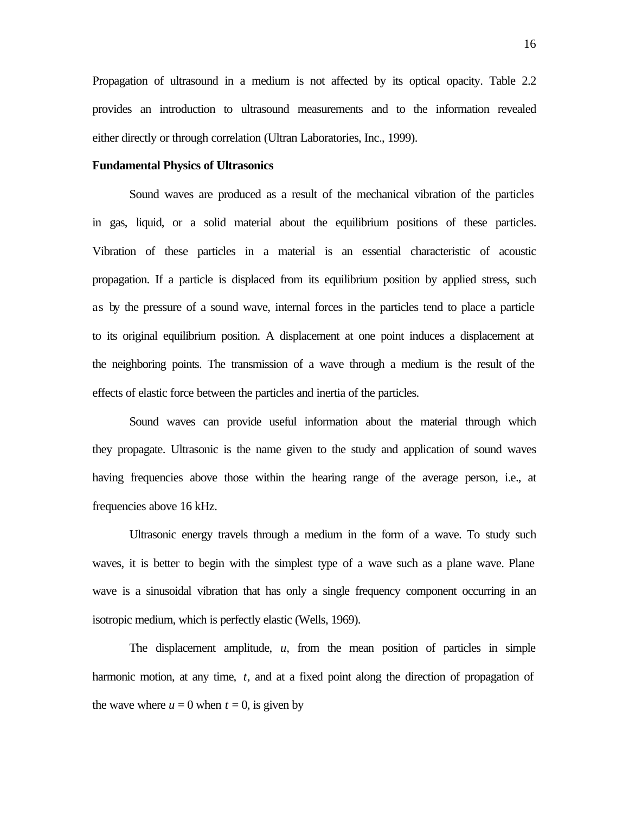Propagation of ultrasound in a medium is not affected by its optical opacity. Table 2.2 provides an introduction to ultrasound measurements and to the information revealed either directly or through correlation (Ultran Laboratories, Inc., 1999).

#### **Fundamental Physics of Ultrasonics**

Sound waves are produced as a result of the mechanical vibration of the particles in gas, liquid, or a solid material about the equilibrium positions of these particles. Vibration of these particles in a material is an essential characteristic of acoustic propagation. If a particle is displaced from its equilibrium position by applied stress, such as by the pressure of a sound wave, internal forces in the particles tend to place a particle to its original equilibrium position. A displacement at one point induces a displacement at the neighboring points. The transmission of a wave through a medium is the result of the effects of elastic force between the particles and inertia of the particles.

Sound waves can provide useful information about the material through which they propagate. Ultrasonic is the name given to the study and application of sound waves having frequencies above those within the hearing range of the average person, i.e., at frequencies above 16 kHz.

Ultrasonic energy travels through a medium in the form of a wave. To study such waves, it is better to begin with the simplest type of a wave such as a plane wave. Plane wave is a sinusoidal vibration that has only a single frequency component occurring in an isotropic medium, which is perfectly elastic (Wells, 1969).

The displacement amplitude, *u*, from the mean position of particles in simple harmonic motion, at any time, *t*, and at a fixed point along the direction of propagation of the wave where  $u = 0$  when  $t = 0$ , is given by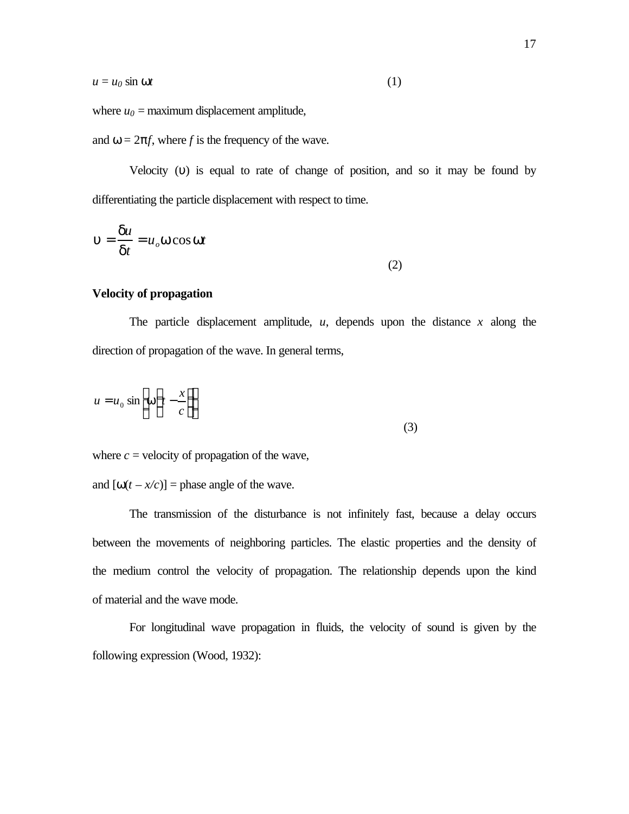$$
(1)
$$

where  $u_0$  = maximum displacement amplitude,

and  $\omega = 2\pi f$ , where *f* is the frequency of the wave.

Velocity (υ) is equal to rate of change of position, and so it may be found by differentiating the particle displacement with respect to time.

$$
\mathbf{u} = \frac{\mathbf{d}u}{\mathbf{d}t} = u_o \mathbf{w} \cos \mathbf{w}t
$$
 (2)

### **Velocity of propagation**

The particle displacement amplitude,  $u$ , depends upon the distance  $x$  along the direction of propagation of the wave. In general terms,

$$
u = u_0 \sin\left[\mathbf{w}\left(t - \frac{x}{c}\right)\right]
$$
\n(3)

where  $c$  = velocity of propagation of the wave,

and  $[\omega(t - x/c)]$  = phase angle of the wave.

The transmission of the disturbance is not infinitely fast, because a delay occurs between the movements of neighboring particles. The elastic properties and the density of the medium control the velocity of propagation. The relationship depends upon the kind of material and the wave mode.

For longitudinal wave propagation in fluids, the velocity of sound is given by the following expression (Wood, 1932):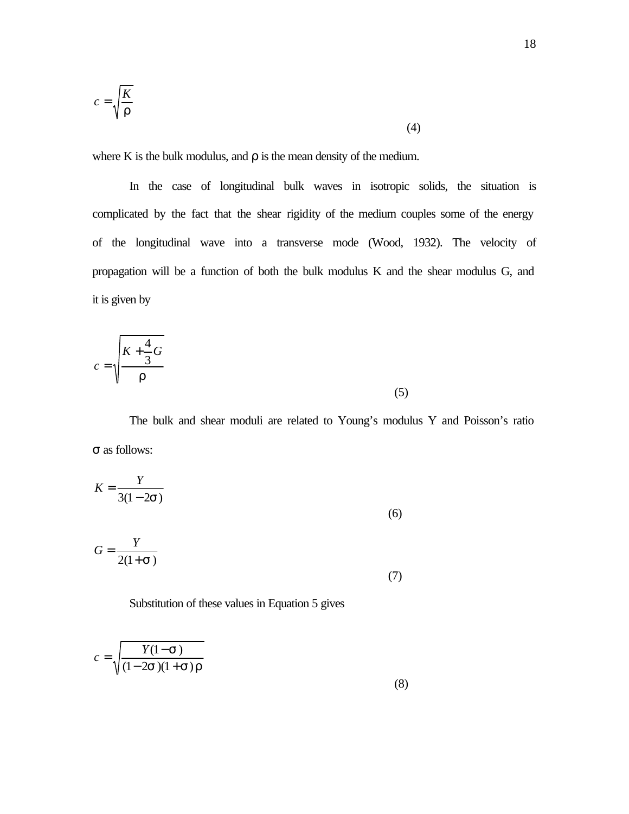$$
c = \sqrt{\frac{K}{r}}
$$
 (4)

where K is the bulk modulus, and  $\rho$  is the mean density of the medium.

In the case of longitudinal bulk waves in isotropic solids, the situation is complicated by the fact that the shear rigidity of the medium couples some of the energy of the longitudinal wave into a transverse mode (Wood, 1932). The velocity of propagation will be a function of both the bulk modulus K and the shear modulus G, and it is given by

$$
c = \sqrt{\frac{K + \frac{4}{3}G}{r}}
$$
 (5)

The bulk and shear moduli are related to Young's modulus Y and Poisson's ratio σ as follows:

$$
K = \frac{Y}{3(1 - 2\mathbf{S})}
$$
 (6)

$$
G = \frac{Y}{2(1+s)}
$$
\n(7)

Substitution of these values in Equation 5 gives

$$
c = \sqrt{\frac{Y(1-\mathbf{s})}{(1-2\mathbf{s})(1+\mathbf{s})\mathbf{r}}}
$$
\n(8)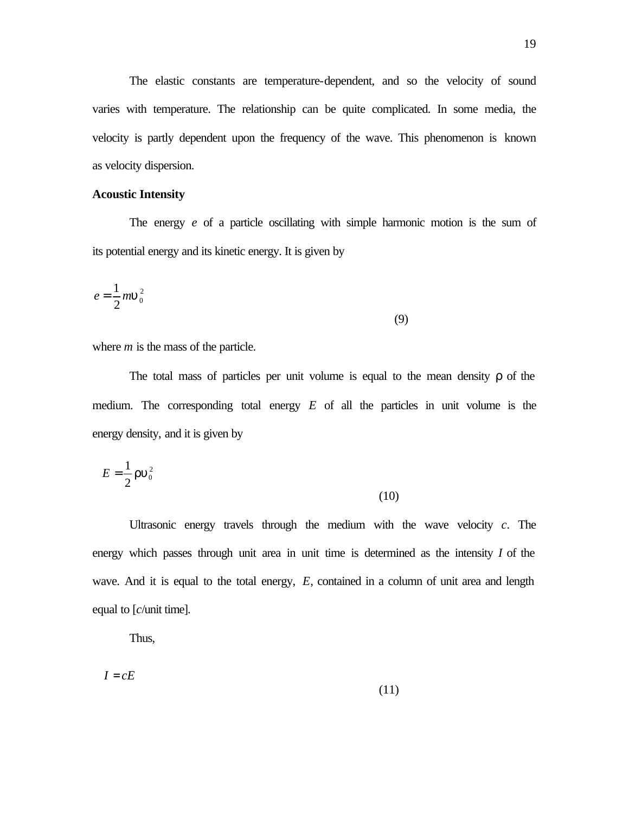The elastic constants are temperature-dependent, and so the velocity of sound varies with temperature. The relationship can be quite complicated. In some media, the velocity is partly dependent upon the frequency of the wave. This phenomenon is known as velocity dispersion.

### **Acoustic Intensity**

The energy *e* of a particle oscillating with simple harmonic motion is the sum of its potential energy and its kinetic energy. It is given by

$$
e = \frac{1}{2}m\mathbf{u}_0^2\tag{9}
$$

where *m* is the mass of the particle.

The total mass of particles per unit volume is equal to the mean density  $\rho$  of the medium. The corresponding total energy *E* of all the particles in unit volume is the energy density, and it is given by

$$
E = \frac{1}{2} \mathbf{r} \mathbf{u}_0^2 \tag{10}
$$

Ultrasonic energy travels through the medium with the wave velocity *c*. The energy which passes through unit area in unit time is determined as the intensity *I* of the wave. And it is equal to the total energy, E, contained in a column of unit area and length equal to [*c*/unit time].

Thus,

$$
I = cE \tag{11}
$$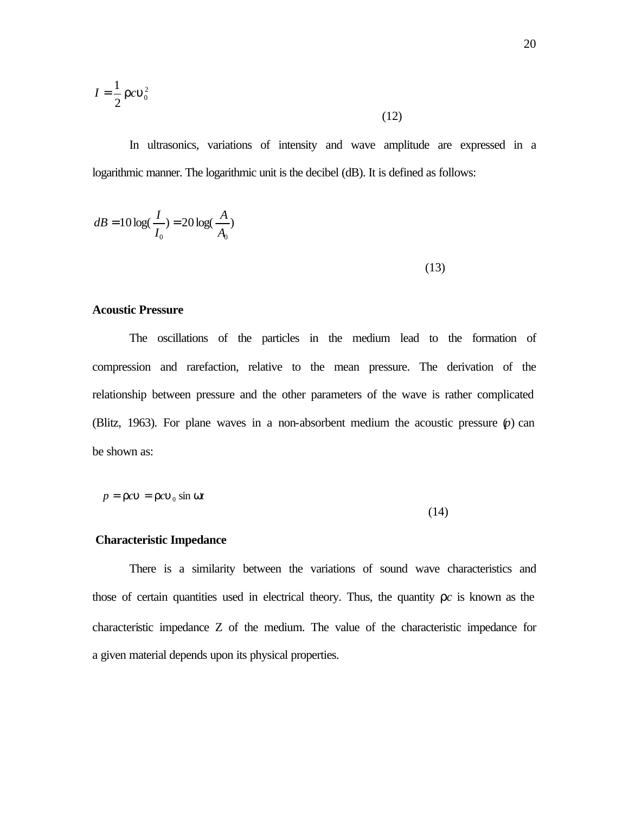$$
I = \frac{1}{2} r c \mathbf{u}_0^2
$$
 (12)

In ultrasonics, variations of intensity and wave amplitude are expressed in a logarithmic manner. The logarithmic unit is the decibel (dB). It is defined as follows:

$$
dB = 10 \log(\frac{I}{I_0}) = 20 \log(\frac{A}{A_0})
$$
\n(13)

#### **Acoustic Pressure**

The oscillations of the particles in the medium lead to the formation of compression and rarefaction, relative to the mean pressure. The derivation of the relationship between pressure and the other parameters of the wave is rather complicated (Blitz, 1963). For plane waves in a non-absorbent medium the acoustic pressure (*p*) can be shown as:

$$
p = rcu = rcu0 \sin wt
$$

(14)

### **Characteristic Impedance**

There is a similarity between the variations of sound wave characteristics and those of certain quantities used in electrical theory. Thus, the quantity  $\rho c$  is known as the characteristic impedance Z of the medium. The value of the characteristic impedance for a given material depends upon its physical properties.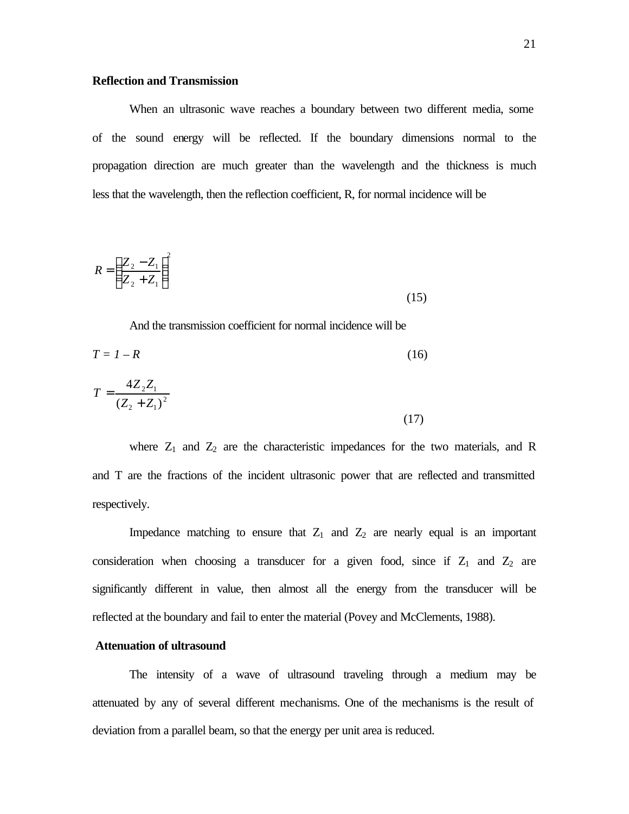When an ultrasonic wave reaches a boundary between two different media, some of the sound energy will be reflected. If the boundary dimensions normal to the propagation direction are much greater than the wavelength and the thickness is much less that the wavelength, then the reflection coefficient, R, for normal incidence will be

$$
R = \left(\frac{Z_2 - Z_1}{Z_2 + Z_1}\right)^2\tag{15}
$$

And the transmission coefficient for normal incidence will be

$$
T = I - R
$$
(16)  

$$
T = \frac{4Z_2 Z_1}{(Z_2 + Z_1)^2}
$$
(17)

where  $Z_1$  and  $Z_2$  are the characteristic impedances for the two materials, and R and T are the fractions of the incident ultrasonic power that are reflected and transmitted respectively.

Impedance matching to ensure that  $Z_1$  and  $Z_2$  are nearly equal is an important consideration when choosing a transducer for a given food, since if  $Z_1$  and  $Z_2$  are significantly different in value, then almost all the energy from the transducer will be reflected at the boundary and fail to enter the material (Povey and McClements, 1988).

### **Attenuation of ultrasound**

The intensity of a wave of ultrasound traveling through a medium may be attenuated by any of several different mechanisms. One of the mechanisms is the result of deviation from a parallel beam, so that the energy per unit area is reduced.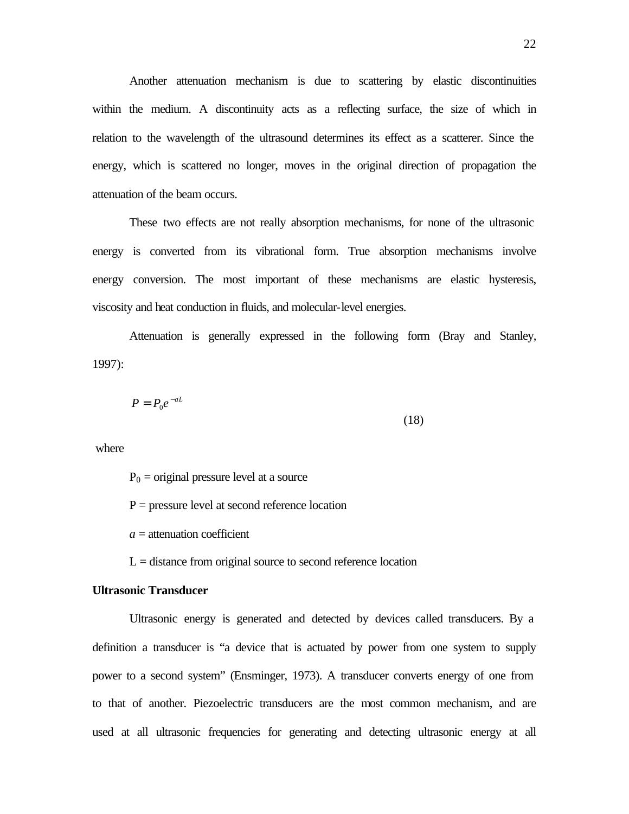Another attenuation mechanism is due to scattering by elastic discontinuities within the medium. A discontinuity acts as a reflecting surface, the size of which in relation to the wavelength of the ultrasound determines its effect as a scatterer. Since the energy, which is scattered no longer, moves in the original direction of propagation the attenuation of the beam occurs.

These two effects are not really absorption mechanisms, for none of the ultrasonic energy is converted from its vibrational form. True absorption mechanisms involve energy conversion. The most important of these mechanisms are elastic hysteresis, viscosity and heat conduction in fluids, and molecular-level energies.

Attenuation is generally expressed in the following form (Bray and Stanley, 1997):

$$
P = P_0 e^{-aL} \tag{18}
$$

where

 $P_0$  = original pressure level at a source

 $P =$  pressure level at second reference location

 $a =$  attenuation coefficient

 $L =$  distance from original source to second reference location

# **Ultrasonic Transducer**

Ultrasonic energy is generated and detected by devices called transducers. By a definition a transducer is "a device that is actuated by power from one system to supply power to a second system" (Ensminger, 1973). A transducer converts energy of one from to that of another. Piezoelectric transducers are the most common mechanism, and are used at all ultrasonic frequencies for generating and detecting ultrasonic energy at all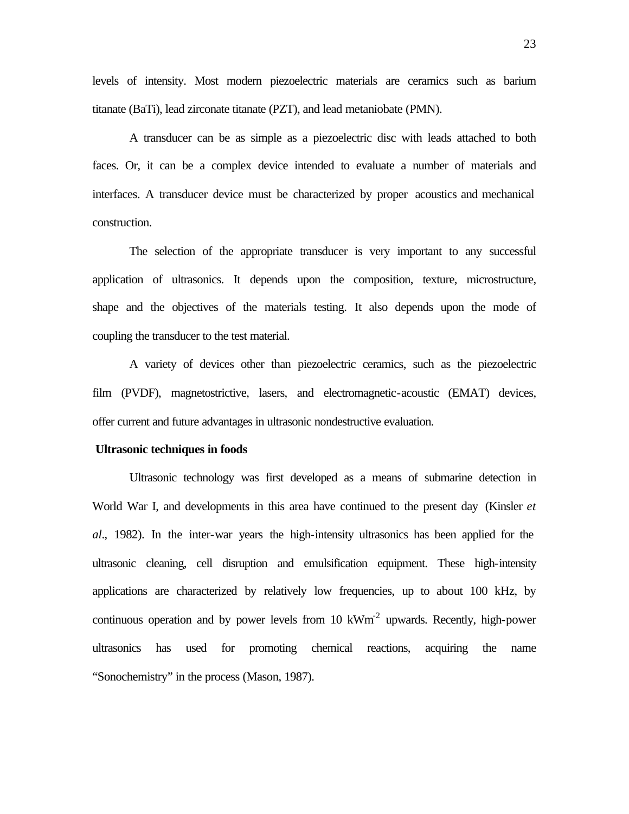levels of intensity. Most modern piezoelectric materials are ceramics such as barium titanate (BaTi), lead zirconate titanate (PZT), and lead metaniobate (PMN).

A transducer can be as simple as a piezoelectric disc with leads attached to both faces. Or, it can be a complex device intended to evaluate a number of materials and interfaces. A transducer device must be characterized by proper acoustics and mechanical construction.

The selection of the appropriate transducer is very important to any successful application of ultrasonics. It depends upon the composition, texture, microstructure, shape and the objectives of the materials testing. It also depends upon the mode of coupling the transducer to the test material.

A variety of devices other than piezoelectric ceramics, such as the piezoelectric film (PVDF), magnetostrictive, lasers, and electromagnetic-acoustic (EMAT) devices, offer current and future advantages in ultrasonic nondestructive evaluation.

#### **Ultrasonic techniques in foods**

Ultrasonic technology was first developed as a means of submarine detection in World War I, and developments in this area have continued to the present day (Kinsler *et al*., 1982). In the inter-war years the high-intensity ultrasonics has been applied for the ultrasonic cleaning, cell disruption and emulsification equipment. These high-intensity applications are characterized by relatively low frequencies, up to about 100 kHz, by continuous operation and by power levels from 10  $kWm<sup>-2</sup>$  upwards. Recently, high-power ultrasonics has used for promoting chemical reactions, acquiring the name "Sonochemistry" in the process (Mason, 1987).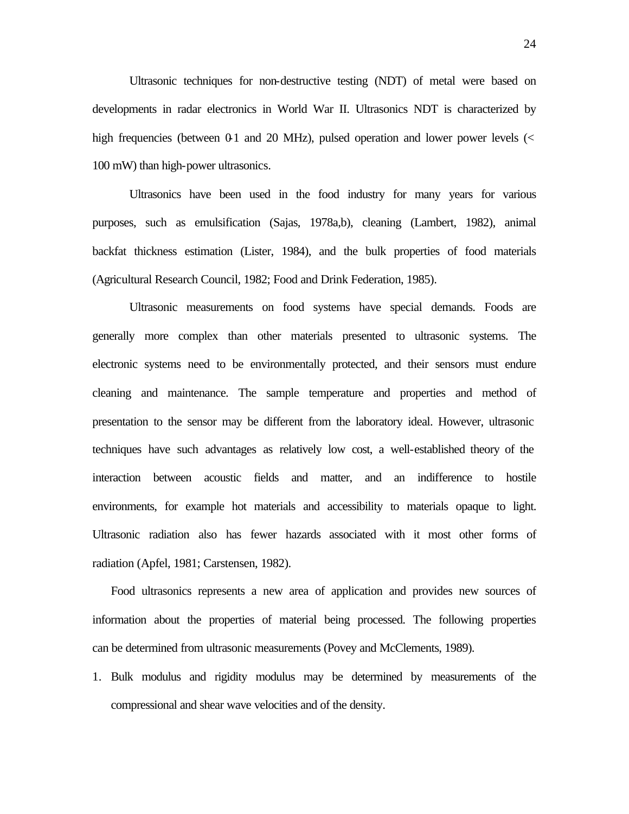Ultrasonic techniques for non-destructive testing (NDT) of metal were based on developments in radar electronics in World War II. Ultrasonics NDT is characterized by high frequencies (between  $0<sub>1</sub>$  and  $20$  MHz), pulsed operation and lower power levels (< 100 mW) than high-power ultrasonics.

Ultrasonics have been used in the food industry for many years for various purposes, such as emulsification (Sajas, 1978a,b), cleaning (Lambert, 1982), animal backfat thickness estimation (Lister, 1984), and the bulk properties of food materials (Agricultural Research Council, 1982; Food and Drink Federation, 1985).

Ultrasonic measurements on food systems have special demands. Foods are generally more complex than other materials presented to ultrasonic systems. The electronic systems need to be environmentally protected, and their sensors must endure cleaning and maintenance. The sample temperature and properties and method of presentation to the sensor may be different from the laboratory ideal. However, ultrasonic techniques have such advantages as relatively low cost, a well-established theory of the interaction between acoustic fields and matter, and an indifference to hostile environments, for example hot materials and accessibility to materials opaque to light. Ultrasonic radiation also has fewer hazards associated with it most other forms of radiation (Apfel, 1981; Carstensen, 1982).

Food ultrasonics represents a new area of application and provides new sources of information about the properties of material being processed. The following properties can be determined from ultrasonic measurements (Povey and McClements, 1989).

1. Bulk modulus and rigidity modulus may be determined by measurements of the compressional and shear wave velocities and of the density.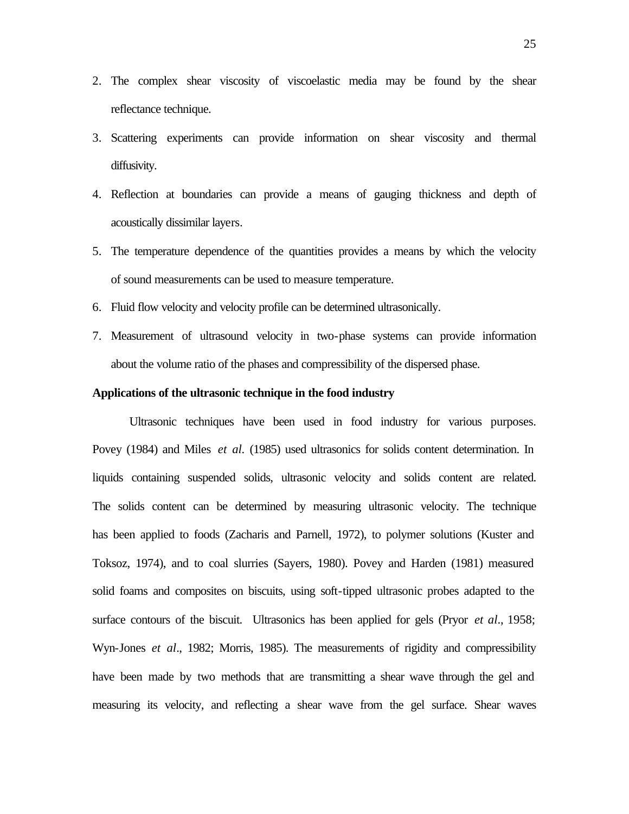- 2. The complex shear viscosity of viscoelastic media may be found by the shear reflectance technique.
- 3. Scattering experiments can provide information on shear viscosity and thermal diffusivity.
- 4. Reflection at boundaries can provide a means of gauging thickness and depth of acoustically dissimilar layers.
- 5. The temperature dependence of the quantities provides a means by which the velocity of sound measurements can be used to measure temperature.
- 6. Fluid flow velocity and velocity profile can be determined ultrasonically.
- 7. Measurement of ultrasound velocity in two-phase systems can provide information about the volume ratio of the phases and compressibility of the dispersed phase.

# **Applications of the ultrasonic technique in the food industry**

Ultrasonic techniques have been used in food industry for various purposes. Povey (1984) and Miles *et al.* (1985) used ultrasonics for solids content determination. In liquids containing suspended solids, ultrasonic velocity and solids content are related. The solids content can be determined by measuring ultrasonic velocity. The technique has been applied to foods (Zacharis and Parnell, 1972), to polymer solutions (Kuster and Toksoz, 1974), and to coal slurries (Sayers, 1980). Povey and Harden (1981) measured solid foams and composites on biscuits, using soft-tipped ultrasonic probes adapted to the surface contours of the biscuit. Ultrasonics has been applied for gels (Pryor *et al*., 1958; Wyn-Jones *et al*., 1982; Morris, 1985). The measurements of rigidity and compressibility have been made by two methods that are transmitting a shear wave through the gel and measuring its velocity, and reflecting a shear wave from the gel surface. Shear waves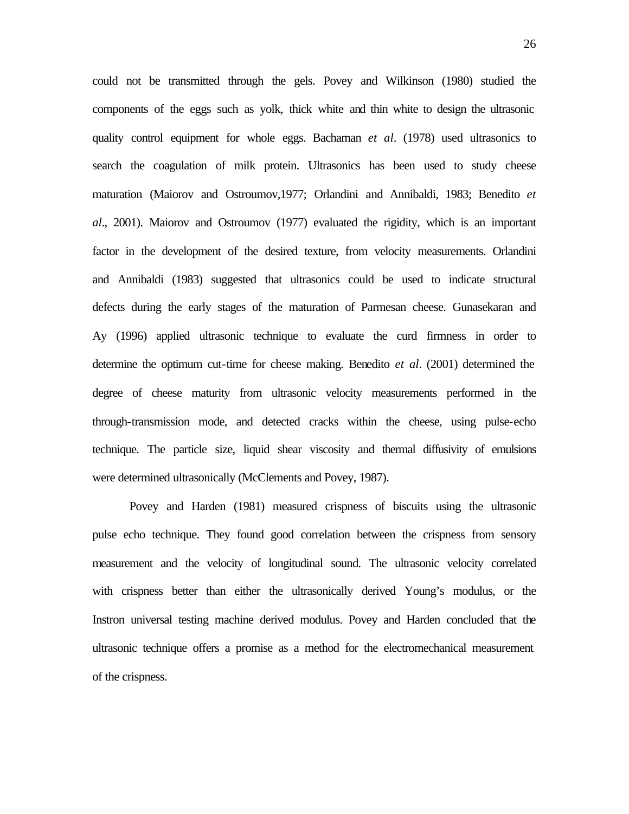could not be transmitted through the gels. Povey and Wilkinson (1980) studied the components of the eggs such as yolk, thick white and thin white to design the ultrasonic quality control equipment for whole eggs. Bachaman *et al*. (1978) used ultrasonics to search the coagulation of milk protein. Ultrasonics has been used to study cheese maturation (Maiorov and Ostroumov,1977; Orlandini and Annibaldi, 1983; Benedito *et al*., 2001). Maiorov and Ostroumov (1977) evaluated the rigidity, which is an important factor in the development of the desired texture, from velocity measurements. Orlandini and Annibaldi (1983) suggested that ultrasonics could be used to indicate structural defects during the early stages of the maturation of Parmesan cheese. Gunasekaran and Ay (1996) applied ultrasonic technique to evaluate the curd firmness in order to determine the optimum cut-time for cheese making. Benedito *et al*. (2001) determined the degree of cheese maturity from ultrasonic velocity measurements performed in the through-transmission mode, and detected cracks within the cheese, using pulse-echo technique. The particle size, liquid shear viscosity and thermal diffusivity of emulsions were determined ultrasonically (McClements and Povey, 1987).

Povey and Harden (1981) measured crispness of biscuits using the ultrasonic pulse echo technique. They found good correlation between the crispness from sensory measurement and the velocity of longitudinal sound. The ultrasonic velocity correlated with crispness better than either the ultrasonically derived Young's modulus, or the Instron universal testing machine derived modulus. Povey and Harden concluded that the ultrasonic technique offers a promise as a method for the electromechanical measurement of the crispness.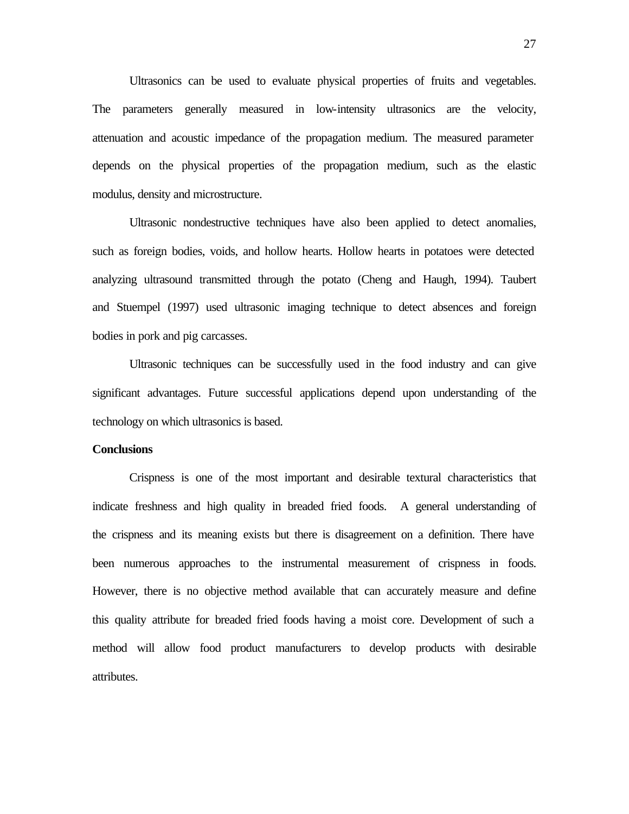Ultrasonics can be used to evaluate physical properties of fruits and vegetables. The parameters generally measured in low-intensity ultrasonics are the velocity, attenuation and acoustic impedance of the propagation medium. The measured parameter depends on the physical properties of the propagation medium, such as the elastic modulus, density and microstructure.

Ultrasonic nondestructive techniques have also been applied to detect anomalies, such as foreign bodies, voids, and hollow hearts. Hollow hearts in potatoes were detected analyzing ultrasound transmitted through the potato (Cheng and Haugh, 1994). Taubert and Stuempel (1997) used ultrasonic imaging technique to detect absences and foreign bodies in pork and pig carcasses.

Ultrasonic techniques can be successfully used in the food industry and can give significant advantages. Future successful applications depend upon understanding of the technology on which ultrasonics is based.

### **Conclusions**

Crispness is one of the most important and desirable textural characteristics that indicate freshness and high quality in breaded fried foods. A general understanding of the crispness and its meaning exists but there is disagreement on a definition. There have been numerous approaches to the instrumental measurement of crispness in foods. However, there is no objective method available that can accurately measure and define this quality attribute for breaded fried foods having a moist core. Development of such a method will allow food product manufacturers to develop products with desirable attributes.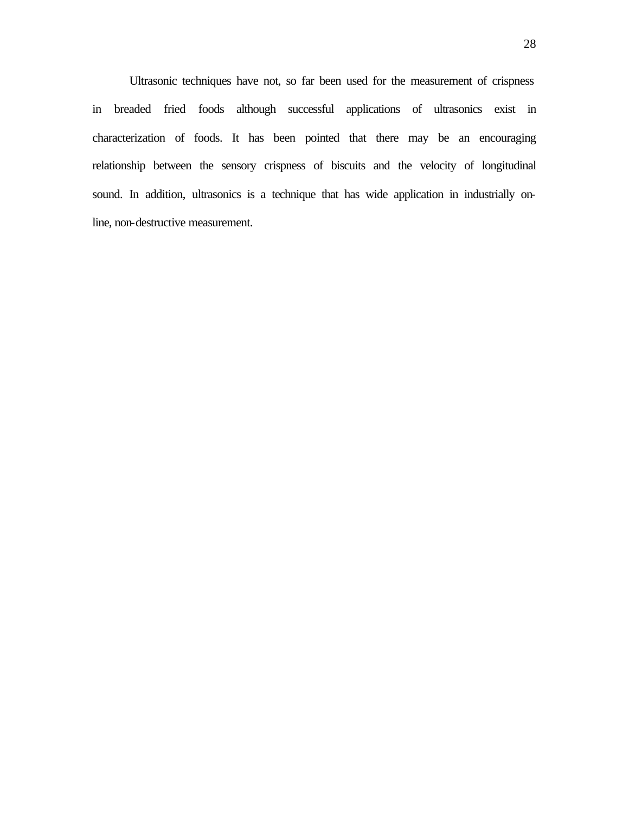Ultrasonic techniques have not, so far been used for the measurement of crispness in breaded fried foods although successful applications of ultrasonics exist in characterization of foods. It has been pointed that there may be an encouraging relationship between the sensory crispness of biscuits and the velocity of longitudinal sound. In addition, ultrasonics is a technique that has wide application in industrially online, non-destructive measurement.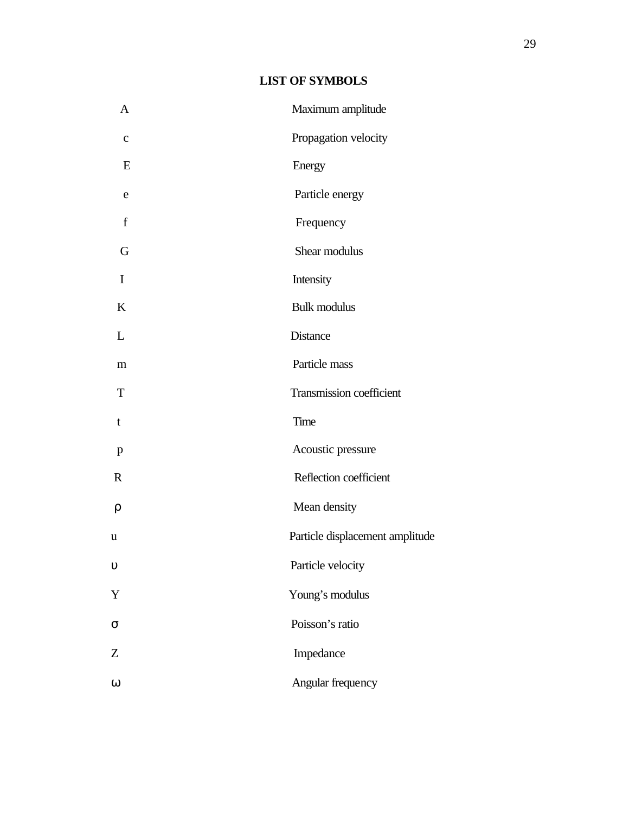# **LIST OF SYMBOLS**

| $\mathbf{A}$ | Maximum amplitude               |  |  |
|--------------|---------------------------------|--|--|
| $\mathbf c$  | Propagation velocity            |  |  |
| E            | Energy                          |  |  |
| e            | Particle energy                 |  |  |
| f            | Frequency                       |  |  |
| G            | Shear modulus                   |  |  |
| I            | Intensity                       |  |  |
| K            | <b>Bulk modulus</b>             |  |  |
| L            | Distance                        |  |  |
| m            | Particle mass                   |  |  |
| T            | Transmission coefficient        |  |  |
| $\mathbf t$  | Time                            |  |  |
| $\mathbf{p}$ | Acoustic pressure               |  |  |
| $\mathbf R$  | Reflection coefficient          |  |  |
| ρ            | Mean density                    |  |  |
| $\mathbf u$  | Particle displacement amplitude |  |  |
| $\upsilon$   | Particle velocity               |  |  |
| Y            | Young's modulus                 |  |  |
| $\sigma$     | Poisson's ratio                 |  |  |
| Z            | Impedance                       |  |  |
| $\omega$     | Angular frequency               |  |  |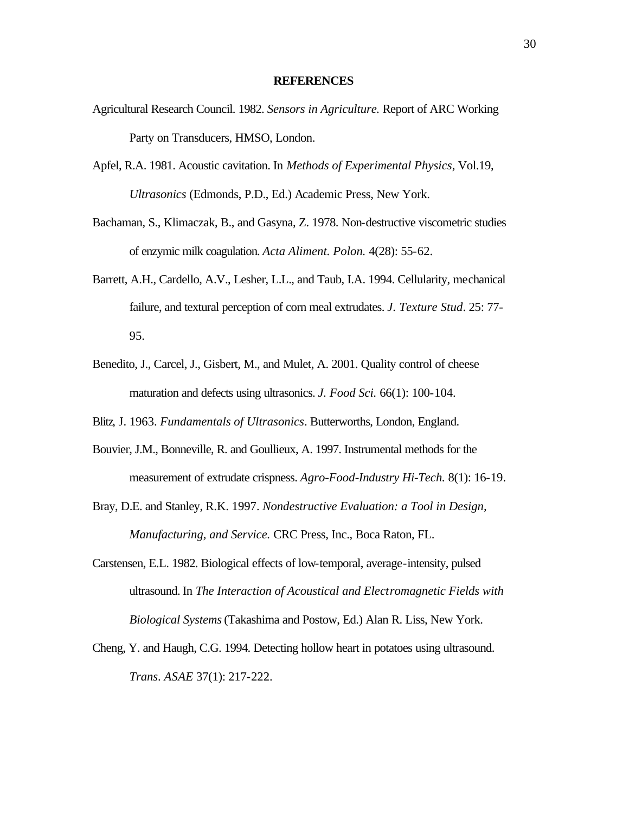#### **REFERENCES**

- Agricultural Research Council. 1982. *Sensors in Agriculture.* Report of ARC Working Party on Transducers, HMSO, London.
- Apfel, R.A. 1981. Acoustic cavitation. In *Methods of Experimental Physics*, Vol.19, *Ultrasonics* (Edmonds, P.D., Ed.) Academic Press, New York.
- Bachaman, S., Klimaczak, B., and Gasyna, Z. 1978. Non-destructive viscometric studies of enzymic milk coagulation. *Acta Aliment. Polon.* 4(28): 55-62.
- Barrett, A.H., Cardello, A.V., Lesher, L.L., and Taub, I.A. 1994. Cellularity, mechanical failure, and textural perception of corn meal extrudates. *J. Texture Stud*. 25: 77- 95.
- Benedito, J., Carcel, J., Gisbert, M., and Mulet, A. 2001. Quality control of cheese maturation and defects using ultrasonics. *J. Food Sci.* 66(1): 100-104.
- Blitz, J. 1963. *Fundamentals of Ultrasonics*. Butterworths, London, England.
- Bouvier, J.M., Bonneville, R. and Goullieux, A. 1997. Instrumental methods for the measurement of extrudate crispness. *Agro-Food-Industry Hi-Tech.* 8(1): 16-19.
- Bray, D.E. and Stanley, R.K. 1997. *Nondestructive Evaluation: a Tool in Design, Manufacturing, and Service.* CRC Press, Inc., Boca Raton, FL.
- Carstensen, E.L. 1982. Biological effects of low-temporal, average-intensity, pulsed ultrasound. In *The Interaction of Acoustical and Electromagnetic Fields with Biological Systems* (Takashima and Postow, Ed.) Alan R. Liss, New York.
- Cheng, Y. and Haugh, C.G. 1994. Detecting hollow heart in potatoes using ultrasound. *Trans*. *ASAE* 37(1): 217-222.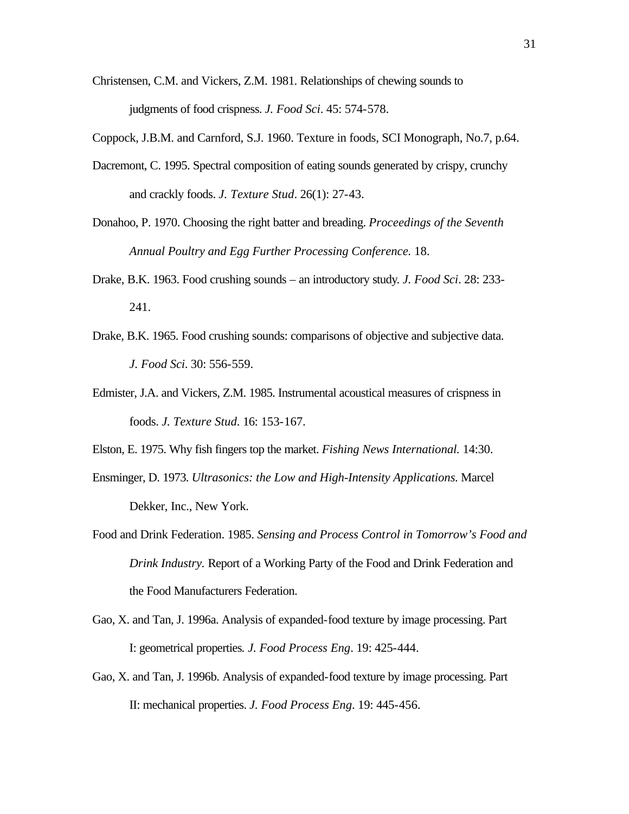- Christensen, C.M. and Vickers, Z.M. 1981. Relationships of chewing sounds to judgments of food crispness. *J. Food Sci*. 45: 574-578.
- Coppock, J.B.M. and Carnford, S.J. 1960. Texture in foods, SCI Monograph, No.7, p.64.
- Dacremont, C. 1995. Spectral composition of eating sounds generated by crispy, crunchy and crackly foods. *J. Texture Stud*. 26(1): 27-43.
- Donahoo, P. 1970. Choosing the right batter and breading. *Proceedings of the Seventh Annual Poultry and Egg Further Processing Conference.* 18.
- Drake, B.K. 1963. Food crushing sounds an introductory study. *J. Food Sci*. 28: 233- 241.
- Drake, B.K. 1965. Food crushing sounds: comparisons of objective and subjective data. *J. Food Sci*. 30: 556-559.
- Edmister, J.A. and Vickers, Z.M. 1985. Instrumental acoustical measures of crispness in foods. *J. Texture Stud.* 16: 153-167.
- Elston, E. 1975. Why fish fingers top the market. *Fishing News International.* 14:30.
- Ensminger, D. 1973. *Ultrasonics: the Low and High-Intensity Applications.* Marcel Dekker, Inc., New York.
- Food and Drink Federation. 1985. *Sensing and Process Control in Tomorrow's Food and Drink Industry.* Report of a Working Party of the Food and Drink Federation and the Food Manufacturers Federation.
- Gao, X. and Tan, J. 1996a. Analysis of expanded-food texture by image processing. Part I: geometrical properties*. J. Food Process Eng*. 19: 425-444.
- Gao, X. and Tan, J. 1996b. Analysis of expanded-food texture by image processing. Part II: mechanical properties. *J. Food Process Eng*. 19: 445-456.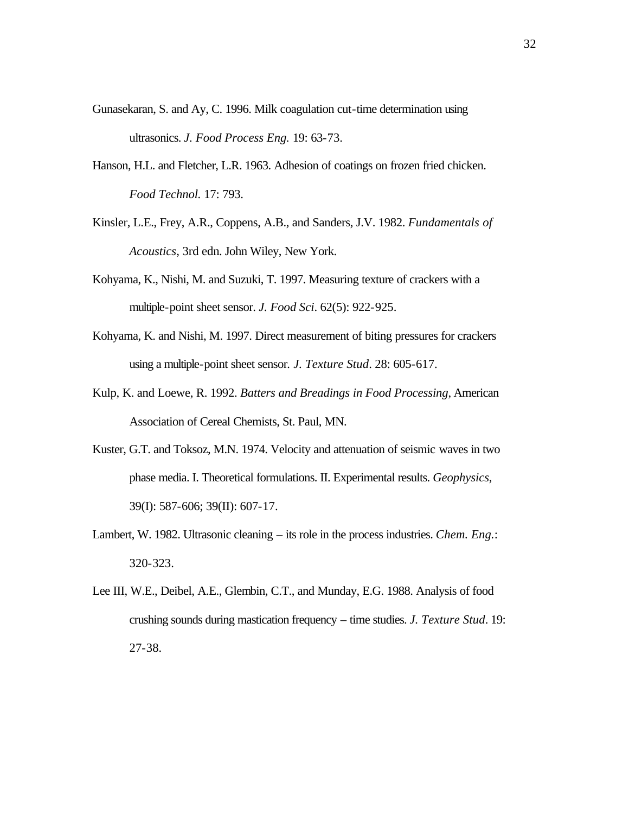- Gunasekaran, S. and Ay, C. 1996. Milk coagulation cut-time determination using ultrasonics. *J. Food Process Eng.* 19: 63-73.
- Hanson, H.L. and Fletcher, L.R. 1963. Adhesion of coatings on frozen fried chicken. *Food Technol.* 17: 793.
- Kinsler, L.E., Frey, A.R., Coppens, A.B., and Sanders, J.V. 1982. *Fundamentals of Acoustics*, 3rd edn. John Wiley, New York.
- Kohyama, K., Nishi, M. and Suzuki, T. 1997. Measuring texture of crackers with a multiple-point sheet sensor. *J. Food Sci*. 62(5): 922-925.
- Kohyama, K. and Nishi, M. 1997. Direct measurement of biting pressures for crackers using a multiple-point sheet sensor*. J. Texture Stud*. 28: 605-617.
- Kulp, K. and Loewe, R. 1992. *Batters and Breadings in Food Processing*, American Association of Cereal Chemists, St. Paul, MN.
- Kuster, G.T. and Toksoz, M.N. 1974. Velocity and attenuation of seismic waves in two phase media. I. Theoretical formulations. II. Experimental results. *Geophysics*, 39(I): 587-606; 39(II): 607-17.
- Lambert, W. 1982. Ultrasonic cleaning its role in the process industries. *Chem. Eng.*: 320-323.
- Lee III, W.E., Deibel, A.E., Glembin, C.T., and Munday, E.G. 1988. Analysis of food crushing sounds during mastication frequency – time studies. *J. Texture Stud*. 19: 27-38.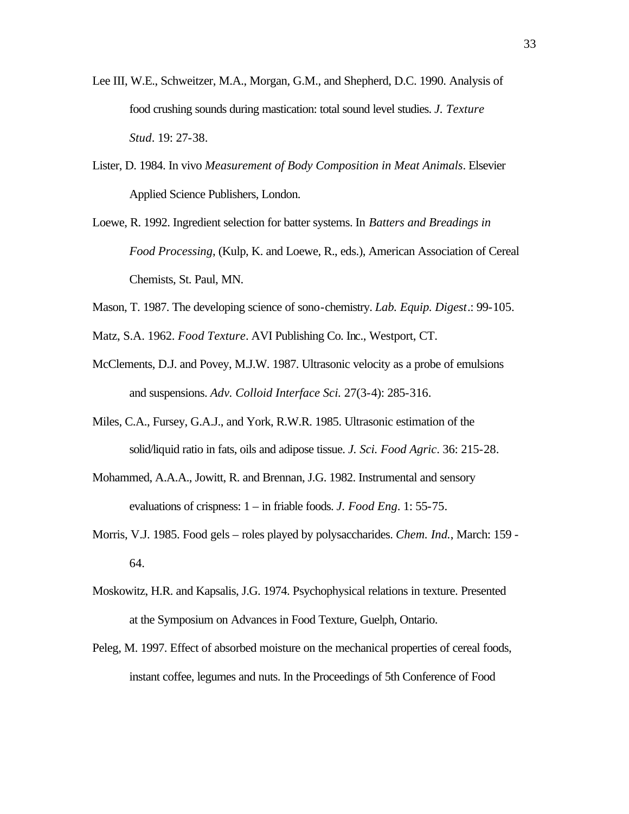- Lee III, W.E., Schweitzer, M.A., Morgan, G.M., and Shepherd, D.C. 1990. Analysis of food crushing sounds during mastication: total sound level studies. *J. Texture Stud*. 19: 27-38.
- Lister, D. 1984. In vivo *Measurement of Body Composition in Meat Animals*. Elsevier Applied Science Publishers, London.
- Loewe, R. 1992. Ingredient selection for batter systems. In *Batters and Breadings in Food Processing*, (Kulp, K. and Loewe, R., eds.), American Association of Cereal Chemists, St. Paul, MN.
- Mason, T. 1987. The developing science of sono-chemistry. *Lab. Equip. Digest*.: 99-105.
- Matz, S.A. 1962. *Food Texture*. AVI Publishing Co. Inc., Westport, CT.
- McClements, D.J. and Povey, M.J.W. 1987. Ultrasonic velocity as a probe of emulsions and suspensions. *Adv. Colloid Interface Sci.* 27(3-4): 285-316.
- Miles, C.A., Fursey, G.A.J., and York, R.W.R. 1985. Ultrasonic estimation of the solid/liquid ratio in fats, oils and adipose tissue. *J. Sci. Food Agric*. 36: 215-28.
- Mohammed, A.A.A., Jowitt, R. and Brennan, J.G. 1982. Instrumental and sensory evaluations of crispness: 1 – in friable foods. *J. Food Eng*. 1: 55-75.
- Morris, V.J. 1985. Food gels roles played by polysaccharides. *Chem. Ind.*, March: 159 64.
- Moskowitz, H.R. and Kapsalis, J.G. 1974. Psychophysical relations in texture. Presented at the Symposium on Advances in Food Texture, Guelph, Ontario.
- Peleg, M. 1997. Effect of absorbed moisture on the mechanical properties of cereal foods, instant coffee, legumes and nuts. In the Proceedings of 5th Conference of Food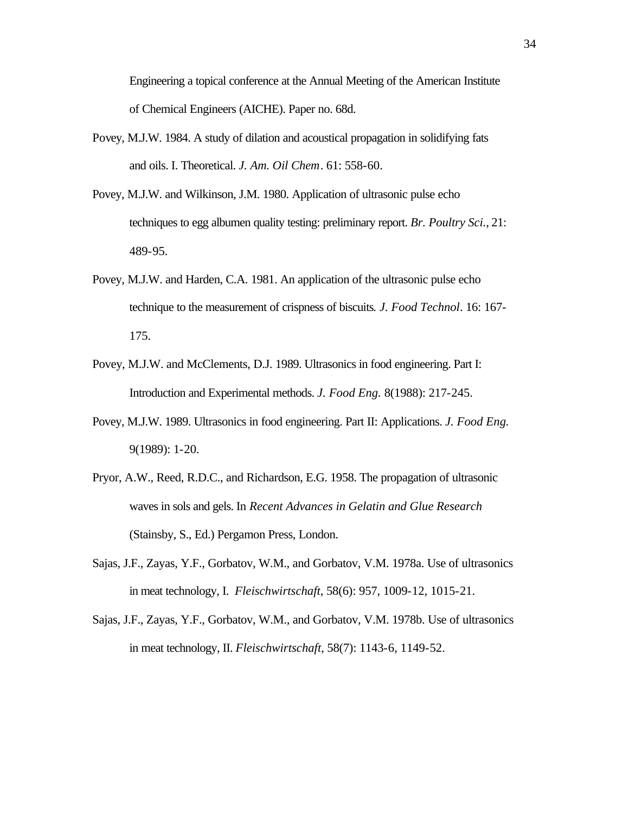Engineering a topical conference at the Annual Meeting of the American Institute of Chemical Engineers (AICHE). Paper no. 68d.

- Povey, M.J.W. 1984. A study of dilation and acoustical propagation in solidifying fats and oils. I. Theoretical. *J. Am. Oil Chem*. 61: 558-60.
- Povey, M.J.W. and Wilkinson, J.M. 1980. Application of ultrasonic pulse echo techniques to egg albumen quality testing: preliminary report. *Br. Poultry Sci.*, 21: 489-95.
- Povey, M.J.W. and Harden, C.A. 1981. An application of the ultrasonic pulse echo technique to the measurement of crispness of biscuits*. J. Food Technol*. 16: 167- 175.
- Povey, M.J.W. and McClements, D.J. 1989. Ultrasonics in food engineering. Part I: Introduction and Experimental methods. *J. Food Eng.* 8(1988): 217-245.
- Povey, M.J.W. 1989. Ultrasonics in food engineering. Part II: Applications. *J. Food Eng.* 9(1989): 1-20.
- Pryor, A.W., Reed, R.D.C., and Richardson, E.G. 1958. The propagation of ultrasonic waves in sols and gels. In *Recent Advances in Gelatin and Glue Research* (Stainsby, S., Ed.) Pergamon Press, London.
- Sajas, J.F., Zayas, Y.F., Gorbatov, W.M., and Gorbatov, V.M. 1978a. Use of ultrasonics in meat technology, I. *Fleischwirtschaft*, 58(6): 957, 1009-12, 1015-21.
- Sajas, J.F., Zayas, Y.F., Gorbatov, W.M., and Gorbatov, V.M. 1978b. Use of ultrasonics in meat technology, II. *Fleischwirtschaft*, 58(7): 1143-6, 1149-52.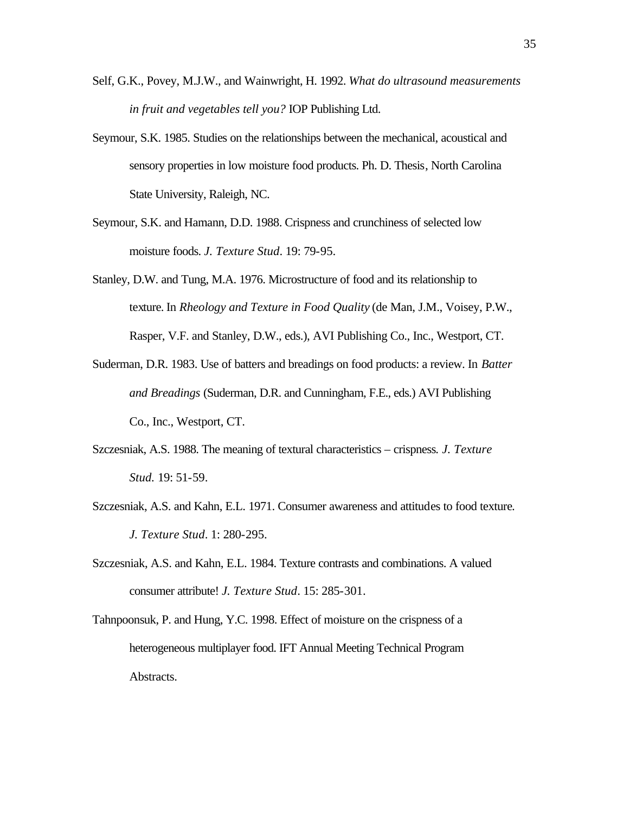- Self, G.K., Povey, M.J.W., and Wainwright, H. 1992. *What do ultrasound measurements in fruit and vegetables tell you?* IOP Publishing Ltd.
- Seymour, S.K. 1985. Studies on the relationships between the mechanical, acoustical and sensory properties in low moisture food products. Ph. D. Thesis, North Carolina State University, Raleigh, NC.
- Seymour, S.K. and Hamann, D.D. 1988. Crispness and crunchiness of selected low moisture foods. *J. Texture Stud*. 19: 79-95.
- Stanley, D.W. and Tung, M.A. 1976. Microstructure of food and its relationship to texture. In *Rheology and Texture in Food Quality* (de Man, J.M., Voisey, P.W., Rasper, V.F. and Stanley, D.W., eds.), AVI Publishing Co., Inc., Westport, CT.
- Suderman, D.R. 1983. Use of batters and breadings on food products: a review. In *Batter and Breadings* (Suderman, D.R. and Cunningham, F.E., eds.) AVI Publishing Co., Inc., Westport, CT.
- Szczesniak, A.S. 1988. The meaning of textural characteristics crispness*. J. Texture Stud.* 19: 51-59.
- Szczesniak, A.S. and Kahn, E.L. 1971. Consumer awareness and attitudes to food texture*. J. Texture Stud*. 1: 280-295.
- Szczesniak, A.S. and Kahn, E.L. 1984. Texture contrasts and combinations. A valued consumer attribute! *J. Texture Stud*. 15: 285-301.
- Tahnpoonsuk, P. and Hung, Y.C. 1998. Effect of moisture on the crispness of a heterogeneous multiplayer food. IFT Annual Meeting Technical Program Abstracts.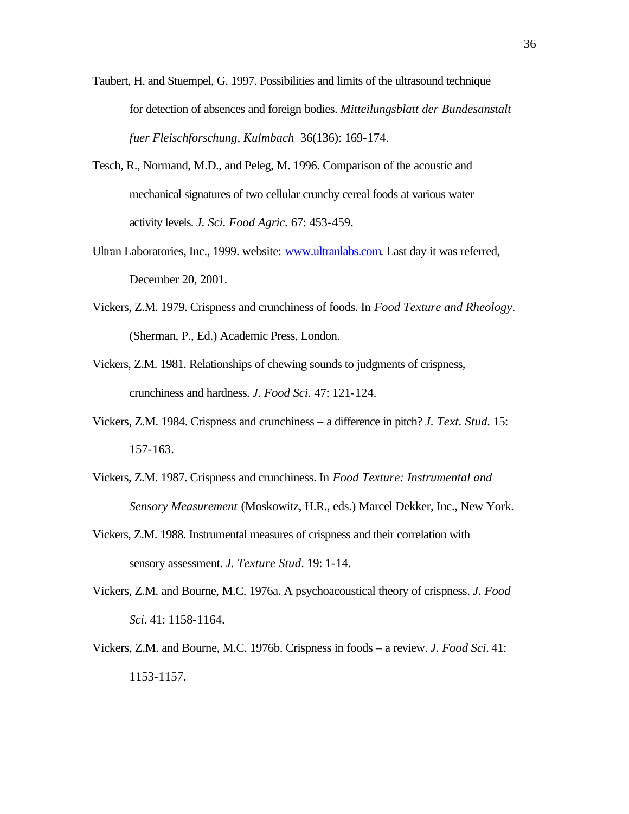- Taubert, H. and Stuempel, G. 1997. Possibilities and limits of the ultrasound technique for detection of absences and foreign bodies. *Mitteilungsblatt der Bundesanstalt fuer Fleischforschung*, *Kulmbach* 36(136): 169-174.
- Tesch, R., Normand, M.D., and Peleg, M. 1996. Comparison of the acoustic and mechanical signatures of two cellular crunchy cereal foods at various water activity levels. *J. Sci. Food Agric.* 67: 453-459.
- Ultran Laboratories, Inc., 1999. website: www.ultranlabs.com. Last day it was referred, December 20, 2001.
- Vickers, Z.M. 1979. Crispness and crunchiness of foods. In *Food Texture and Rheology*. (Sherman, P., Ed.) Academic Press, London.
- Vickers, Z.M. 1981. Relationships of chewing sounds to judgments of crispness, crunchiness and hardness. *J. Food Sci.* 47: 121-124.
- Vickers, Z.M. 1984. Crispness and crunchiness a difference in pitch? *J. Text. Stud.* 15: 157-163.
- Vickers, Z.M. 1987. Crispness and crunchiness. In *Food Texture: Instrumental and Sensory Measurement* (Moskowitz, H.R., eds.) Marcel Dekker, Inc., New York.
- Vickers, Z.M. 1988. Instrumental measures of crispness and their correlation with sensory assessment. *J. Texture Stud*. 19: 1-14.
- Vickers, Z.M. and Bourne, M.C. 1976a. A psychoacoustical theory of crispness. *J. Food Sci*. 41: 1158-1164.
- Vickers, Z.M. and Bourne, M.C. 1976b. Crispness in foods a review. *J. Food Sci*. 41: 1153-1157.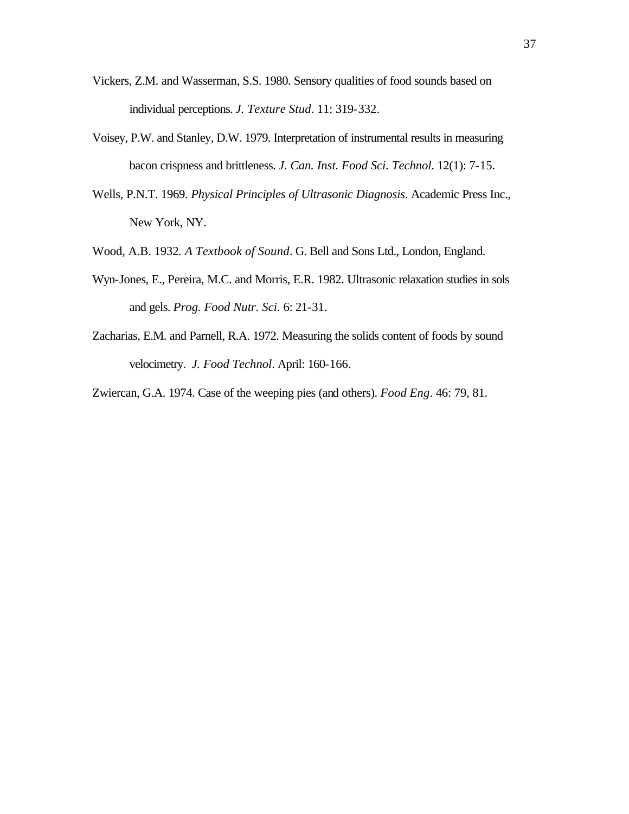- Vickers, Z.M. and Wasserman, S.S. 1980. Sensory qualities of food sounds based on individual perceptions. *J. Texture Stud*. 11: 319-332.
- Voisey, P.W. and Stanley, D.W. 1979. Interpretation of instrumental results in measuring bacon crispness and brittleness. *J. Can. Inst. Food Sci. Technol*. 12(1): 7-15.
- Wells, P.N.T. 1969. *Physical Principles of Ultrasonic Diagnosis*. Academic Press Inc., New York, NY.
- Wood, A.B. 1932*. A Textbook of Sound*. G. Bell and Sons Ltd., London, England.
- Wyn-Jones, E., Pereira, M.C. and Morris, E.R. 1982. Ultrasonic relaxation studies in sols and gels. *Prog. Food Nutr. Sci.* 6: 21-31.
- Zacharias, E.M. and Parnell, R.A. 1972. Measuring the solids content of foods by sound velocimetry. *J. Food Technol*. April: 160-166.

Zwiercan, G.A. 1974. Case of the weeping pies (and others). *Food Eng*. 46: 79, 81.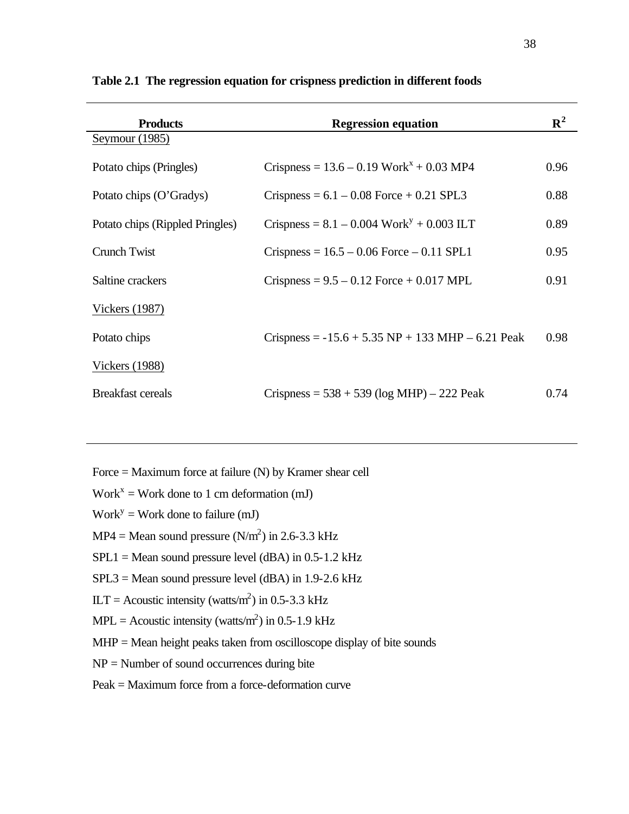| <b>Products</b>                 | <b>Regression equation</b>                              | ${\bf R}^2$ |
|---------------------------------|---------------------------------------------------------|-------------|
| Seymour (1985)                  |                                                         |             |
| Potato chips (Pringles)         | Crispness = $13.6 - 0.19$ Work <sup>x</sup> + 0.03 MP4  | 0.96        |
| Potato chips (O'Gradys)         | Crispness = $6.1 - 0.08$ Force + 0.21 SPL3              | 0.88        |
| Potato chips (Rippled Pringles) | Crispness = $8.1 - 0.004$ Work <sup>y</sup> + 0.003 ILT | 0.89        |
| Crunch Twist                    | $Crispness = 16.5 - 0.06$ Force $- 0.11$ SPL1           | 0.95        |
| Saltine crackers                | Crispness = $9.5 - 0.12$ Force + 0.017 MPL              | 0.91        |
| <b>Vickers</b> (1987)           |                                                         |             |
| Potato chips                    | Crispness = $-15.6 + 5.35$ NP + 133 MHP – 6.21 Peak     | 0.98        |
| <b>Vickers</b> (1988)           |                                                         |             |
| <b>Breakfast cereals</b>        | Crispness = $538 + 539$ (log MHP) – 222 Peak            | 0.74        |

**Table 2.1 The regression equation for crispness prediction in different foods**

- Force = Maximum force at failure (N) by Kramer shear cell
- $Work<sup>x</sup> = Work$  done to 1 cm deformation (mJ)
- $Work<sup>y</sup> = Work$  done to failure (mJ)
- $MP4 = Mean$  sound pressure  $(N/m<sup>2</sup>)$  in 2.6-3.3 kHz
- $SPL1 = Mean$  sound pressure level (dBA) in 0.5-1.2 kHz
- $SPL3 = Mean$  sound pressure level (dBA) in 1.9-2.6 kHz
- $\text{ILT} = \text{Acoustic intensity}$  (watts/m<sup>2</sup>) in 0.5-3.3 kHz
- $MPL =$  Acoustic intensity (watts/m<sup>2</sup>) in 0.5-1.9 kHz
- MHP = Mean height peaks taken from oscilloscope display of bite sounds
- $NP =$  Number of sound occurrences during bite
- Peak = Maximum force from a force-deformation curve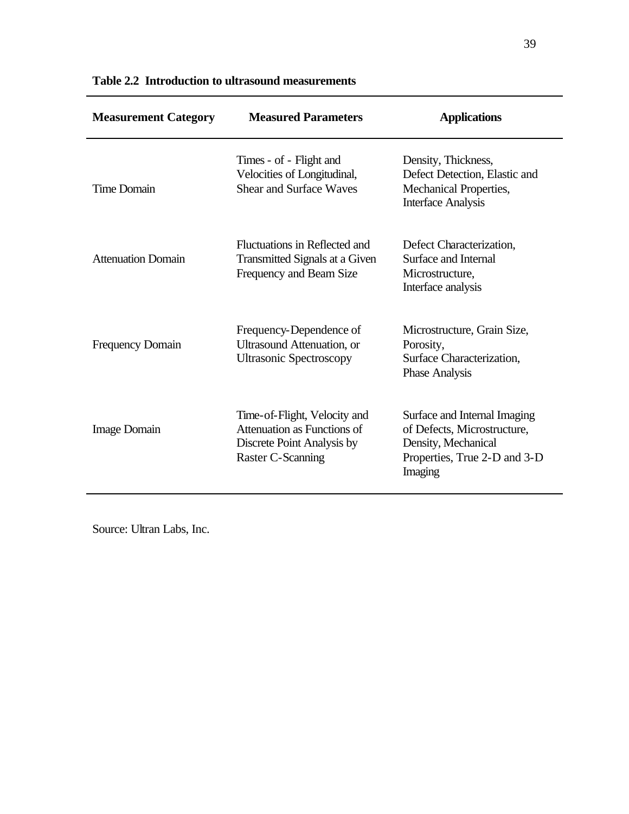| <b>Measurement Category</b> | <b>Measured Parameters</b>                                                                                     | <b>Applications</b>                                                                                                           |
|-----------------------------|----------------------------------------------------------------------------------------------------------------|-------------------------------------------------------------------------------------------------------------------------------|
| Time Domain                 | Times - of - Flight and<br>Velocities of Longitudinal,<br><b>Shear and Surface Waves</b>                       | Density, Thickness,<br>Defect Detection, Elastic and<br>Mechanical Properties,<br><b>Interface Analysis</b>                   |
| <b>Attenuation Domain</b>   | Fluctuations in Reflected and<br>Transmitted Signals at a Given<br>Frequency and Beam Size                     | Defect Characterization,<br>Surface and Internal<br>Microstructure,<br>Interface analysis                                     |
| <b>Frequency Domain</b>     | Frequency-Dependence of<br>Ultrasound Attenuation, or<br><b>Ultrasonic Spectroscopy</b>                        | Microstructure, Grain Size,<br>Porosity,<br>Surface Characterization,<br><b>Phase Analysis</b>                                |
| Image Domain                | Time-of-Flight, Velocity and<br>Attenuation as Functions of<br>Discrete Point Analysis by<br>Raster C-Scanning | Surface and Internal Imaging<br>of Defects, Microstructure,<br>Density, Mechanical<br>Properties, True 2-D and 3-D<br>Imaging |

| Table 2.2 Introduction to ultrasound measurements |  |  |  |
|---------------------------------------------------|--|--|--|
|---------------------------------------------------|--|--|--|

Source: Ultran Labs, Inc.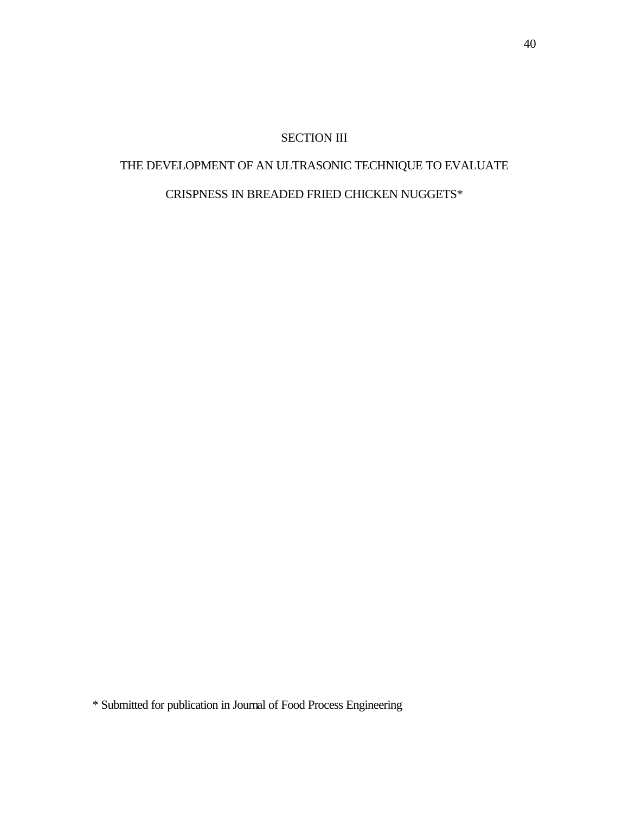# SECTION III

# THE DEVELOPMENT OF AN ULTRASONIC TECHNIQUE TO EVALUATE

# CRISPNESS IN BREADED FRIED CHICKEN NUGGETS\*

\* Submitted for publication in Journal of Food Process Engineering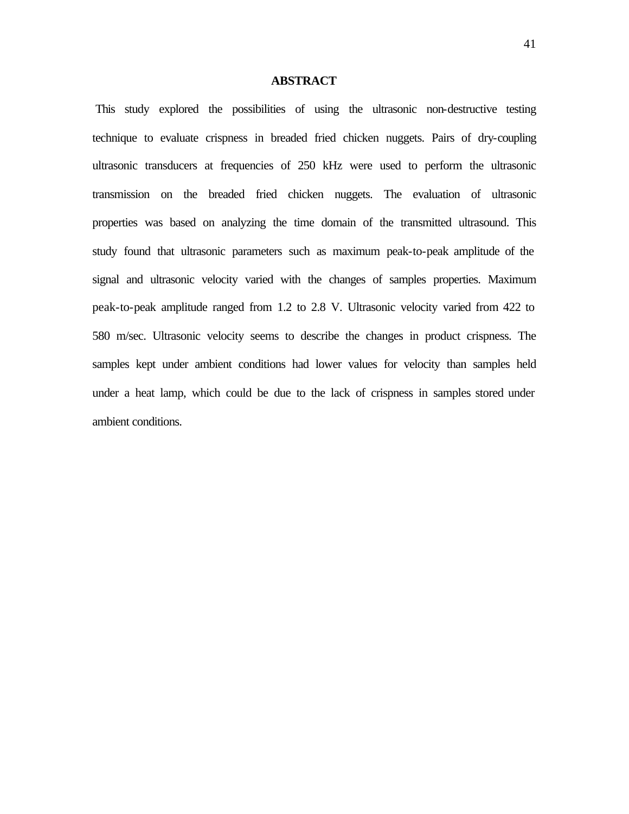# **ABSTRACT**

 This study explored the possibilities of using the ultrasonic non-destructive testing technique to evaluate crispness in breaded fried chicken nuggets. Pairs of dry-coupling ultrasonic transducers at frequencies of 250 kHz were used to perform the ultrasonic transmission on the breaded fried chicken nuggets. The evaluation of ultrasonic properties was based on analyzing the time domain of the transmitted ultrasound. This study found that ultrasonic parameters such as maximum peak-to-peak amplitude of the signal and ultrasonic velocity varied with the changes of samples properties. Maximum peak-to-peak amplitude ranged from 1.2 to 2.8 V. Ultrasonic velocity varied from 422 to 580 m/sec. Ultrasonic velocity seems to describe the changes in product crispness. The samples kept under ambient conditions had lower values for velocity than samples held under a heat lamp, which could be due to the lack of crispness in samples stored under ambient conditions.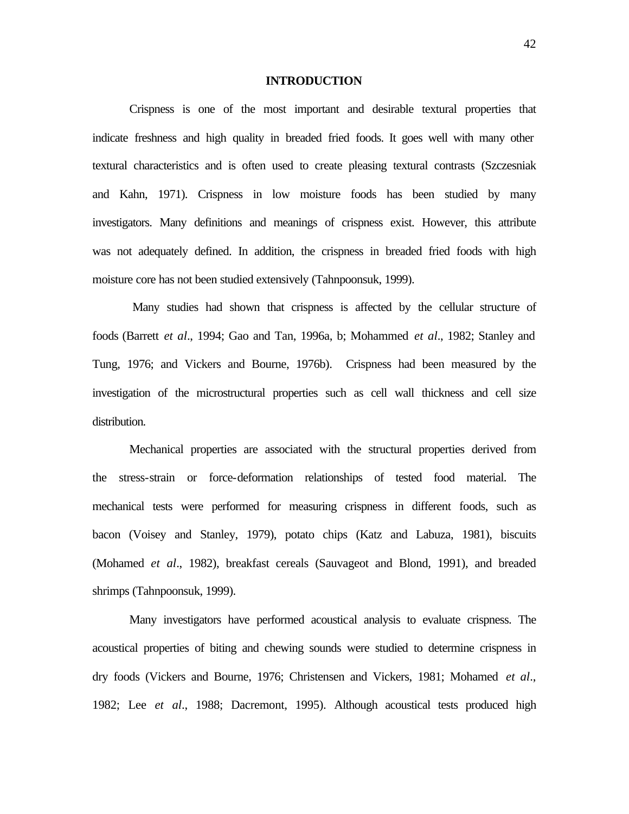#### **INTRODUCTION**

Crispness is one of the most important and desirable textural properties that indicate freshness and high quality in breaded fried foods. It goes well with many other textural characteristics and is often used to create pleasing textural contrasts (Szczesniak and Kahn, 1971). Crispness in low moisture foods has been studied by many investigators. Many definitions and meanings of crispness exist. However, this attribute was not adequately defined. In addition, the crispness in breaded fried foods with high moisture core has not been studied extensively (Tahnpoonsuk, 1999).

 Many studies had shown that crispness is affected by the cellular structure of foods (Barrett *et al*., 1994; Gao and Tan, 1996a, b; Mohammed *et al*., 1982; Stanley and Tung, 1976; and Vickers and Bourne, 1976b). Crispness had been measured by the investigation of the microstructural properties such as cell wall thickness and cell size distribution.

Mechanical properties are associated with the structural properties derived from the stress-strain or force-deformation relationships of tested food material. The mechanical tests were performed for measuring crispness in different foods, such as bacon (Voisey and Stanley, 1979), potato chips (Katz and Labuza, 1981), biscuits (Mohamed *et al*., 1982), breakfast cereals (Sauvageot and Blond, 1991), and breaded shrimps (Tahnpoonsuk, 1999).

Many investigators have performed acoustical analysis to evaluate crispness. The acoustical properties of biting and chewing sounds were studied to determine crispness in dry foods (Vickers and Bourne, 1976; Christensen and Vickers, 1981; Mohamed *et al*., 1982; Lee *et al*., 1988; Dacremont, 1995). Although acoustical tests produced high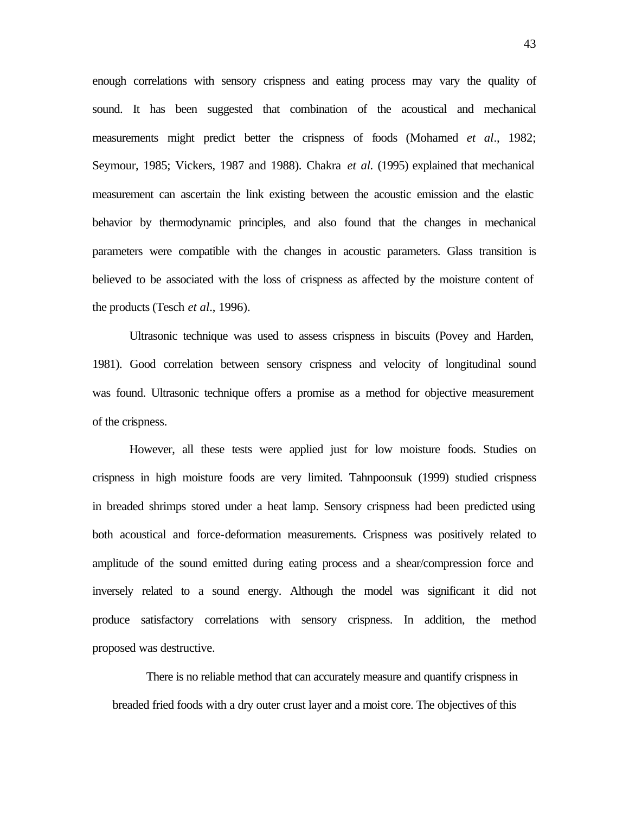enough correlations with sensory crispness and eating process may vary the quality of sound. It has been suggested that combination of the acoustical and mechanical measurements might predict better the crispness of foods (Mohamed *et al*., 1982; Seymour, 1985; Vickers, 1987 and 1988). Chakra *et al.* (1995) explained that mechanical measurement can ascertain the link existing between the acoustic emission and the elastic behavior by thermodynamic principles, and also found that the changes in mechanical parameters were compatible with the changes in acoustic parameters. Glass transition is believed to be associated with the loss of crispness as affected by the moisture content of the products (Tesch *et al*., 1996).

Ultrasonic technique was used to assess crispness in biscuits (Povey and Harden, 1981). Good correlation between sensory crispness and velocity of longitudinal sound was found. Ultrasonic technique offers a promise as a method for objective measurement of the crispness.

However, all these tests were applied just for low moisture foods. Studies on crispness in high moisture foods are very limited. Tahnpoonsuk (1999) studied crispness in breaded shrimps stored under a heat lamp. Sensory crispness had been predicted using both acoustical and force-deformation measurements. Crispness was positively related to amplitude of the sound emitted during eating process and a shear/compression force and inversely related to a sound energy. Although the model was significant it did not produce satisfactory correlations with sensory crispness. In addition, the method proposed was destructive.

There is no reliable method that can accurately measure and quantify crispness in breaded fried foods with a dry outer crust layer and a moist core. The objectives of this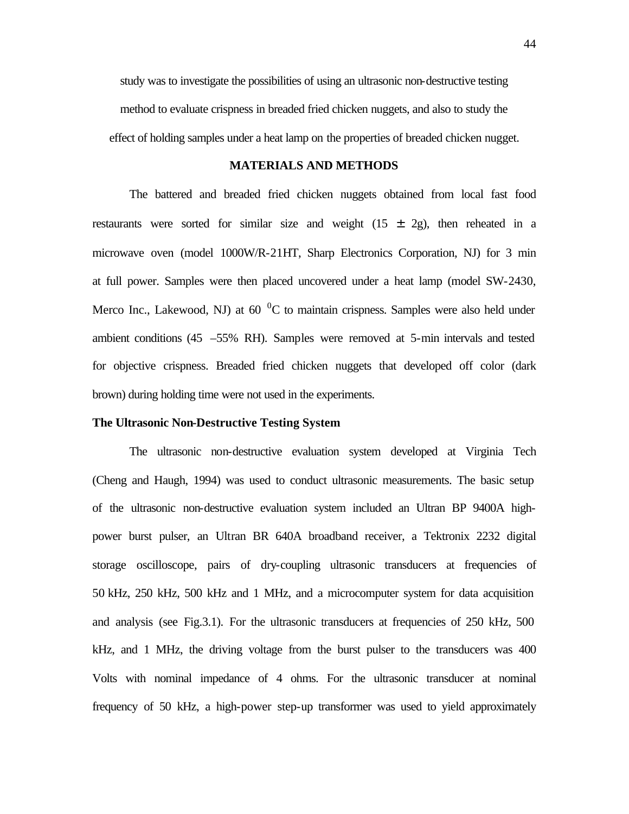study was to investigate the possibilities of using an ultrasonic non-destructive testing method to evaluate crispness in breaded fried chicken nuggets, and also to study the effect of holding samples under a heat lamp on the properties of breaded chicken nugget.

### **MATERIALS AND METHODS**

The battered and breaded fried chicken nuggets obtained from local fast food restaurants were sorted for similar size and weight  $(15 \pm 2g)$ , then reheated in a microwave oven (model 1000W/R-21HT, Sharp Electronics Corporation, NJ) for 3 min at full power. Samples were then placed uncovered under a heat lamp (model SW-2430, Merco Inc., Lakewood, NJ) at  $60<sup>0</sup>C$  to maintain crispness. Samples were also held under ambient conditions (45 –55% RH). Samples were removed at 5-min intervals and tested for objective crispness. Breaded fried chicken nuggets that developed off color (dark brown) during holding time were not used in the experiments.

### **The Ultrasonic Non-Destructive Testing System**

The ultrasonic non-destructive evaluation system developed at Virginia Tech (Cheng and Haugh, 1994) was used to conduct ultrasonic measurements. The basic setup of the ultrasonic non-destructive evaluation system included an Ultran BP 9400A highpower burst pulser, an Ultran BR 640A broadband receiver, a Tektronix 2232 digital storage oscilloscope, pairs of dry-coupling ultrasonic transducers at frequencies of 50 kHz, 250 kHz, 500 kHz and 1 MHz, and a microcomputer system for data acquisition and analysis (see Fig.3.1). For the ultrasonic transducers at frequencies of 250 kHz, 500 kHz, and 1 MHz, the driving voltage from the burst pulser to the transducers was 400 Volts with nominal impedance of 4 ohms. For the ultrasonic transducer at nominal frequency of 50 kHz, a high-power step-up transformer was used to yield approximately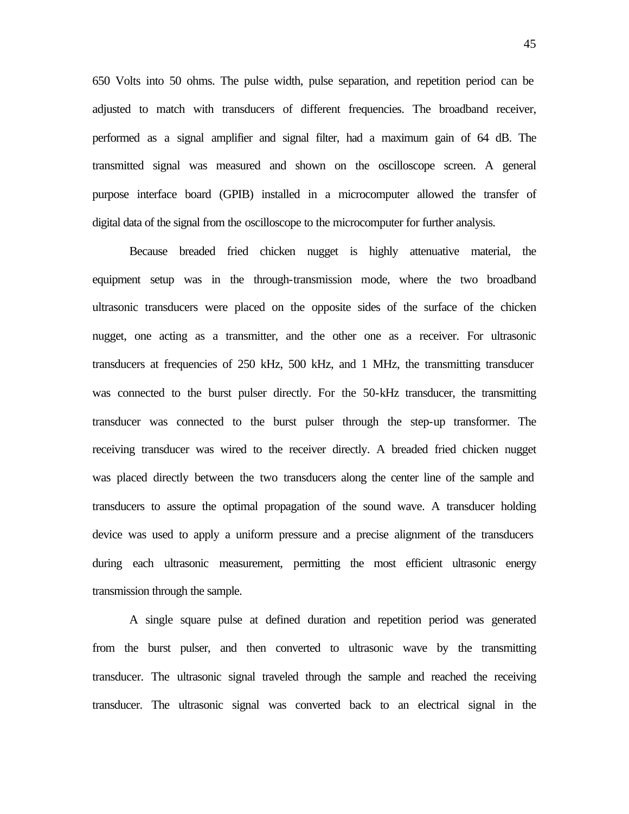650 Volts into 50 ohms. The pulse width, pulse separation, and repetition period can be adjusted to match with transducers of different frequencies. The broadband receiver, performed as a signal amplifier and signal filter, had a maximum gain of 64 dB. The transmitted signal was measured and shown on the oscilloscope screen. A general purpose interface board (GPIB) installed in a microcomputer allowed the transfer of digital data of the signal from the oscilloscope to the microcomputer for further analysis.

Because breaded fried chicken nugget is highly attenuative material, the equipment setup was in the through-transmission mode, where the two broadband ultrasonic transducers were placed on the opposite sides of the surface of the chicken nugget, one acting as a transmitter, and the other one as a receiver. For ultrasonic transducers at frequencies of 250 kHz, 500 kHz, and 1 MHz, the transmitting transducer was connected to the burst pulser directly. For the 50-kHz transducer, the transmitting transducer was connected to the burst pulser through the step-up transformer. The receiving transducer was wired to the receiver directly. A breaded fried chicken nugget was placed directly between the two transducers along the center line of the sample and transducers to assure the optimal propagation of the sound wave. A transducer holding device was used to apply a uniform pressure and a precise alignment of the transducers during each ultrasonic measurement, permitting the most efficient ultrasonic energy transmission through the sample.

A single square pulse at defined duration and repetition period was generated from the burst pulser, and then converted to ultrasonic wave by the transmitting transducer. The ultrasonic signal traveled through the sample and reached the receiving transducer. The ultrasonic signal was converted back to an electrical signal in the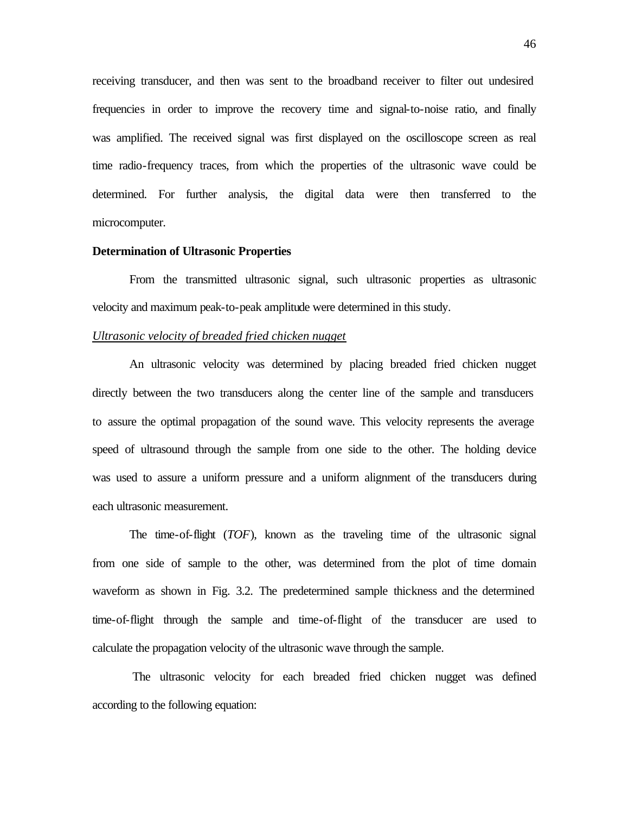receiving transducer, and then was sent to the broadband receiver to filter out undesired frequencies in order to improve the recovery time and signal-to-noise ratio, and finally was amplified. The received signal was first displayed on the oscilloscope screen as real time radio-frequency traces, from which the properties of the ultrasonic wave could be determined. For further analysis, the digital data were then transferred to the microcomputer.

## **Determination of Ultrasonic Properties**

From the transmitted ultrasonic signal, such ultrasonic properties as ultrasonic velocity and maximum peak-to-peak amplitude were determined in this study.

# *Ultrasonic velocity of breaded fried chicken nugget*

An ultrasonic velocity was determined by placing breaded fried chicken nugget directly between the two transducers along the center line of the sample and transducers to assure the optimal propagation of the sound wave. This velocity represents the average speed of ultrasound through the sample from one side to the other. The holding device was used to assure a uniform pressure and a uniform alignment of the transducers during each ultrasonic measurement.

The time-of-flight (*TOF*), known as the traveling time of the ultrasonic signal from one side of sample to the other, was determined from the plot of time domain waveform as shown in Fig. 3.2. The predetermined sample thickness and the determined time-of-flight through the sample and time-of-flight of the transducer are used to calculate the propagation velocity of the ultrasonic wave through the sample.

 The ultrasonic velocity for each breaded fried chicken nugget was defined according to the following equation: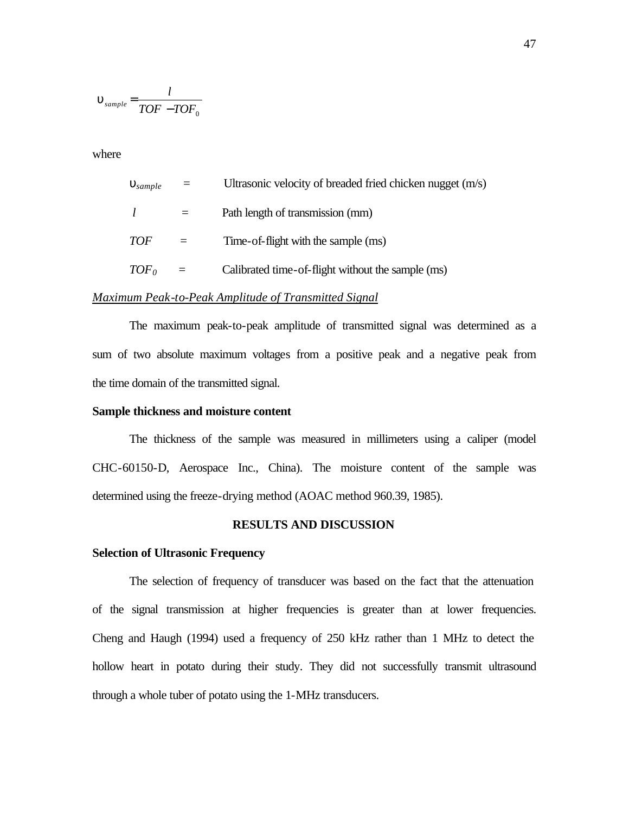$$
\mathbf{u}_{sample} = \frac{l}{TOF - TOF_0}
$$

where

| $\mathbf{u}_{sample}$ |          | Ultrasonic velocity of breaded fried chicken nugget (m/s) |
|-----------------------|----------|-----------------------------------------------------------|
|                       |          | Path length of transmission (mm)                          |
| <i>TOF</i>            |          | Time-of-flight with the sample (ms)                       |
| TOF <sub>0</sub>      | $\equiv$ | Calibrated time-of-flight without the sample (ms)         |

# *Maximum Peak-to-Peak Amplitude of Transmitted Signal*

The maximum peak-to-peak amplitude of transmitted signal was determined as a sum of two absolute maximum voltages from a positive peak and a negative peak from the time domain of the transmitted signal.

## **Sample thickness and moisture content**

The thickness of the sample was measured in millimeters using a caliper (model CHC-60150-D, Aerospace Inc., China). The moisture content of the sample was determined using the freeze-drying method (AOAC method 960.39, 1985).

# **RESULTS AND DISCUSSION**

### **Selection of Ultrasonic Frequency**

The selection of frequency of transducer was based on the fact that the attenuation of the signal transmission at higher frequencies is greater than at lower frequencies. Cheng and Haugh (1994) used a frequency of 250 kHz rather than 1 MHz to detect the hollow heart in potato during their study. They did not successfully transmit ultrasound through a whole tuber of potato using the 1-MHz transducers.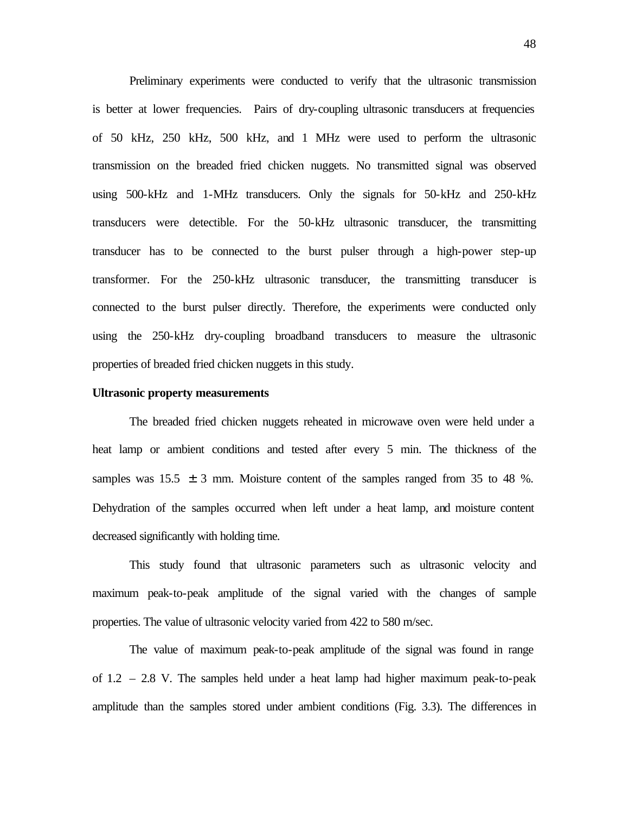Preliminary experiments were conducted to verify that the ultrasonic transmission is better at lower frequencies. Pairs of dry-coupling ultrasonic transducers at frequencies of 50 kHz, 250 kHz, 500 kHz, and 1 MHz were used to perform the ultrasonic transmission on the breaded fried chicken nuggets. No transmitted signal was observed using 500-kHz and 1-MHz transducers. Only the signals for 50-kHz and 250-kHz transducers were detectible. For the 50-kHz ultrasonic transducer, the transmitting transducer has to be connected to the burst pulser through a high-power step-up transformer. For the 250-kHz ultrasonic transducer, the transmitting transducer is connected to the burst pulser directly. Therefore, the experiments were conducted only using the 250-kHz dry-coupling broadband transducers to measure the ultrasonic properties of breaded fried chicken nuggets in this study.

## **Ultrasonic property measurements**

The breaded fried chicken nuggets reheated in microwave oven were held under a heat lamp or ambient conditions and tested after every 5 min. The thickness of the samples was  $15.5 \pm 3$  mm. Moisture content of the samples ranged from 35 to 48 %. Dehydration of the samples occurred when left under a heat lamp, and moisture content decreased significantly with holding time.

This study found that ultrasonic parameters such as ultrasonic velocity and maximum peak-to-peak amplitude of the signal varied with the changes of sample properties. The value of ultrasonic velocity varied from 422 to 580 m/sec.

The value of maximum peak-to-peak amplitude of the signal was found in range of 1.2 – 2.8 V. The samples held under a heat lamp had higher maximum peak-to-peak amplitude than the samples stored under ambient conditions (Fig. 3.3). The differences in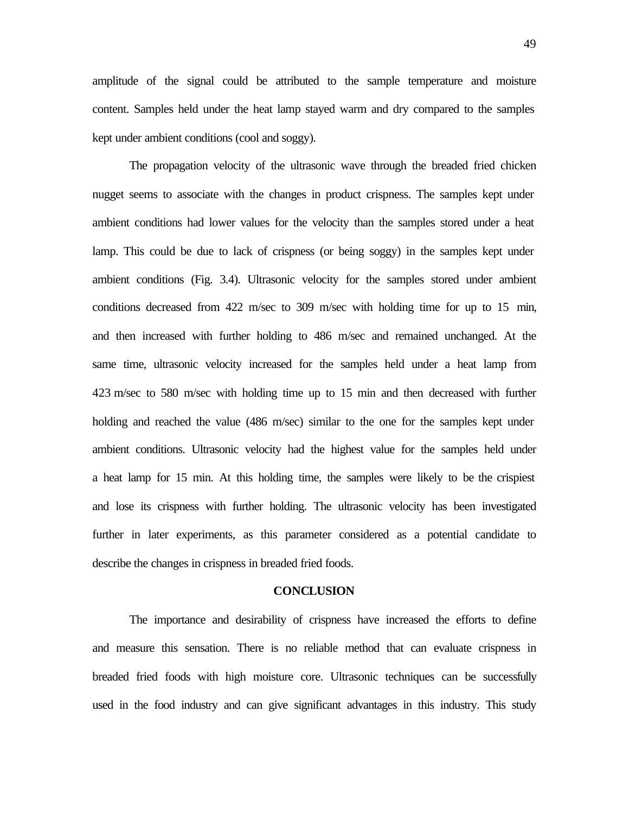amplitude of the signal could be attributed to the sample temperature and moisture content. Samples held under the heat lamp stayed warm and dry compared to the samples kept under ambient conditions (cool and soggy).

The propagation velocity of the ultrasonic wave through the breaded fried chicken nugget seems to associate with the changes in product crispness. The samples kept under ambient conditions had lower values for the velocity than the samples stored under a heat lamp. This could be due to lack of crispness (or being soggy) in the samples kept under ambient conditions (Fig. 3.4). Ultrasonic velocity for the samples stored under ambient conditions decreased from 422 m/sec to 309 m/sec with holding time for up to 15 min, and then increased with further holding to 486 m/sec and remained unchanged. At the same time, ultrasonic velocity increased for the samples held under a heat lamp from 423 m/sec to 580 m/sec with holding time up to 15 min and then decreased with further holding and reached the value (486 m/sec) similar to the one for the samples kept under ambient conditions. Ultrasonic velocity had the highest value for the samples held under a heat lamp for 15 min. At this holding time, the samples were likely to be the crispiest and lose its crispness with further holding. The ultrasonic velocity has been investigated further in later experiments, as this parameter considered as a potential candidate to describe the changes in crispness in breaded fried foods.

#### **CONCLUSION**

The importance and desirability of crispness have increased the efforts to define and measure this sensation. There is no reliable method that can evaluate crispness in breaded fried foods with high moisture core. Ultrasonic techniques can be successfully used in the food industry and can give significant advantages in this industry. This study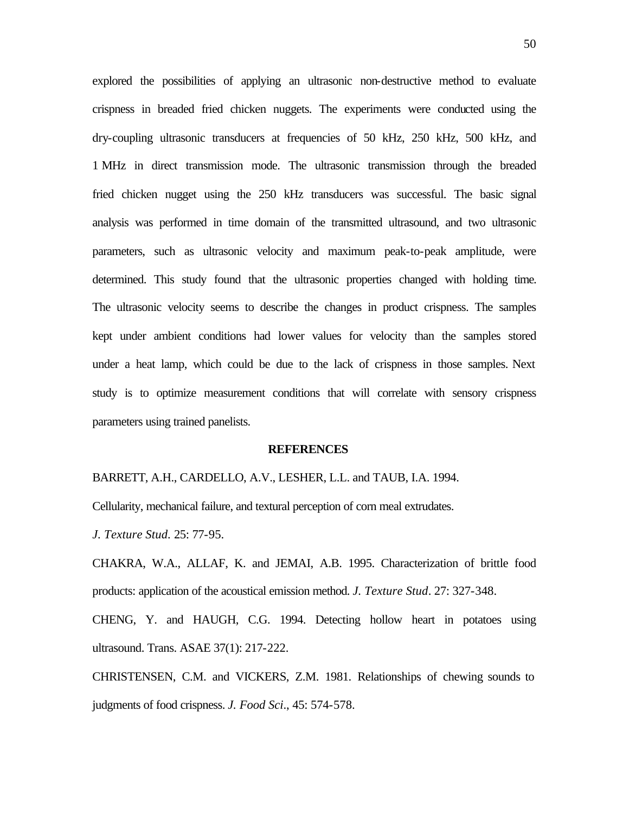explored the possibilities of applying an ultrasonic non-destructive method to evaluate crispness in breaded fried chicken nuggets. The experiments were conducted using the dry-coupling ultrasonic transducers at frequencies of 50 kHz, 250 kHz, 500 kHz, and 1 MHz in direct transmission mode. The ultrasonic transmission through the breaded fried chicken nugget using the 250 kHz transducers was successful. The basic signal analysis was performed in time domain of the transmitted ultrasound, and two ultrasonic parameters, such as ultrasonic velocity and maximum peak-to-peak amplitude, were determined. This study found that the ultrasonic properties changed with holding time. The ultrasonic velocity seems to describe the changes in product crispness. The samples kept under ambient conditions had lower values for velocity than the samples stored under a heat lamp, which could be due to the lack of crispness in those samples. Next study is to optimize measurement conditions that will correlate with sensory crispness parameters using trained panelists.

#### **REFERENCES**

BARRETT, A.H., CARDELLO, A.V., LESHER, L.L. and TAUB, I.A. 1994.

Cellularity, mechanical failure, and textural perception of corn meal extrudates.

*J. Texture Stud.* 25: 77-95.

CHAKRA, W.A., ALLAF, K. and JEMAI, A.B. 1995. Characterization of brittle food products: application of the acoustical emission method. *J. Texture Stud*. 27: 327-348.

CHENG, Y. and HAUGH, C.G. 1994. Detecting hollow heart in potatoes using ultrasound. Trans. ASAE 37(1): 217-222.

CHRISTENSEN, C.M. and VICKERS, Z.M. 1981. Relationships of chewing sounds to judgments of food crispness. *J. Food Sci*., 45: 574-578.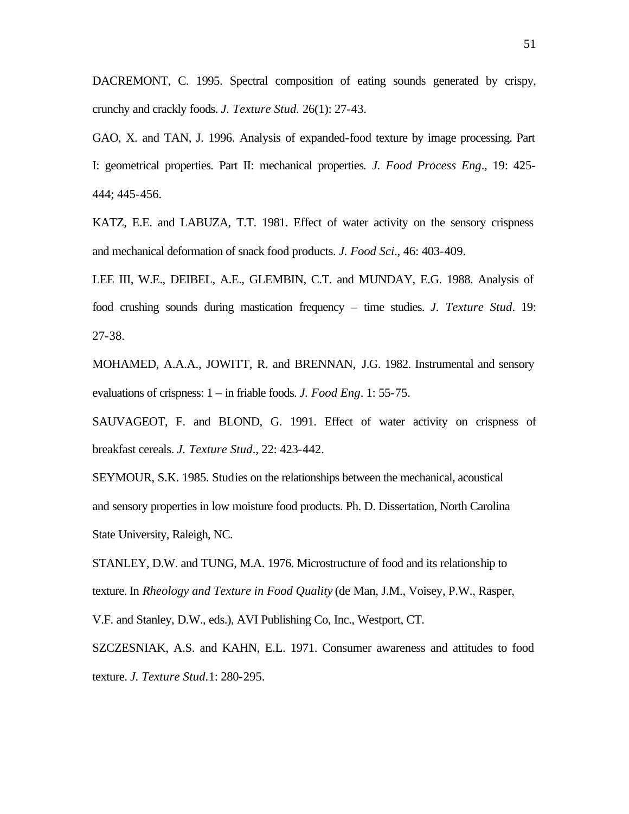DACREMONT, C. 1995. Spectral composition of eating sounds generated by crispy, crunchy and crackly foods. *J. Texture Stud.* 26(1): 27-43.

GAO, X. and TAN, J. 1996. Analysis of expanded-food texture by image processing. Part I: geometrical properties. Part II: mechanical properties*. J. Food Process Eng*., 19: 425- 444; 445-456.

KATZ, E.E. and LABUZA, T.T. 1981. Effect of water activity on the sensory crispness and mechanical deformation of snack food products. *J. Food Sci*., 46: 403-409.

LEE III, W.E., DEIBEL, A.E., GLEMBIN, C.T. and MUNDAY, E.G. 1988. Analysis of food crushing sounds during mastication frequency – time studies. *J. Texture Stud*. 19: 27-38.

MOHAMED, A.A.A., JOWITT, R. and BRENNAN, J.G. 1982. Instrumental and sensory evaluations of crispness: 1 – in friable foods. *J. Food Eng*. 1: 55-75.

SAUVAGEOT, F. and BLOND, G. 1991. Effect of water activity on crispness of breakfast cereals. *J. Texture Stud*., 22: 423-442.

SEYMOUR, S.K. 1985. Studies on the relationships between the mechanical, acoustical and sensory properties in low moisture food products. Ph. D. Dissertation, North Carolina State University, Raleigh, NC.

STANLEY, D.W. and TUNG, M.A. 1976. Microstructure of food and its relationship to texture. In *Rheology and Texture in Food Quality* (de Man, J.M., Voisey, P.W., Rasper,

V.F. and Stanley, D.W., eds.), AVI Publishing Co, Inc., Westport, CT.

SZCZESNIAK, A.S. and KAHN, E.L. 1971. Consumer awareness and attitudes to food texture. *J. Texture Stud.*1: 280-295.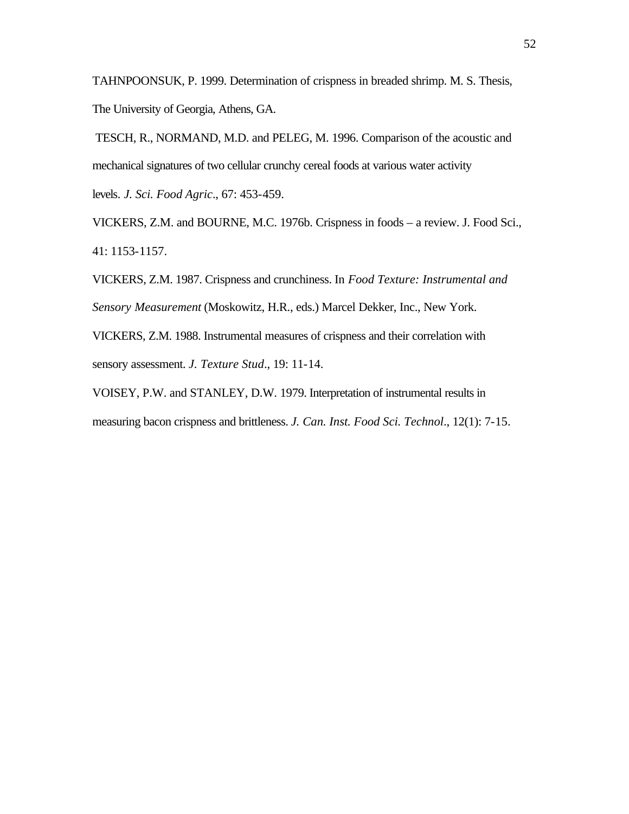TAHNPOONSUK, P. 1999. Determination of crispness in breaded shrimp. M. S. Thesis, The University of Georgia, Athens, GA.

 TESCH, R., NORMAND, M.D. and PELEG, M. 1996. Comparison of the acoustic and mechanical signatures of two cellular crunchy cereal foods at various water activity levels*. J. Sci. Food Agric*., 67: 453-459.

VICKERS, Z.M. and BOURNE, M.C. 1976b. Crispness in foods – a review. J. Food Sci., 41: 1153-1157.

VICKERS, Z.M. 1987. Crispness and crunchiness. In *Food Texture: Instrumental and Sensory Measurement* (Moskowitz, H.R., eds.) Marcel Dekker, Inc., New York.

VICKERS, Z.M. 1988. Instrumental measures of crispness and their correlation with sensory assessment. *J. Texture Stud*., 19: 11-14.

VOISEY, P.W. and STANLEY, D.W. 1979. Interpretation of instrumental results in measuring bacon crispness and brittleness. *J. Can. Inst. Food Sci. Technol*., 12(1): 7-15.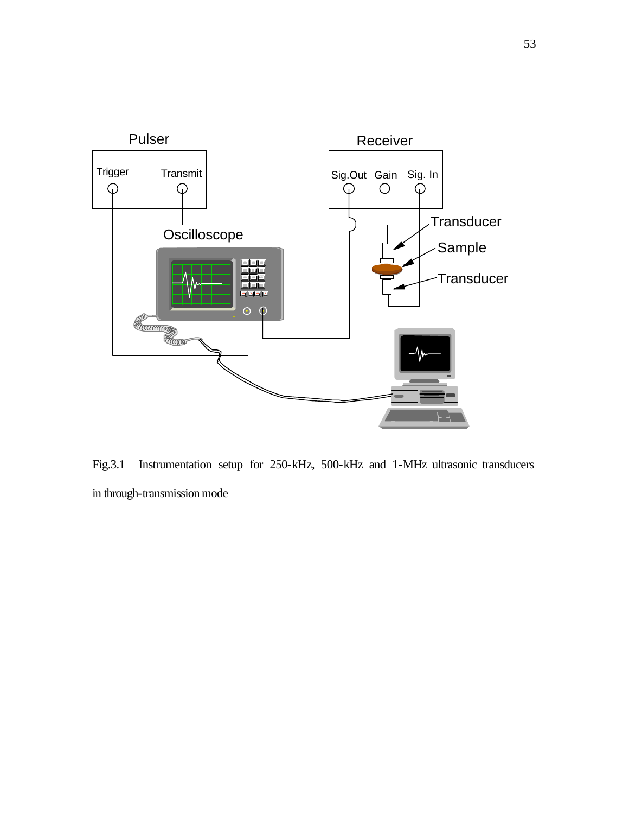

Fig.3.1 Instrumentation setup for 250-kHz, 500-kHz and 1-MHz ultrasonic transducers in through-transmission mode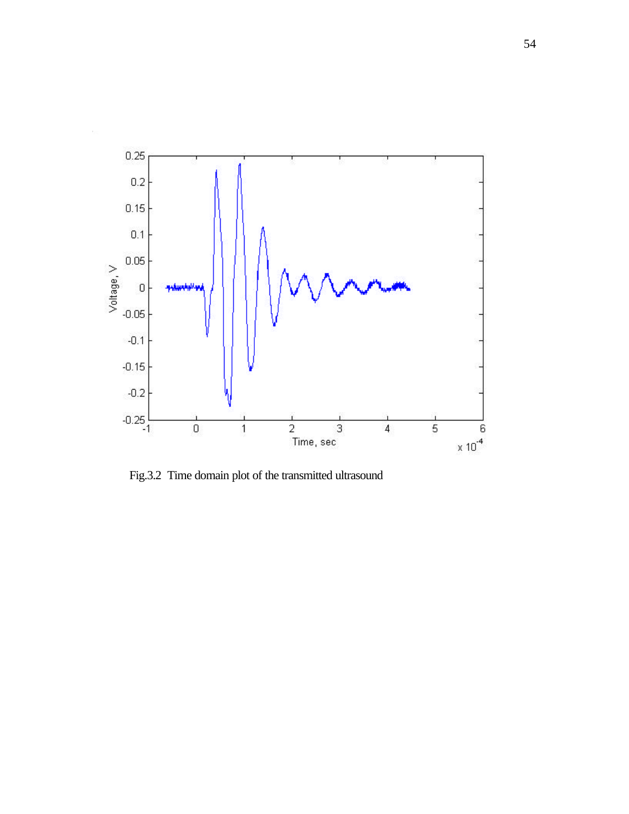

Fig.3.2 Time domain plot of the transmitted ultrasound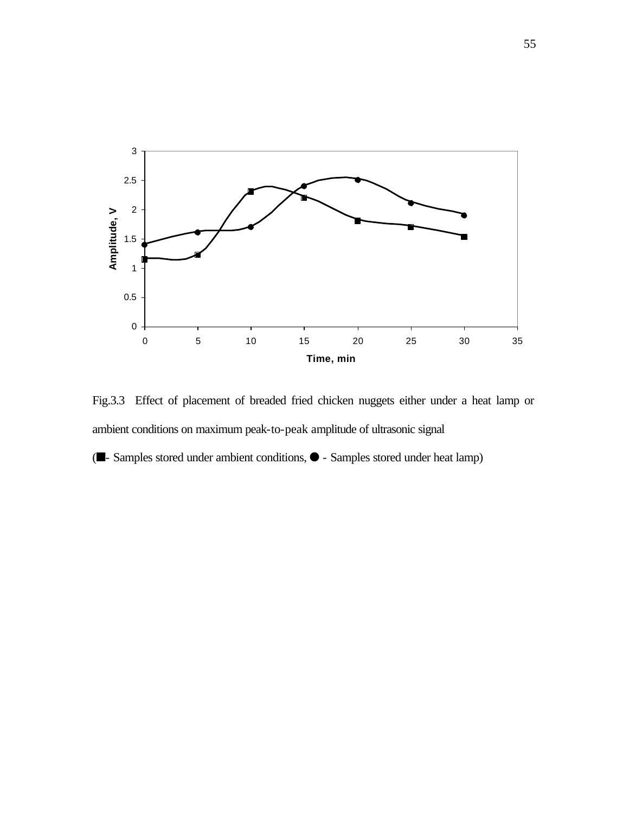

Fig.3.3 Effect of placement of breaded fried chicken nuggets either under a heat lamp or ambient conditions on maximum peak-to-peak amplitude of ultrasonic signal

 $(\blacksquare$ - Samples stored under ambient conditions,  $\lozenge$  - Samples stored under heat lamp)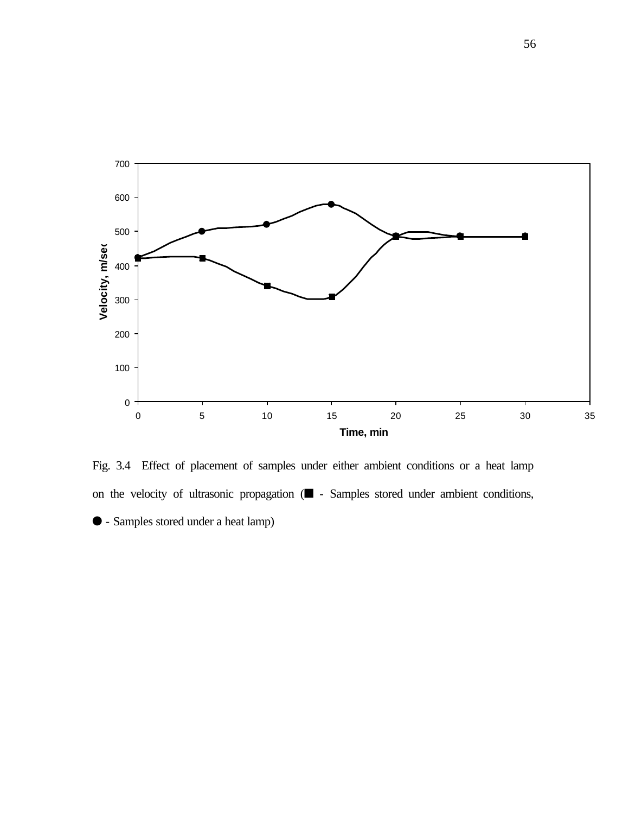

Fig. 3.4 Effect of placement of samples under either ambient conditions or a heat lamp on the velocity of ultrasonic propagation  $($  - Samples stored under ambient conditions, l - Samples stored under a heat lamp)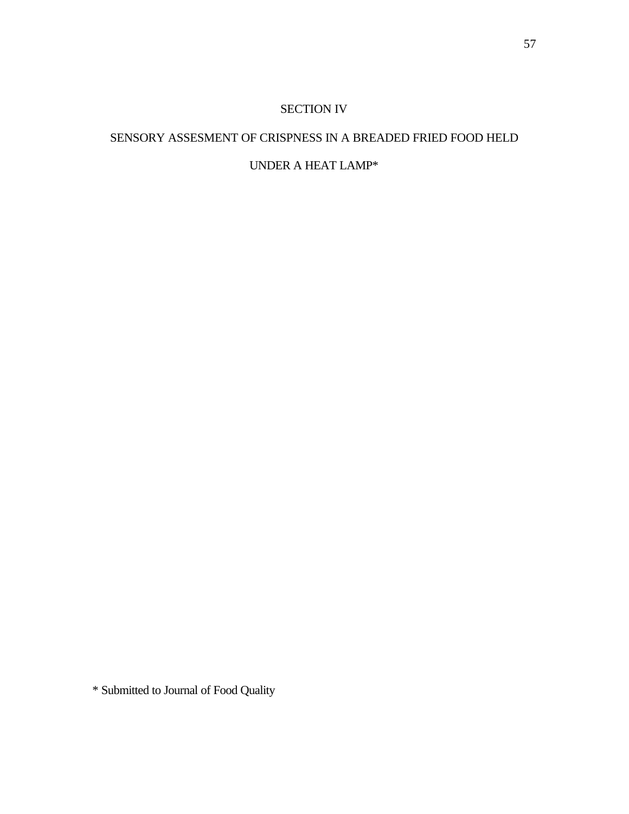# SECTION IV

# SENSORY ASSESMENT OF CRISPNESS IN A BREADED FRIED FOOD HELD

# UNDER A HEAT LAMP\*

\* Submitted to Journal of Food Quality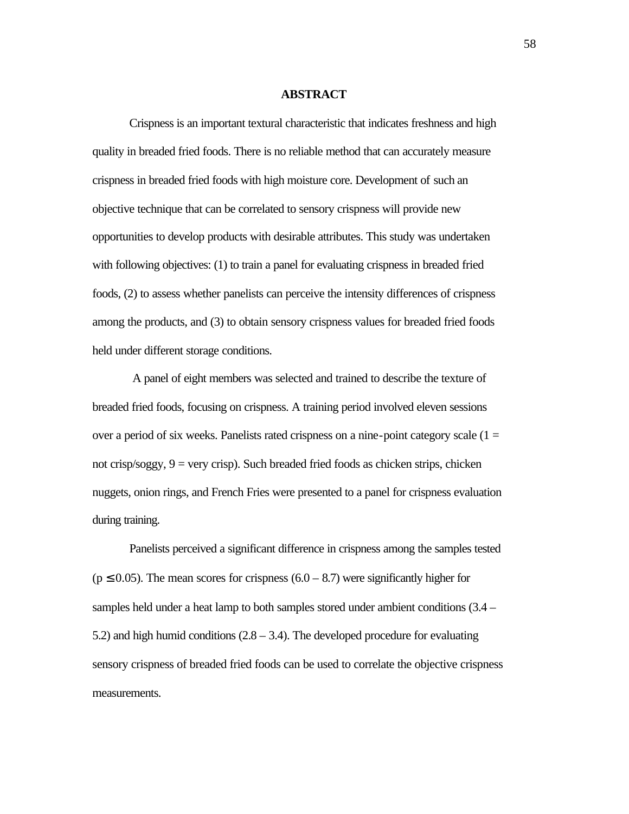#### **ABSTRACT**

Crispness is an important textural characteristic that indicates freshness and high quality in breaded fried foods. There is no reliable method that can accurately measure crispness in breaded fried foods with high moisture core. Development of such an objective technique that can be correlated to sensory crispness will provide new opportunities to develop products with desirable attributes. This study was undertaken with following objectives: (1) to train a panel for evaluating crispness in breaded fried foods, (2) to assess whether panelists can perceive the intensity differences of crispness among the products, and (3) to obtain sensory crispness values for breaded fried foods held under different storage conditions.

 A panel of eight members was selected and trained to describe the texture of breaded fried foods, focusing on crispness. A training period involved eleven sessions over a period of six weeks. Panelists rated crispness on a nine-point category scale  $(1 =$ not crisp/soggy,  $9 = \text{very crisp}$ ). Such breaded fried foods as chicken strips, chicken nuggets, onion rings, and French Fries were presented to a panel for crispness evaluation during training.

Panelists perceived a significant difference in crispness among the samples tested  $(p \le 0.05)$ . The mean scores for crispness  $(6.0 - 8.7)$  were significantly higher for samples held under a heat lamp to both samples stored under ambient conditions (3.4 – 5.2) and high humid conditions  $(2.8 - 3.4)$ . The developed procedure for evaluating sensory crispness of breaded fried foods can be used to correlate the objective crispness measurements.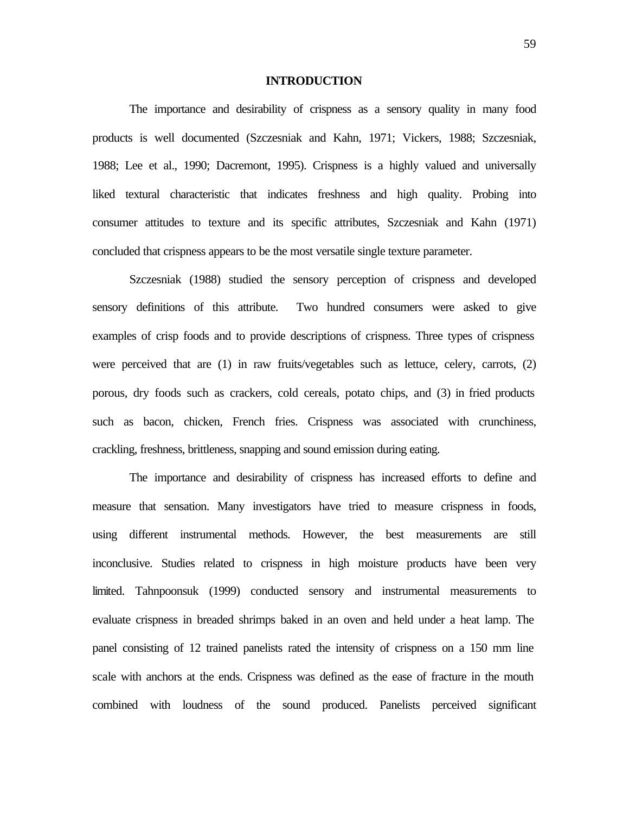#### **INTRODUCTION**

The importance and desirability of crispness as a sensory quality in many food products is well documented (Szczesniak and Kahn, 1971; Vickers, 1988; Szczesniak, 1988; Lee et al., 1990; Dacremont, 1995). Crispness is a highly valued and universally liked textural characteristic that indicates freshness and high quality. Probing into consumer attitudes to texture and its specific attributes, Szczesniak and Kahn (1971) concluded that crispness appears to be the most versatile single texture parameter.

Szczesniak (1988) studied the sensory perception of crispness and developed sensory definitions of this attribute. Two hundred consumers were asked to give examples of crisp foods and to provide descriptions of crispness. Three types of crispness were perceived that are (1) in raw fruits/vegetables such as lettuce, celery, carrots, (2) porous, dry foods such as crackers, cold cereals, potato chips, and (3) in fried products such as bacon, chicken, French fries. Crispness was associated with crunchiness, crackling, freshness, brittleness, snapping and sound emission during eating.

The importance and desirability of crispness has increased efforts to define and measure that sensation. Many investigators have tried to measure crispness in foods, using different instrumental methods. However, the best measurements are still inconclusive. Studies related to crispness in high moisture products have been very limited. Tahnpoonsuk (1999) conducted sensory and instrumental measurements to evaluate crispness in breaded shrimps baked in an oven and held under a heat lamp. The panel consisting of 12 trained panelists rated the intensity of crispness on a 150 mm line scale with anchors at the ends. Crispness was defined as the ease of fracture in the mouth combined with loudness of the sound produced. Panelists perceived significant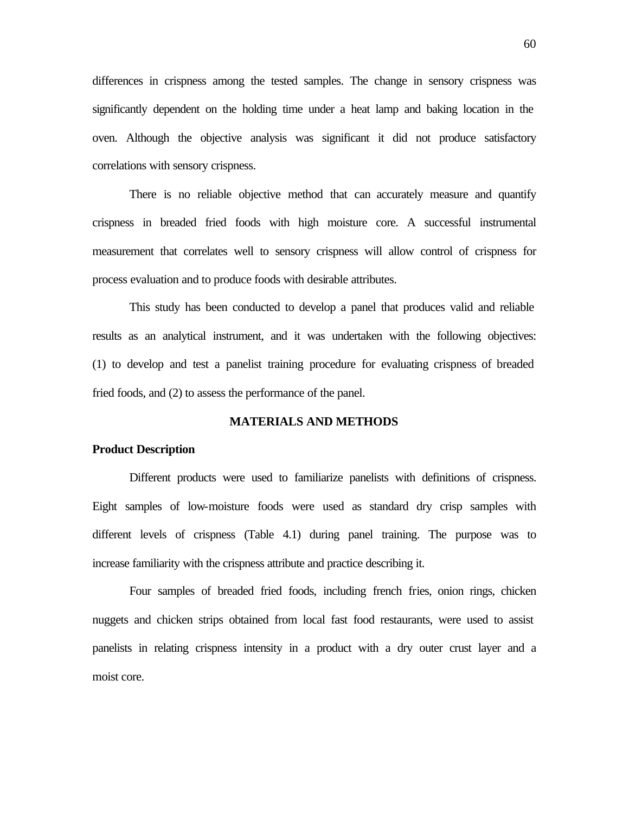differences in crispness among the tested samples. The change in sensory crispness was significantly dependent on the holding time under a heat lamp and baking location in the oven. Although the objective analysis was significant it did not produce satisfactory correlations with sensory crispness.

There is no reliable objective method that can accurately measure and quantify crispness in breaded fried foods with high moisture core. A successful instrumental measurement that correlates well to sensory crispness will allow control of crispness for process evaluation and to produce foods with desirable attributes.

This study has been conducted to develop a panel that produces valid and reliable results as an analytical instrument, and it was undertaken with the following objectives: (1) to develop and test a panelist training procedure for evaluating crispness of breaded fried foods, and (2) to assess the performance of the panel.

#### **MATERIALS AND METHODS**

#### **Product Description**

Different products were used to familiarize panelists with definitions of crispness. Eight samples of low-moisture foods were used as standard dry crisp samples with different levels of crispness (Table 4.1) during panel training. The purpose was to increase familiarity with the crispness attribute and practice describing it.

Four samples of breaded fried foods, including french fries, onion rings, chicken nuggets and chicken strips obtained from local fast food restaurants, were used to assist panelists in relating crispness intensity in a product with a dry outer crust layer and a moist core.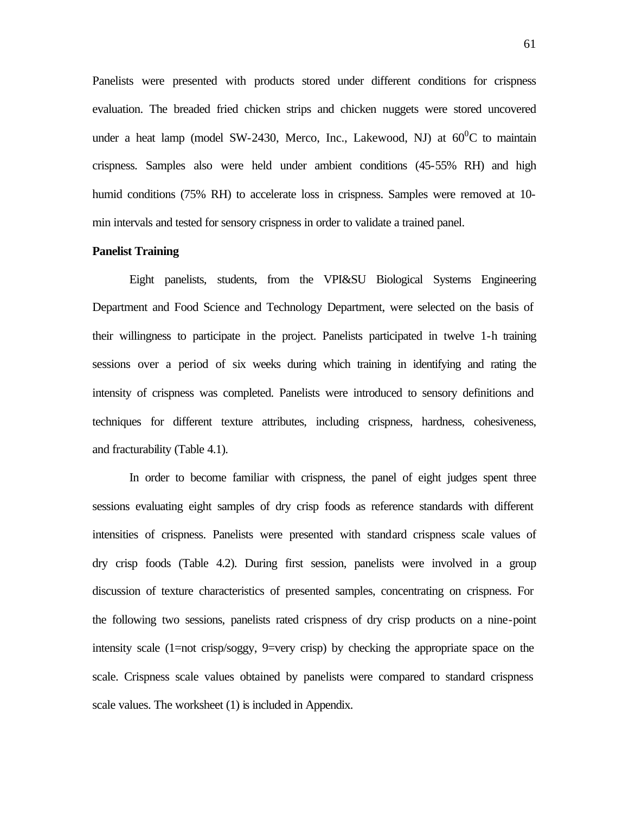Panelists were presented with products stored under different conditions for crispness evaluation. The breaded fried chicken strips and chicken nuggets were stored uncovered under a heat lamp (model SW-2430, Merco, Inc., Lakewood, NJ) at  $60^{\circ}$ C to maintain crispness. Samples also were held under ambient conditions (45-55% RH) and high humid conditions (75% RH) to accelerate loss in crispness. Samples were removed at 10 min intervals and tested for sensory crispness in order to validate a trained panel.

# **Panelist Training**

Eight panelists, students, from the VPI&SU Biological Systems Engineering Department and Food Science and Technology Department, were selected on the basis of their willingness to participate in the project. Panelists participated in twelve 1-h training sessions over a period of six weeks during which training in identifying and rating the intensity of crispness was completed. Panelists were introduced to sensory definitions and techniques for different texture attributes, including crispness, hardness, cohesiveness, and fracturability (Table 4.1).

In order to become familiar with crispness, the panel of eight judges spent three sessions evaluating eight samples of dry crisp foods as reference standards with different intensities of crispness. Panelists were presented with standard crispness scale values of dry crisp foods (Table 4.2). During first session, panelists were involved in a group discussion of texture characteristics of presented samples, concentrating on crispness. For the following two sessions, panelists rated crispness of dry crisp products on a nine-point intensity scale (1=not crisp/soggy, 9=very crisp) by checking the appropriate space on the scale. Crispness scale values obtained by panelists were compared to standard crispness scale values. The worksheet (1) is included in Appendix.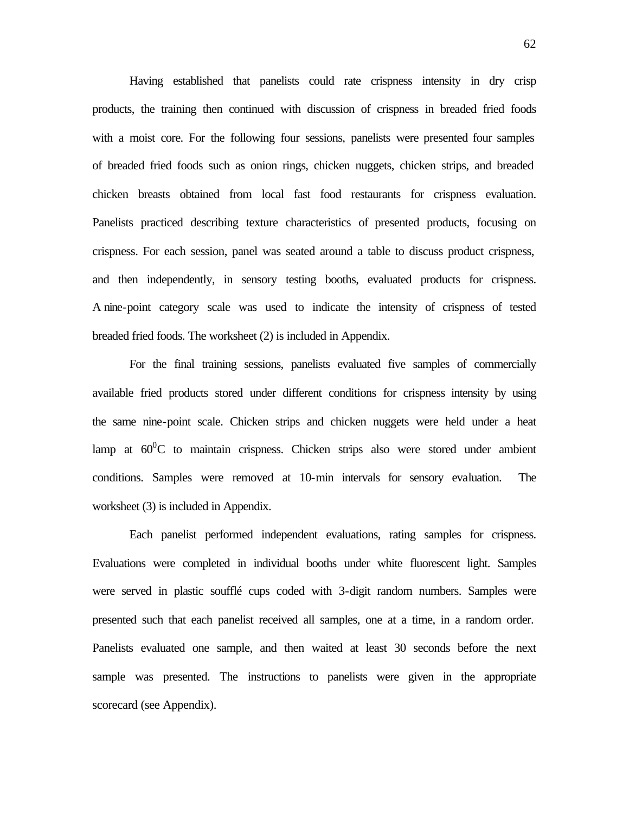Having established that panelists could rate crispness intensity in dry crisp products, the training then continued with discussion of crispness in breaded fried foods with a moist core. For the following four sessions, panelists were presented four samples of breaded fried foods such as onion rings, chicken nuggets, chicken strips, and breaded chicken breasts obtained from local fast food restaurants for crispness evaluation. Panelists practiced describing texture characteristics of presented products, focusing on crispness. For each session, panel was seated around a table to discuss product crispness, and then independently, in sensory testing booths, evaluated products for crispness. A nine-point category scale was used to indicate the intensity of crispness of tested breaded fried foods. The worksheet (2) is included in Appendix.

For the final training sessions, panelists evaluated five samples of commercially available fried products stored under different conditions for crispness intensity by using the same nine-point scale. Chicken strips and chicken nuggets were held under a heat lamp at  $60^{\circ}$ C to maintain crispness. Chicken strips also were stored under ambient conditions. Samples were removed at 10-min intervals for sensory evaluation. The worksheet (3) is included in Appendix.

Each panelist performed independent evaluations, rating samples for crispness. Evaluations were completed in individual booths under white fluorescent light. Samples were served in plastic soufflé cups coded with 3-digit random numbers. Samples were presented such that each panelist received all samples, one at a time, in a random order. Panelists evaluated one sample, and then waited at least 30 seconds before the next sample was presented. The instructions to panelists were given in the appropriate scorecard (see Appendix).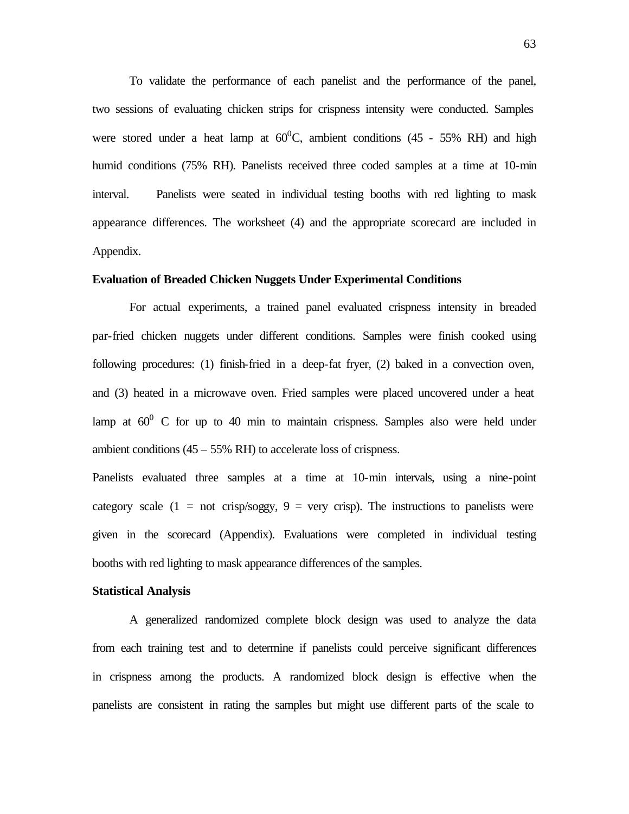To validate the performance of each panelist and the performance of the panel, two sessions of evaluating chicken strips for crispness intensity were conducted. Samples were stored under a heat lamp at  $60^{\circ}$ C, ambient conditions (45 - 55% RH) and high humid conditions (75% RH). Panelists received three coded samples at a time at 10-min interval. Panelists were seated in individual testing booths with red lighting to mask appearance differences. The worksheet (4) and the appropriate scorecard are included in Appendix.

# **Evaluation of Breaded Chicken Nuggets Under Experimental Conditions**

For actual experiments, a trained panel evaluated crispness intensity in breaded par-fried chicken nuggets under different conditions. Samples were finish cooked using following procedures: (1) finish-fried in a deep-fat fryer, (2) baked in a convection oven, and (3) heated in a microwave oven. Fried samples were placed uncovered under a heat lamp at  $60^{\circ}$  C for up to 40 min to maintain crispness. Samples also were held under ambient conditions  $(45 - 55\% \text{ RH})$  to accelerate loss of crispness.

Panelists evaluated three samples at a time at 10-min intervals, using a nine-point category scale  $(1 = not crisp/soggy, 9 = very crisp)$ . The instructions to panelists were given in the scorecard (Appendix). Evaluations were completed in individual testing booths with red lighting to mask appearance differences of the samples.

#### **Statistical Analysis**

A generalized randomized complete block design was used to analyze the data from each training test and to determine if panelists could perceive significant differences in crispness among the products. A randomized block design is effective when the panelists are consistent in rating the samples but might use different parts of the scale to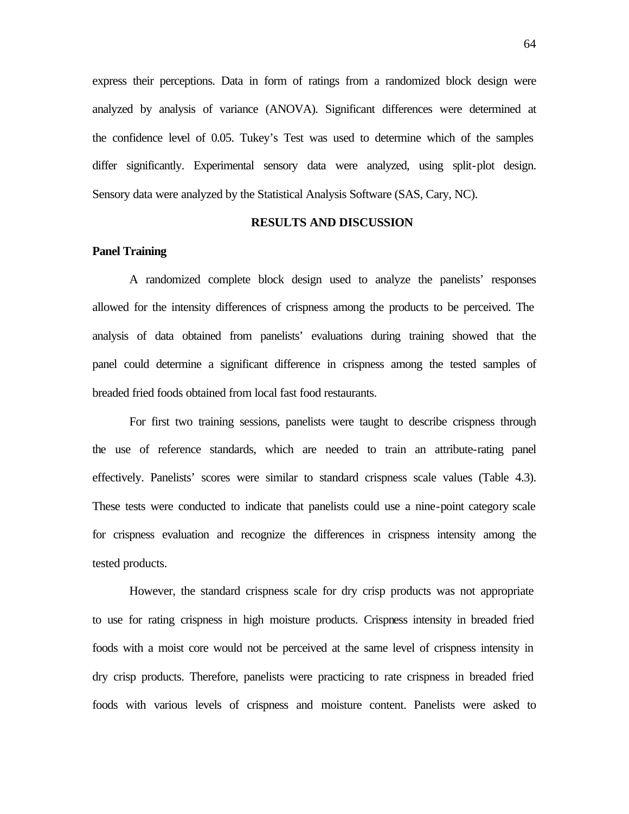express their perceptions. Data in form of ratings from a randomized block design were analyzed by analysis of variance (ANOVA). Significant differences were determined at the confidence level of 0.05. Tukey's Test was used to determine which of the samples differ significantly. Experimental sensory data were analyzed, using split-plot design. Sensory data were analyzed by the Statistical Analysis Software (SAS, Cary, NC).

#### **RESULTS AND DISCUSSION**

#### **Panel Training**

A randomized complete block design used to analyze the panelists' responses allowed for the intensity differences of crispness among the products to be perceived. The analysis of data obtained from panelists' evaluations during training showed that the panel could determine a significant difference in crispness among the tested samples of breaded fried foods obtained from local fast food restaurants.

For first two training sessions, panelists were taught to describe crispness through the use of reference standards, which are needed to train an attribute-rating panel effectively. Panelists' scores were similar to standard crispness scale values (Table 4.3). These tests were conducted to indicate that panelists could use a nine-point category scale for crispness evaluation and recognize the differences in crispness intensity among the tested products.

However, the standard crispness scale for dry crisp products was not appropriate to use for rating crispness in high moisture products. Crispness intensity in breaded fried foods with a moist core would not be perceived at the same level of crispness intensity in dry crisp products. Therefore, panelists were practicing to rate crispness in breaded fried foods with various levels of crispness and moisture content. Panelists were asked to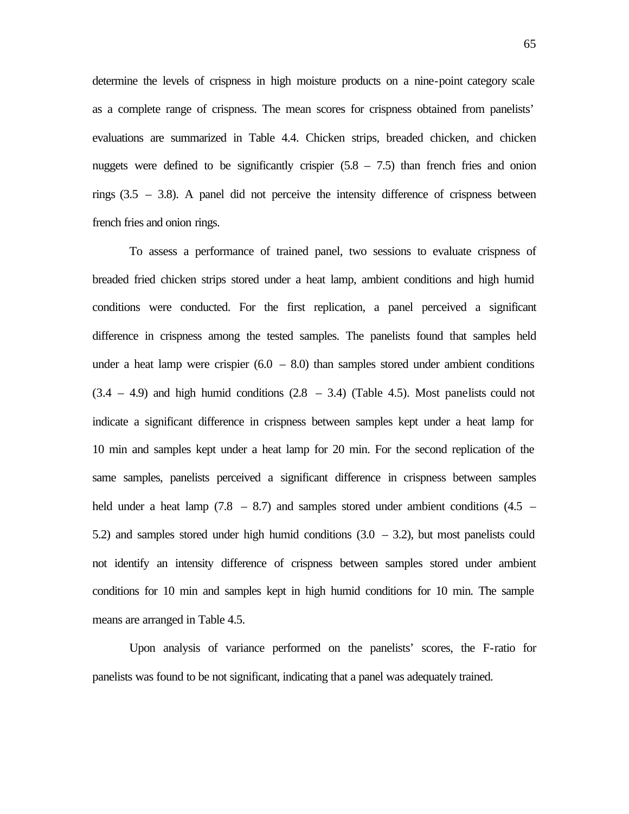determine the levels of crispness in high moisture products on a nine-point category scale as a complete range of crispness. The mean scores for crispness obtained from panelists' evaluations are summarized in Table 4.4. Chicken strips, breaded chicken, and chicken nuggets were defined to be significantly crispier  $(5.8 - 7.5)$  than french fries and onion rings  $(3.5 - 3.8)$ . A panel did not perceive the intensity difference of crispness between french fries and onion rings.

To assess a performance of trained panel, two sessions to evaluate crispness of breaded fried chicken strips stored under a heat lamp, ambient conditions and high humid conditions were conducted. For the first replication, a panel perceived a significant difference in crispness among the tested samples. The panelists found that samples held under a heat lamp were crispier  $(6.0 - 8.0)$  than samples stored under ambient conditions  $(3.4 - 4.9)$  and high humid conditions  $(2.8 - 3.4)$  (Table 4.5). Most panelists could not indicate a significant difference in crispness between samples kept under a heat lamp for 10 min and samples kept under a heat lamp for 20 min. For the second replication of the same samples, panelists perceived a significant difference in crispness between samples held under a heat lamp  $(7.8 - 8.7)$  and samples stored under ambient conditions  $(4.5 -$ 5.2) and samples stored under high humid conditions  $(3.0 - 3.2)$ , but most panelists could not identify an intensity difference of crispness between samples stored under ambient conditions for 10 min and samples kept in high humid conditions for 10 min. The sample means are arranged in Table 4.5.

Upon analysis of variance performed on the panelists' scores, the F-ratio for panelists was found to be not significant, indicating that a panel was adequately trained.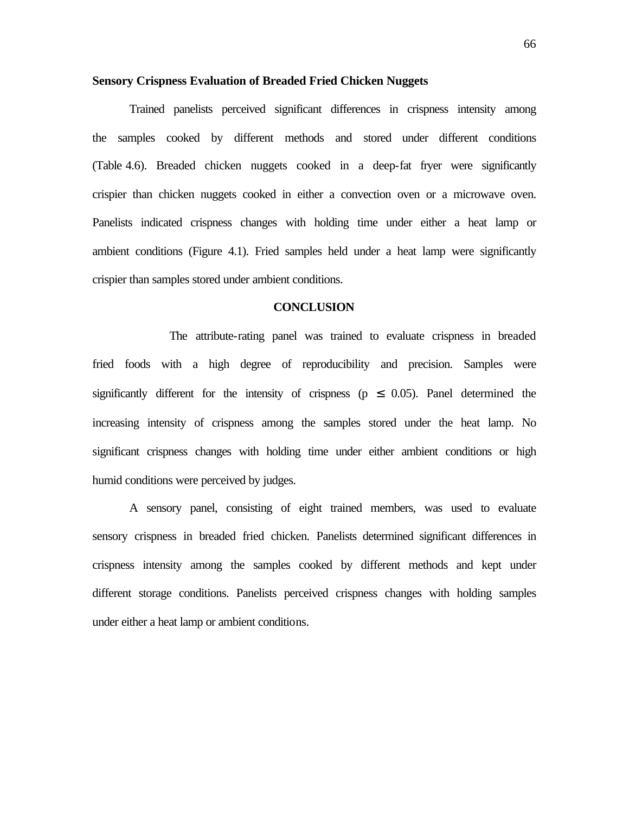#### **Sensory Crispness Evaluation of Breaded Fried Chicken Nuggets**

Trained panelists perceived significant differences in crispness intensity among the samples cooked by different methods and stored under different conditions (Table 4.6). Breaded chicken nuggets cooked in a deep-fat fryer were significantly crispier than chicken nuggets cooked in either a convection oven or a microwave oven. Panelists indicated crispness changes with holding time under either a heat lamp or ambient conditions (Figure 4.1). Fried samples held under a heat lamp were significantly crispier than samples stored under ambient conditions.

#### **CONCLUSION**

 The attribute-rating panel was trained to evaluate crispness in breaded fried foods with a high degree of reproducibility and precision. Samples were significantly different for the intensity of crispness ( $p \leq 0.05$ ). Panel determined the increasing intensity of crispness among the samples stored under the heat lamp. No significant crispness changes with holding time under either ambient conditions or high humid conditions were perceived by judges.

A sensory panel, consisting of eight trained members, was used to evaluate sensory crispness in breaded fried chicken. Panelists determined significant differences in crispness intensity among the samples cooked by different methods and kept under different storage conditions. Panelists perceived crispness changes with holding samples under either a heat lamp or ambient conditions.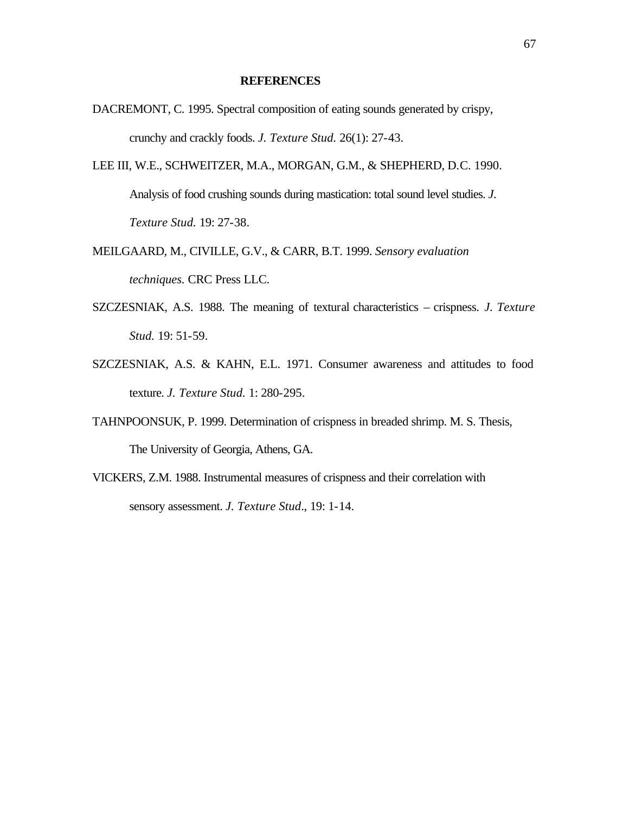#### **REFERENCES**

- DACREMONT, C. 1995. Spectral composition of eating sounds generated by crispy, crunchy and crackly foods. *J. Texture Stud.* 26(1): 27-43.
- LEE III, W.E., SCHWEITZER, M.A., MORGAN, G.M., & SHEPHERD, D.C. 1990. Analysis of food crushing sounds during mastication: total sound level studies. *J. Texture Stud.* 19: 27-38.
- MEILGAARD, M., CIVILLE, G.V., & CARR, B.T. 1999. *Sensory evaluation techniques.* CRC Press LLC.
- SZCZESNIAK, A.S. 1988. The meaning of textural characteristics crispness. *J. Texture Stud.* 19: 51-59.
- SZCZESNIAK, A.S. & KAHN, E.L. 1971. Consumer awareness and attitudes to food texture. *J. Texture Stud.* 1: 280-295.
- TAHNPOONSUK, P. 1999. Determination of crispness in breaded shrimp. M. S. Thesis, The University of Georgia, Athens, GA.
- VICKERS, Z.M. 1988. Instrumental measures of crispness and their correlation with sensory assessment. *J. Texture Stud*., 19: 1-14.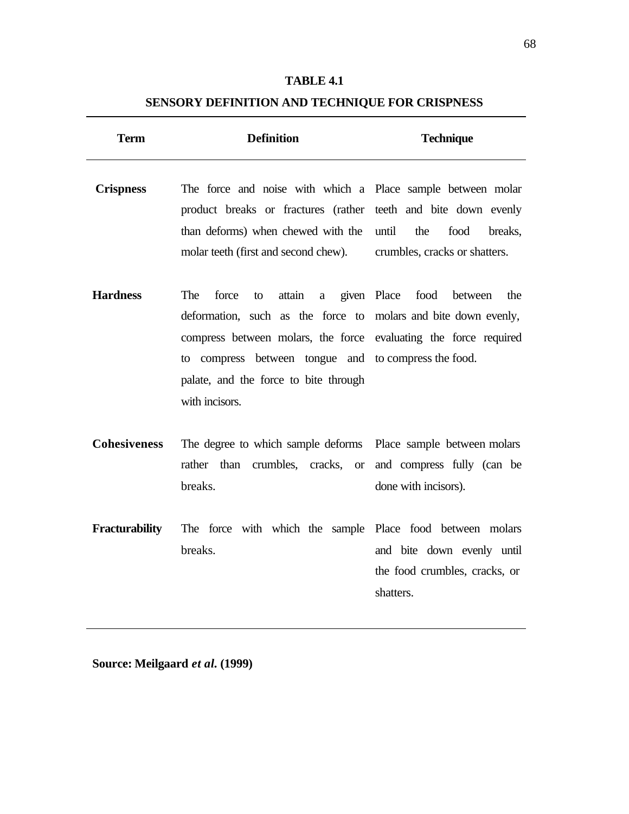# **SENSORY DEFINITION AND TECHNIQUE FOR CRISPNESS**

| <b>Term</b>           | <b>Definition</b>                                                                                                                                                                                                                                                                          | <b>Technique</b>                                                         |
|-----------------------|--------------------------------------------------------------------------------------------------------------------------------------------------------------------------------------------------------------------------------------------------------------------------------------------|--------------------------------------------------------------------------|
| <b>Crispness</b>      | The force and noise with which a Place sample between molar<br>product breaks or fractures (rather teeth and bite down evenly<br>than deforms) when chewed with the<br>molar teeth (first and second chew).                                                                                | the<br>food<br>until<br>breaks,<br>crumbles, cracks or shatters.         |
| <b>Hardness</b>       | The<br>force<br>attain<br>to<br>a<br>deformation, such as the force to molars and bite down evenly,<br>compress between molars, the force evaluating the force required<br>to compress between tongue and to compress the food.<br>palate, and the force to bite through<br>with incisors. | given Place<br>food<br>between<br>the                                    |
| <b>Cohesiveness</b>   | The degree to which sample deforms Place sample between molars<br>rather than<br>crumbles, cracks,<br><b>or</b><br>breaks.                                                                                                                                                                 | and compress fully (can be<br>done with incisors).                       |
| <b>Fracturability</b> | The force with which the sample Place food between molars<br>breaks.                                                                                                                                                                                                                       | and bite down evenly until<br>the food crumbles, cracks, or<br>shatters. |

**Source: Meilgaard** *et al.* **(1999)**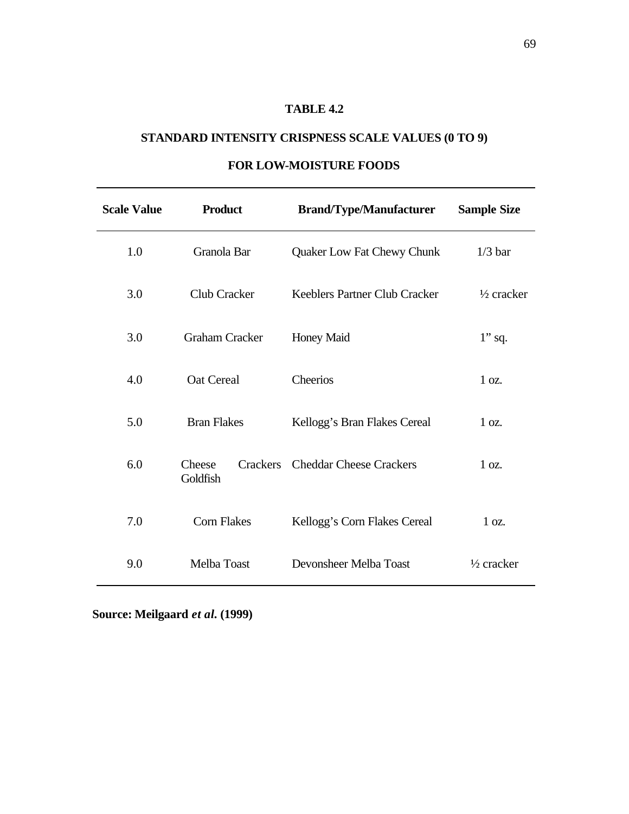# **STANDARD INTENSITY CRISPNESS SCALE VALUES (0 TO 9)**

| <b>Scale Value</b> | <b>Product</b>                        | <b>Brand/Type/Manufacturer</b>       | <b>Sample Size</b>    |
|--------------------|---------------------------------------|--------------------------------------|-----------------------|
| 1.0                | Granola Bar                           | <b>Quaker Low Fat Chewy Chunk</b>    | $1/3$ bar             |
| 3.0                | <b>Club Cracker</b>                   | <b>Keeblers Partner Club Cracker</b> | $\frac{1}{2}$ cracker |
| 3.0                | <b>Graham Cracker</b>                 | <b>Honey Maid</b>                    | $1$ " sq.             |
| 4.0                | Oat Cereal                            | Cheerios                             | $1 \text{ oz.}$       |
| 5.0                | <b>Bran Flakes</b>                    | Kellogg's Bran Flakes Cereal         | $1 \text{ oz.}$       |
| 6.0                | <b>Crackers</b><br>Cheese<br>Goldfish | <b>Cheddar Cheese Crackers</b>       | 1 oz.                 |
| 7.0                | <b>Corn Flakes</b>                    | Kellogg's Corn Flakes Cereal         | $1 \text{ oz.}$       |
| 9.0                | Melba Toast                           | Devonsheer Melba Toast               | $\frac{1}{2}$ cracker |

# **FOR LOW-MOISTURE FOODS**

**Source: Meilgaard** *et al.* **(1999)**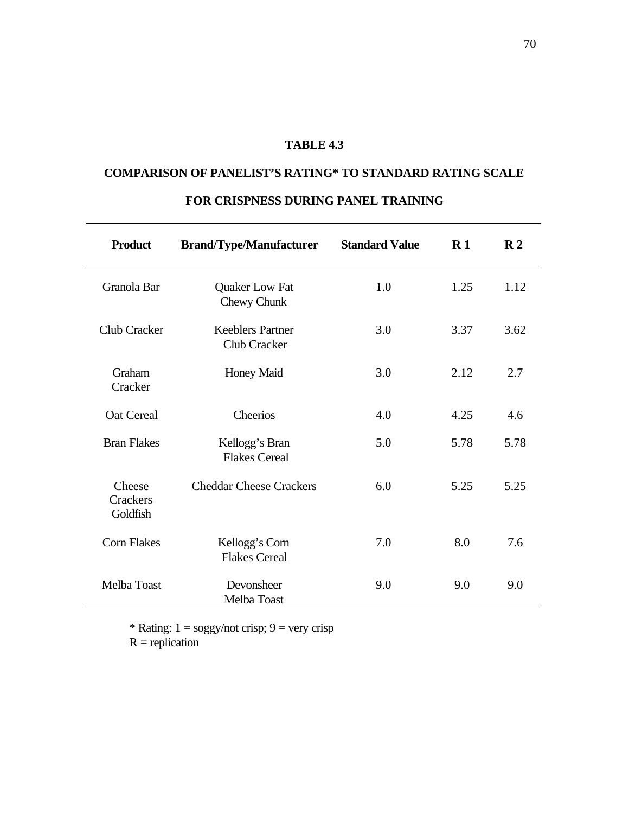# **COMPARISON OF PANELIST'S RATING\* TO STANDARD RATING SCALE**

| <b>Product</b>                        | <b>Brand/Type/Manufacturer</b>                 | <b>Standard Value</b> | $\mathbf{R}1$ | $\mathbb{R}^2$ |
|---------------------------------------|------------------------------------------------|-----------------------|---------------|----------------|
| Granola Bar                           | <b>Quaker Low Fat</b><br>Chewy Chunk           | 1.0                   | 1.25          | 1.12           |
| Club Cracker                          | <b>Keeblers Partner</b><br><b>Club Cracker</b> | 3.0                   | 3.37          | 3.62           |
| Graham<br>Cracker                     | <b>Honey Maid</b>                              | 3.0                   | 2.12          | 2.7            |
| <b>Oat Cereal</b>                     | Cheerios                                       | 4.0                   | 4.25          | 4.6            |
| <b>Bran Flakes</b>                    | Kellogg's Bran<br><b>Flakes Cereal</b>         | 5.0                   | 5.78          | 5.78           |
| Cheese<br><b>Crackers</b><br>Goldfish | <b>Cheddar Cheese Crackers</b>                 | 6.0                   | 5.25          | 5.25           |
| <b>Corn Flakes</b>                    | Kellogg's Corn<br><b>Flakes Cereal</b>         | 7.0                   | 8.0           | 7.6            |
| Melba Toast                           | Devonsheer<br>Melba Toast                      | 9.0                   | 9.0           | 9.0            |

# **FOR CRISPNESS DURING PANEL TRAINING**

\* Rating:  $1 = \text{soggy/not crisp}$ ;  $9 = \text{very crisp}$ 

 $R =$  replication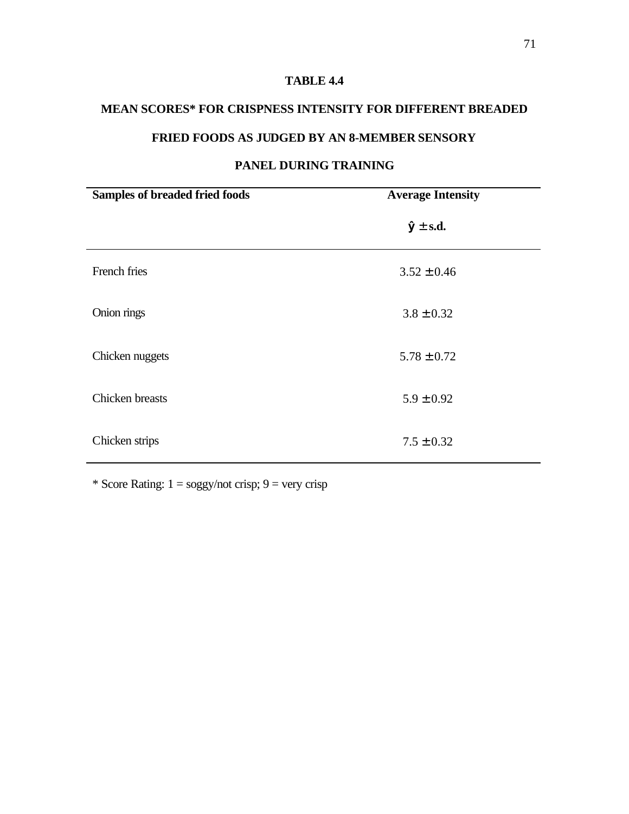## **MEAN SCORES\* FOR CRISPNESS INTENSITY FOR DIFFERENT BREADED**

# **FRIED FOODS AS JUDGED BY AN 8-MEMBER SENSORY**

# **Samples of breaded fried foods Average Intensity**  $\hat{y} \pm s.d.$ French fries  $3.52 \pm 0.46$ Onion rings  $3.8 \pm 0.32$ Chicken nuggets  $5.78 \pm 0.72$ Chicken breasts  $5.9 \pm 0.92$ Chicken strips  $7.5 \pm 0.32$

# **PANEL DURING TRAINING**

\* Score Rating:  $1 = \frac{\text{logy}}{\text{not}}$  crisp;  $9 = \text{very}}$  crisp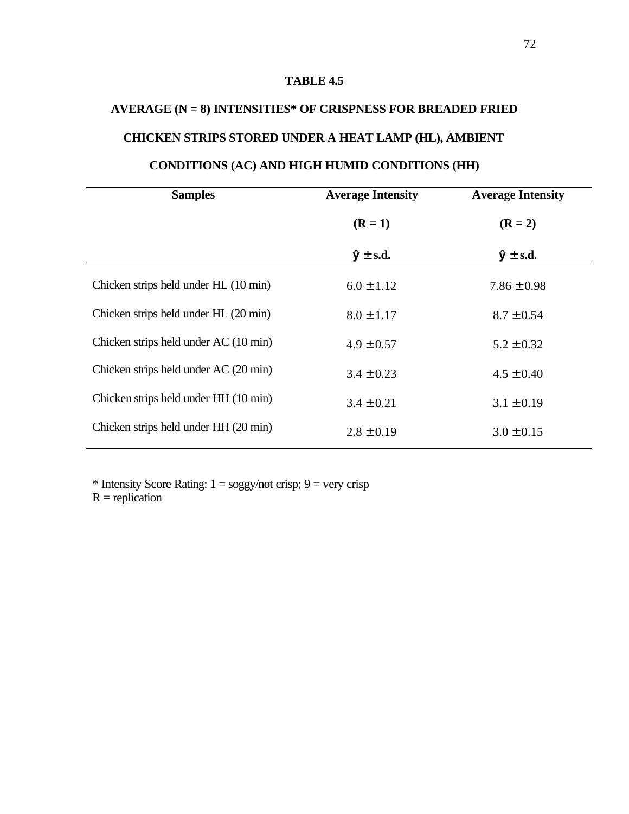# **AVERAGE (N = 8) INTENSITIES\* OF CRISPNESS FOR BREADED FRIED CHICKEN STRIPS STORED UNDER A HEAT LAMP (HL), AMBIENT**

# **CONDITIONS (AC) AND HIGH HUMID CONDITIONS (HH)**

| <b>Samples</b>                        | <b>Average Intensity</b> | <b>Average Intensity</b> |
|---------------------------------------|--------------------------|--------------------------|
|                                       | $(R = 1)$                | $(R = 2)$                |
|                                       | $\hat{y} \pm$ s.d.       | $\hat{y} \pm$ s.d.       |
| Chicken strips held under HL (10 min) | $6.0 \pm 1.12$           | $7.86 \pm 0.98$          |
| Chicken strips held under HL (20 min) | $8.0 \pm 1.17$           | $8.7 \pm 0.54$           |
| Chicken strips held under AC (10 min) | $4.9 \pm 0.57$           | $5.2 \pm 0.32$           |
| Chicken strips held under AC (20 min) | $3.4 \pm 0.23$           | $4.5 \pm 0.40$           |
| Chicken strips held under HH (10 min) | $3.4 \pm 0.21$           | $3.1 \pm 0.19$           |
| Chicken strips held under HH (20 min) | $2.8 \pm 0.19$           | $3.0 \pm 0.15$           |

\* Intensity Score Rating:  $1 =$  soggy/not crisp;  $9 =$  very crisp

 $R =$  replication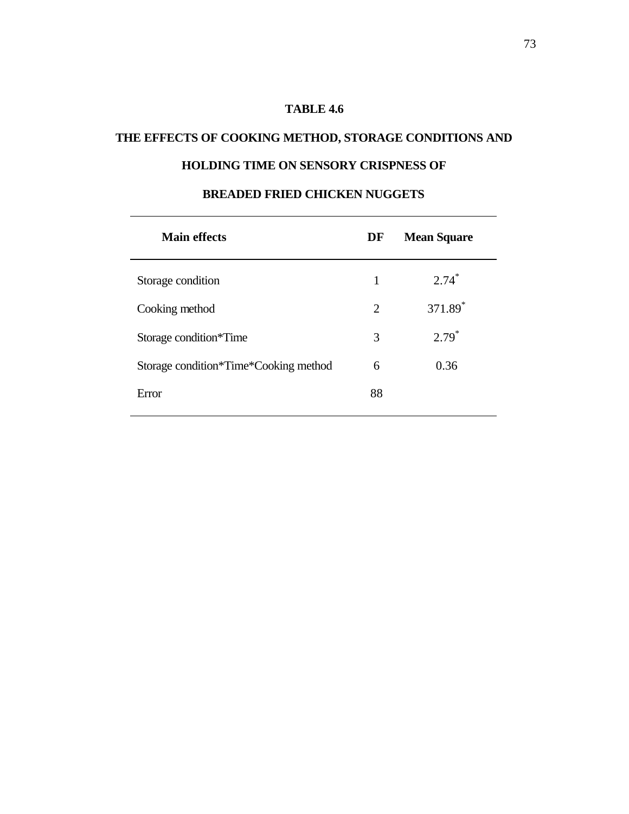# **THE EFFECTS OF COOKING METHOD, STORAGE CONDITIONS AND**

# **HOLDING TIME ON SENSORY CRISPNESS OF**

| <b>Main effects</b>                   | DF             | <b>Mean Square</b>  |
|---------------------------------------|----------------|---------------------|
| Storage condition                     | 1              | $2.74*$             |
| Cooking method                        | $\overline{2}$ | 371.89 <sup>*</sup> |
| Storage condition*Time                | 3              | $2.79*$             |
| Storage condition*Time*Cooking method | 6              | 0.36                |
| Error                                 | 88             |                     |
|                                       |                |                     |

## **BREADED FRIED CHICKEN NUGGETS**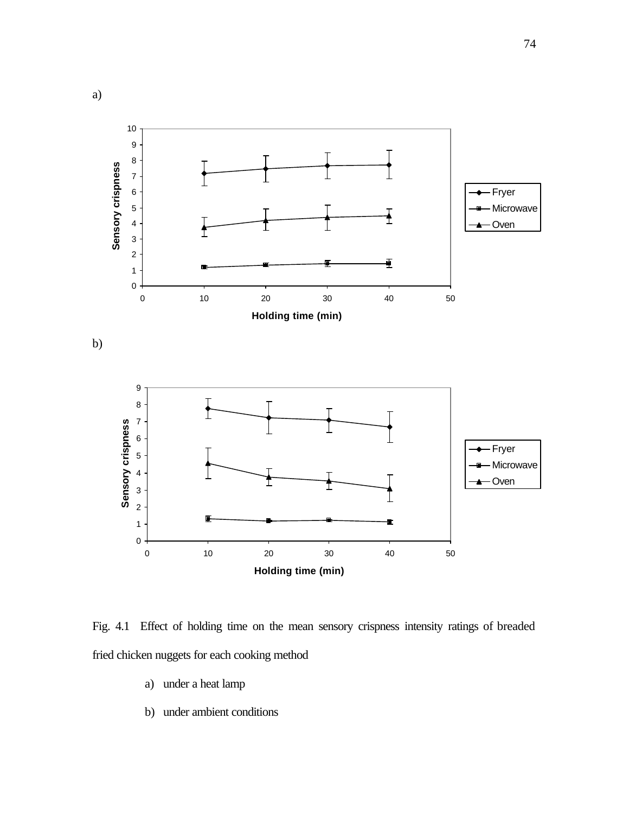

Fig. 4.1 Effect of holding time on the mean sensory crispness intensity ratings of breaded fried chicken nuggets for each cooking method

- a) under a heat lamp
- b) under ambient conditions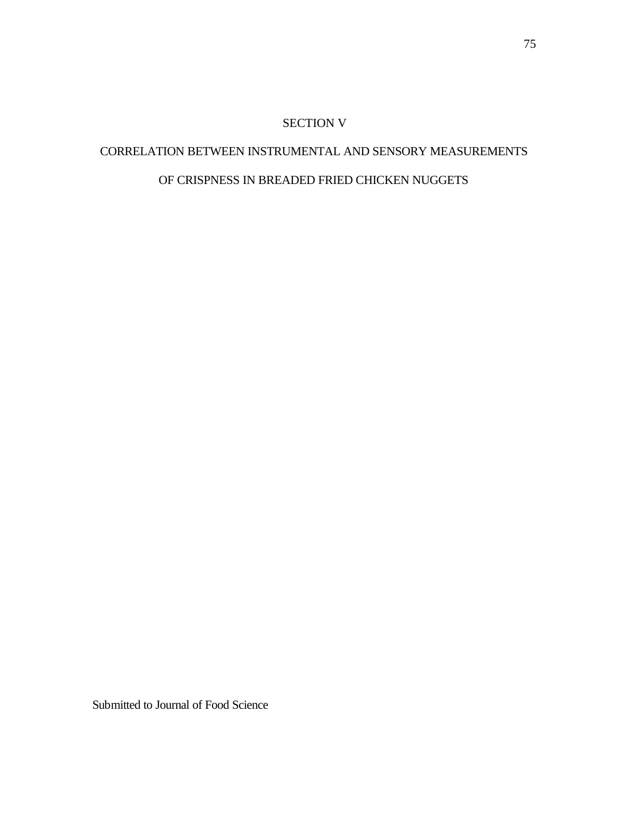#### SECTION V

# CORRELATION BETWEEN INSTRUMENTAL AND SENSORY MEASUREMENTS OF CRISPNESS IN BREADED FRIED CHICKEN NUGGETS

Submitted to Journal of Food Science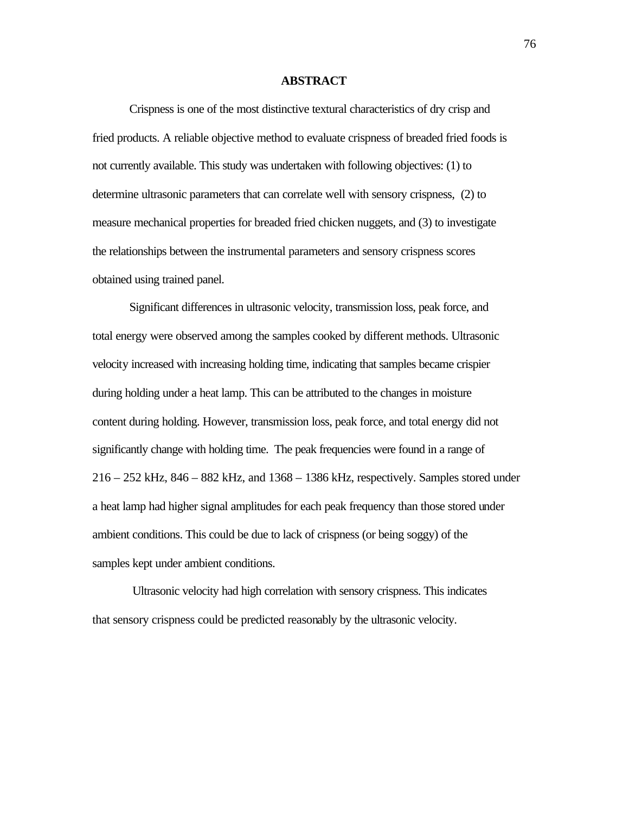#### **ABSTRACT**

Crispness is one of the most distinctive textural characteristics of dry crisp and fried products. A reliable objective method to evaluate crispness of breaded fried foods is not currently available. This study was undertaken with following objectives: (1) to determine ultrasonic parameters that can correlate well with sensory crispness, (2) to measure mechanical properties for breaded fried chicken nuggets, and (3) to investigate the relationships between the instrumental parameters and sensory crispness scores obtained using trained panel.

Significant differences in ultrasonic velocity, transmission loss, peak force, and total energy were observed among the samples cooked by different methods. Ultrasonic velocity increased with increasing holding time, indicating that samples became crispier during holding under a heat lamp. This can be attributed to the changes in moisture content during holding. However, transmission loss, peak force, and total energy did not significantly change with holding time. The peak frequencies were found in a range of 216 – 252 kHz, 846 – 882 kHz, and 1368 – 1386 kHz, respectively. Samples stored under a heat lamp had higher signal amplitudes for each peak frequency than those stored under ambient conditions. This could be due to lack of crispness (or being soggy) of the samples kept under ambient conditions.

 Ultrasonic velocity had high correlation with sensory crispness. This indicates that sensory crispness could be predicted reasonably by the ultrasonic velocity.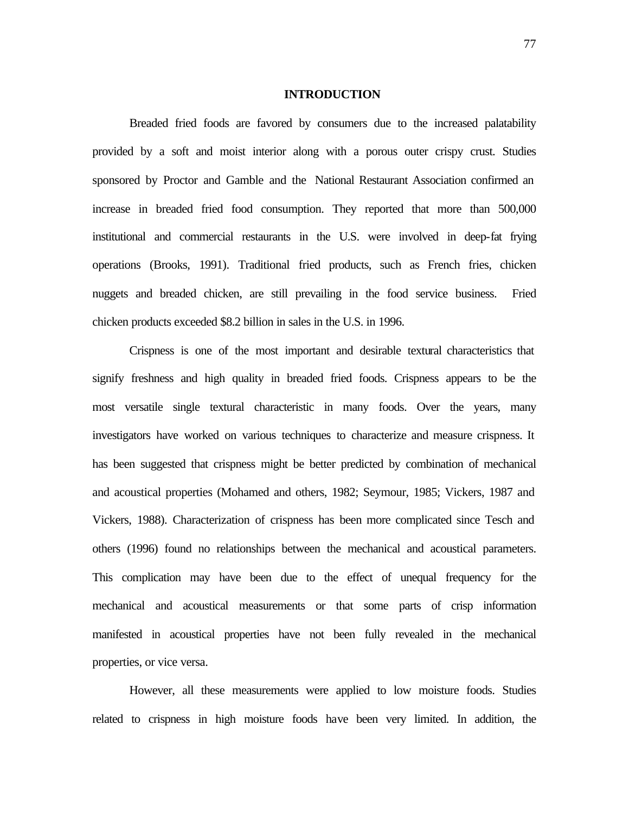#### **INTRODUCTION**

Breaded fried foods are favored by consumers due to the increased palatability provided by a soft and moist interior along with a porous outer crispy crust. Studies sponsored by Proctor and Gamble and the National Restaurant Association confirmed an increase in breaded fried food consumption. They reported that more than 500,000 institutional and commercial restaurants in the U.S. were involved in deep-fat frying operations (Brooks, 1991). Traditional fried products, such as French fries, chicken nuggets and breaded chicken, are still prevailing in the food service business. Fried chicken products exceeded \$8.2 billion in sales in the U.S. in 1996.

Crispness is one of the most important and desirable textural characteristics that signify freshness and high quality in breaded fried foods. Crispness appears to be the most versatile single textural characteristic in many foods. Over the years, many investigators have worked on various techniques to characterize and measure crispness. It has been suggested that crispness might be better predicted by combination of mechanical and acoustical properties (Mohamed and others, 1982; Seymour, 1985; Vickers, 1987 and Vickers, 1988). Characterization of crispness has been more complicated since Tesch and others (1996) found no relationships between the mechanical and acoustical parameters. This complication may have been due to the effect of unequal frequency for the mechanical and acoustical measurements or that some parts of crisp information manifested in acoustical properties have not been fully revealed in the mechanical properties, or vice versa.

However, all these measurements were applied to low moisture foods. Studies related to crispness in high moisture foods have been very limited. In addition, the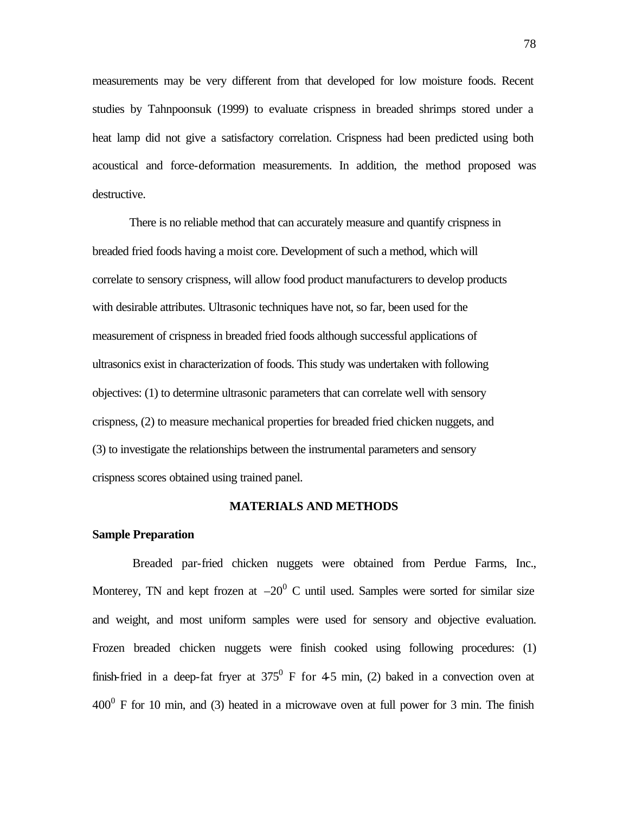measurements may be very different from that developed for low moisture foods. Recent studies by Tahnpoonsuk (1999) to evaluate crispness in breaded shrimps stored under a heat lamp did not give a satisfactory correlation. Crispness had been predicted using both acoustical and force-deformation measurements. In addition, the method proposed was destructive.

There is no reliable method that can accurately measure and quantify crispness in breaded fried foods having a moist core. Development of such a method, which will correlate to sensory crispness, will allow food product manufacturers to develop products with desirable attributes. Ultrasonic techniques have not, so far, been used for the measurement of crispness in breaded fried foods although successful applications of ultrasonics exist in characterization of foods. This study was undertaken with following objectives: (1) to determine ultrasonic parameters that can correlate well with sensory crispness, (2) to measure mechanical properties for breaded fried chicken nuggets, and (3) to investigate the relationships between the instrumental parameters and sensory crispness scores obtained using trained panel.

#### **MATERIALS AND METHODS**

#### **Sample Preparation**

 Breaded par-fried chicken nuggets were obtained from Perdue Farms, Inc., Monterey, TN and kept frozen at  $-20^0$  C until used. Samples were sorted for similar size and weight, and most uniform samples were used for sensory and objective evaluation. Frozen breaded chicken nuggets were finish cooked using following procedures: (1) finish-fried in a deep-fat fryer at  $375^{\circ}$  F for 45 min, (2) baked in a convection oven at  $400<sup>0</sup>$  F for 10 min, and (3) heated in a microwave oven at full power for 3 min. The finish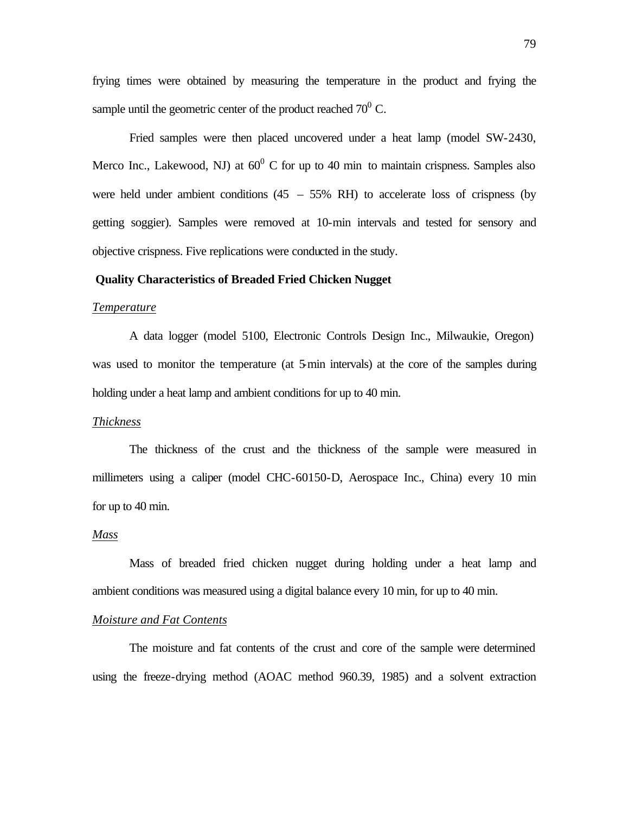frying times were obtained by measuring the temperature in the product and frying the sample until the geometric center of the product reached  $70^0$  C.

Fried samples were then placed uncovered under a heat lamp (model SW-2430, Merco Inc., Lakewood, NJ) at  $60^{\circ}$  C for up to 40 min to maintain crispness. Samples also were held under ambient conditions  $(45 - 55\% \text{ RH})$  to accelerate loss of crispness (by getting soggier). Samples were removed at 10-min intervals and tested for sensory and objective crispness. Five replications were conducted in the study.

#### **Quality Characteristics of Breaded Fried Chicken Nugget**

#### *Temperature*

A data logger (model 5100, Electronic Controls Design Inc., Milwaukie, Oregon) was used to monitor the temperature (at 5-min intervals) at the core of the samples during holding under a heat lamp and ambient conditions for up to 40 min.

#### *Thickness*

The thickness of the crust and the thickness of the sample were measured in millimeters using a caliper (model CHC-60150-D, Aerospace Inc., China) every 10 min for up to 40 min.

#### *Mass*

Mass of breaded fried chicken nugget during holding under a heat lamp and ambient conditions was measured using a digital balance every 10 min, for up to 40 min.

#### *Moisture and Fat Contents*

The moisture and fat contents of the crust and core of the sample were determined using the freeze-drying method (AOAC method 960.39, 1985) and a solvent extraction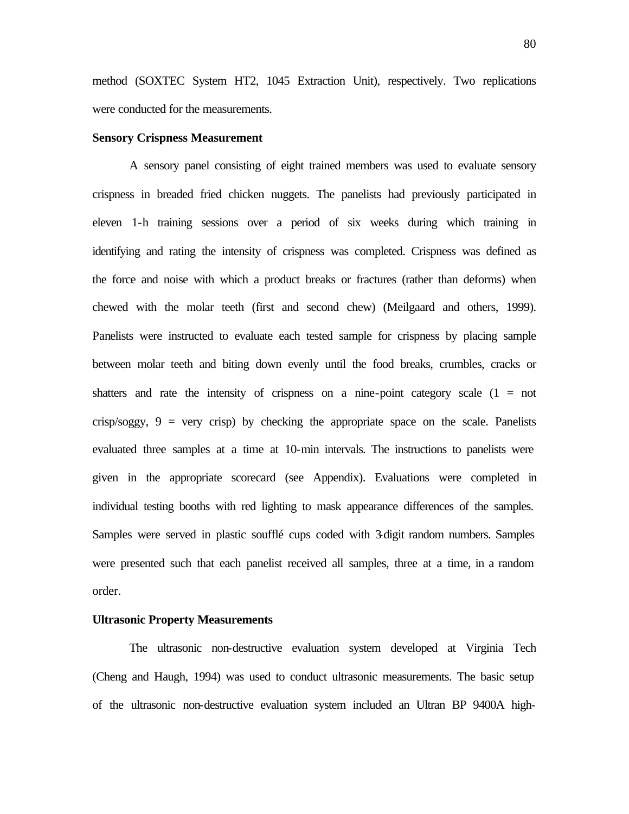method (SOXTEC System HT2, 1045 Extraction Unit), respectively. Two replications were conducted for the measurements.

#### **Sensory Crispness Measurement**

A sensory panel consisting of eight trained members was used to evaluate sensory crispness in breaded fried chicken nuggets. The panelists had previously participated in eleven 1-h training sessions over a period of six weeks during which training in identifying and rating the intensity of crispness was completed. Crispness was defined as the force and noise with which a product breaks or fractures (rather than deforms) when chewed with the molar teeth (first and second chew) (Meilgaard and others, 1999). Panelists were instructed to evaluate each tested sample for crispness by placing sample between molar teeth and biting down evenly until the food breaks, crumbles, cracks or shatters and rate the intensity of crispness on a nine-point category scale  $(1 = not$ crisp/soggy,  $9 = \text{very crisp}$  by checking the appropriate space on the scale. Panelists evaluated three samples at a time at 10-min intervals. The instructions to panelists were given in the appropriate scorecard (see Appendix). Evaluations were completed in individual testing booths with red lighting to mask appearance differences of the samples. Samples were served in plastic soufflé cups coded with 3-digit random numbers. Samples were presented such that each panelist received all samples, three at a time, in a random order.

#### **Ultrasonic Property Measurements**

The ultrasonic non-destructive evaluation system developed at Virginia Tech (Cheng and Haugh, 1994) was used to conduct ultrasonic measurements. The basic setup of the ultrasonic non-destructive evaluation system included an Ultran BP 9400A high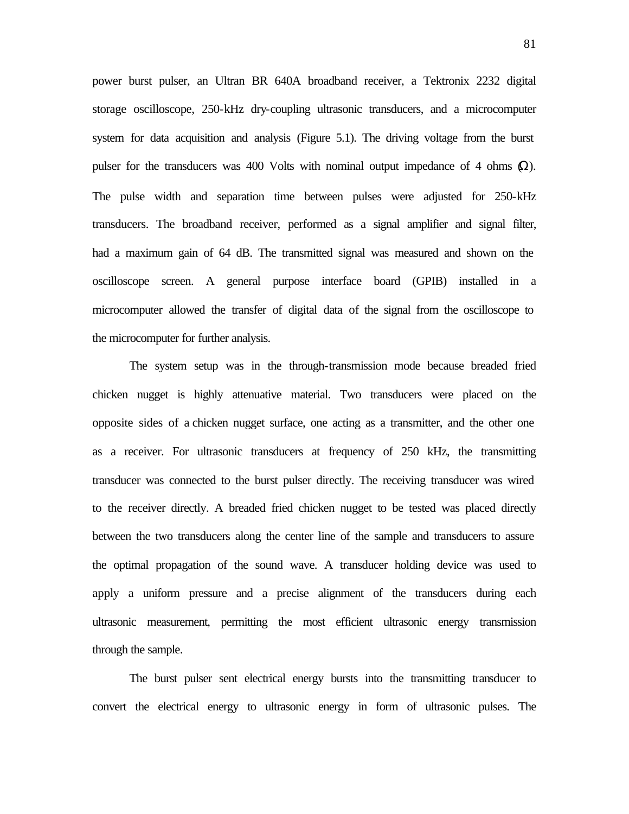power burst pulser, an Ultran BR 640A broadband receiver, a Tektronix 2232 digital storage oscilloscope, 250-kHz dry-coupling ultrasonic transducers, and a microcomputer system for data acquisition and analysis (Figure 5.1). The driving voltage from the burst pulser for the transducers was 400 Volts with nominal output impedance of 4 ohms  $\Omega$ ). The pulse width and separation time between pulses were adjusted for 250-kHz transducers. The broadband receiver, performed as a signal amplifier and signal filter, had a maximum gain of 64 dB. The transmitted signal was measured and shown on the oscilloscope screen. A general purpose interface board (GPIB) installed in a microcomputer allowed the transfer of digital data of the signal from the oscilloscope to the microcomputer for further analysis.

The system setup was in the through-transmission mode because breaded fried chicken nugget is highly attenuative material. Two transducers were placed on the opposite sides of a chicken nugget surface, one acting as a transmitter, and the other one as a receiver. For ultrasonic transducers at frequency of 250 kHz, the transmitting transducer was connected to the burst pulser directly. The receiving transducer was wired to the receiver directly. A breaded fried chicken nugget to be tested was placed directly between the two transducers along the center line of the sample and transducers to assure the optimal propagation of the sound wave. A transducer holding device was used to apply a uniform pressure and a precise alignment of the transducers during each ultrasonic measurement, permitting the most efficient ultrasonic energy transmission through the sample.

The burst pulser sent electrical energy bursts into the transmitting transducer to convert the electrical energy to ultrasonic energy in form of ultrasonic pulses. The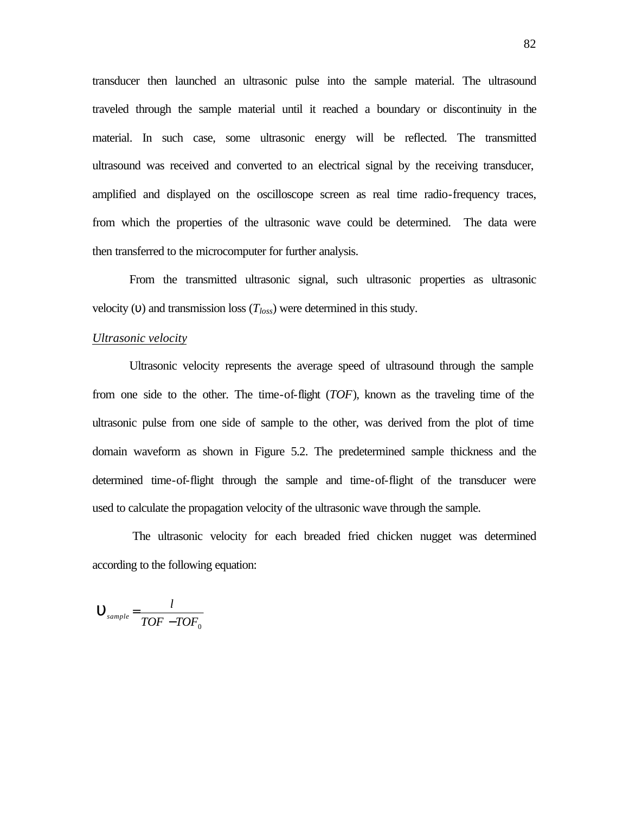transducer then launched an ultrasonic pulse into the sample material. The ultrasound traveled through the sample material until it reached a boundary or discontinuity in the material. In such case, some ultrasonic energy will be reflected. The transmitted ultrasound was received and converted to an electrical signal by the receiving transducer, amplified and displayed on the oscilloscope screen as real time radio-frequency traces, from which the properties of the ultrasonic wave could be determined. The data were then transferred to the microcomputer for further analysis.

From the transmitted ultrasonic signal, such ultrasonic properties as ultrasonic velocity (υ) and transmission loss (*Tloss*) were determined in this study.

#### *Ultrasonic velocity*

Ultrasonic velocity represents the average speed of ultrasound through the sample from one side to the other. The time-of-flight (*TOF*), known as the traveling time of the ultrasonic pulse from one side of sample to the other, was derived from the plot of time domain waveform as shown in Figure 5.2. The predetermined sample thickness and the determined time-of-flight through the sample and time-of-flight of the transducer were used to calculate the propagation velocity of the ultrasonic wave through the sample.

 The ultrasonic velocity for each breaded fried chicken nugget was determined according to the following equation:

$$
\mathbf{U}_{\text{sample}} = \frac{l}{TOF - TOF_0}
$$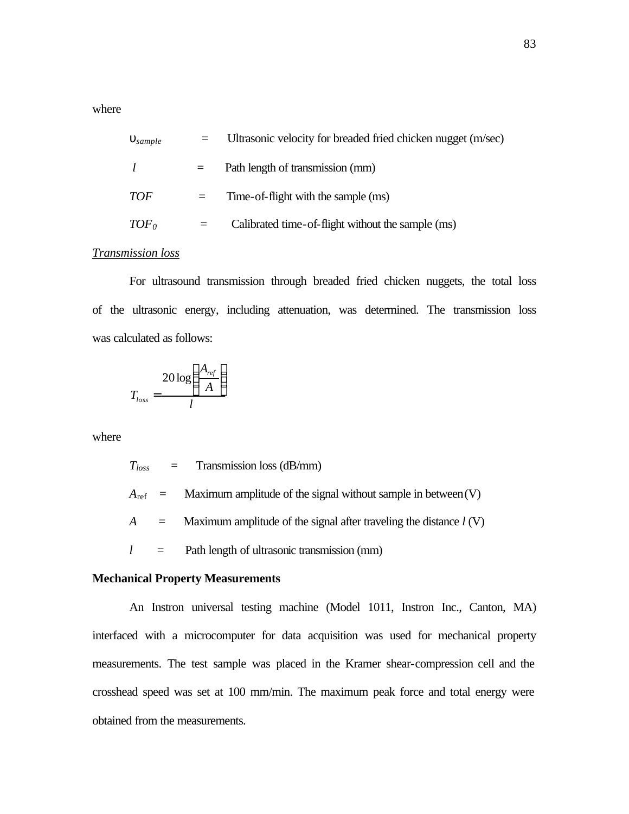where

| $\mathbf{u}_{sample}$ |     | Ultrasonic velocity for breaded fried chicken nugget (m/sec) |
|-----------------------|-----|--------------------------------------------------------------|
|                       | II. | Path length of transmission (mm)                             |
| <i>TOF</i>            | $=$ | Time-of-flight with the sample (ms)                          |
| TOF <sub>0</sub>      |     | Calibrated time-of-flight without the sample (ms)            |
|                       |     |                                                              |

#### *Transmission loss*

For ultrasound transmission through breaded fried chicken nuggets, the total loss of the ultrasonic energy, including attenuation, was determined. The transmission loss was calculated as follows:

$$
T_{loss} = \frac{20 \log \left(\frac{A_{ref}}{A}\right)}{l}
$$

where

 $T_{loss}$  = Transmission loss (dB/mm)

 $A_{\text{ref}}$  = Maximum amplitude of the signal without sample in between(V)

 $A =$  Maximum amplitude of the signal after traveling the distance  $l(V)$ 

 $l =$  Path length of ultrasonic transmission (mm)

#### **Mechanical Property Measurements**

An Instron universal testing machine (Model 1011, Instron Inc., Canton, MA) interfaced with a microcomputer for data acquisition was used for mechanical property measurements. The test sample was placed in the Kramer shear-compression cell and the crosshead speed was set at 100 mm/min. The maximum peak force and total energy were obtained from the measurements.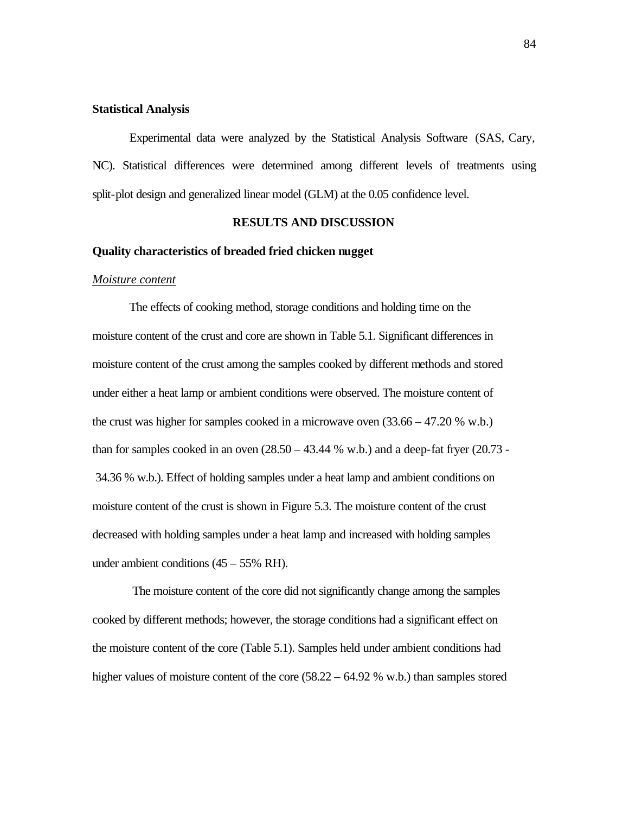#### **Statistical Analysis**

Experimental data were analyzed by the Statistical Analysis Software (SAS, Cary, NC). Statistical differences were determined among different levels of treatments using split-plot design and generalized linear model (GLM) at the 0.05 confidence level.

#### **RESULTS AND DISCUSSION**

#### **Quality characteristics of breaded fried chicken nugget**

#### *Moisture content*

The effects of cooking method, storage conditions and holding time on the moisture content of the crust and core are shown in Table 5.1. Significant differences in moisture content of the crust among the samples cooked by different methods and stored under either a heat lamp or ambient conditions were observed. The moisture content of the crust was higher for samples cooked in a microwave oven (33.66 – 47.20 % w.b.) than for samples cooked in an oven  $(28.50 - 43.44 %$  w.b.) and a deep-fat fryer  $(20.73 -$ 34.36 % w.b.). Effect of holding samples under a heat lamp and ambient conditions on moisture content of the crust is shown in Figure 5.3. The moisture content of the crust decreased with holding samples under a heat lamp and increased with holding samples under ambient conditions  $(45 – 55\% \text{ RH})$ .

 The moisture content of the core did not significantly change among the samples cooked by different methods; however, the storage conditions had a significant effect on the moisture content of the core (Table 5.1). Samples held under ambient conditions had higher values of moisture content of the core (58.22 – 64.92 % w.b.) than samples stored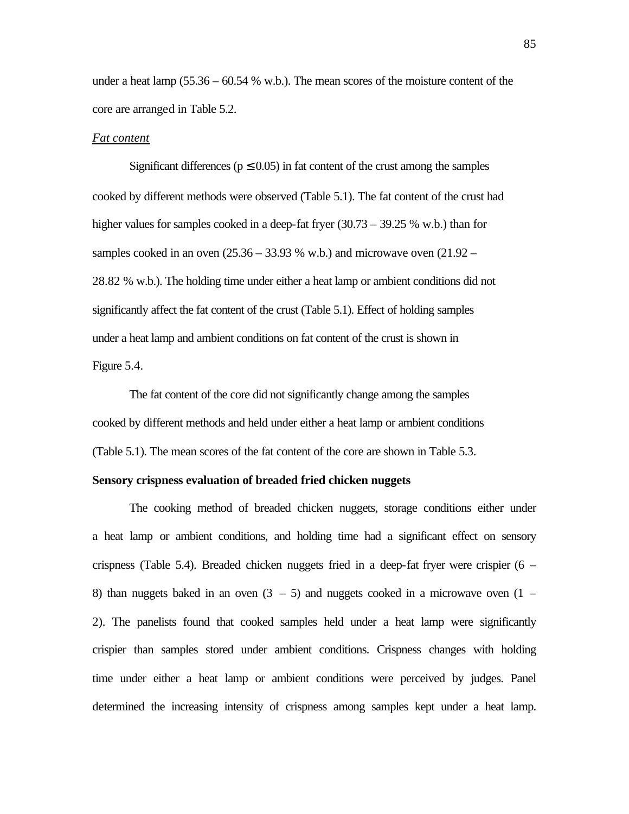under a heat lamp (55.36 – 60.54 % w.b.). The mean scores of the moisture content of the core are arranged in Table 5.2.

#### *Fat content*

Significant differences ( $p \le 0.05$ ) in fat content of the crust among the samples cooked by different methods were observed (Table 5.1). The fat content of the crust had higher values for samples cooked in a deep-fat fryer (30.73 – 39.25 % w.b.) than for samples cooked in an oven  $(25.36 - 33.93 %$  w.b.) and microwave oven  $(21.92 -$ 28.82 % w.b.). The holding time under either a heat lamp or ambient conditions did not significantly affect the fat content of the crust (Table 5.1). Effect of holding samples under a heat lamp and ambient conditions on fat content of the crust is shown in Figure 5.4.

The fat content of the core did not significantly change among the samples cooked by different methods and held under either a heat lamp or ambient conditions (Table 5.1). The mean scores of the fat content of the core are shown in Table 5.3.

#### **Sensory crispness evaluation of breaded fried chicken nuggets**

The cooking method of breaded chicken nuggets, storage conditions either under a heat lamp or ambient conditions, and holding time had a significant effect on sensory crispness (Table 5.4). Breaded chicken nuggets fried in a deep-fat fryer were crispier (6 – 8) than nuggets baked in an oven  $(3 - 5)$  and nuggets cooked in a microwave oven  $(1 -$ 2). The panelists found that cooked samples held under a heat lamp were significantly crispier than samples stored under ambient conditions. Crispness changes with holding time under either a heat lamp or ambient conditions were perceived by judges. Panel determined the increasing intensity of crispness among samples kept under a heat lamp.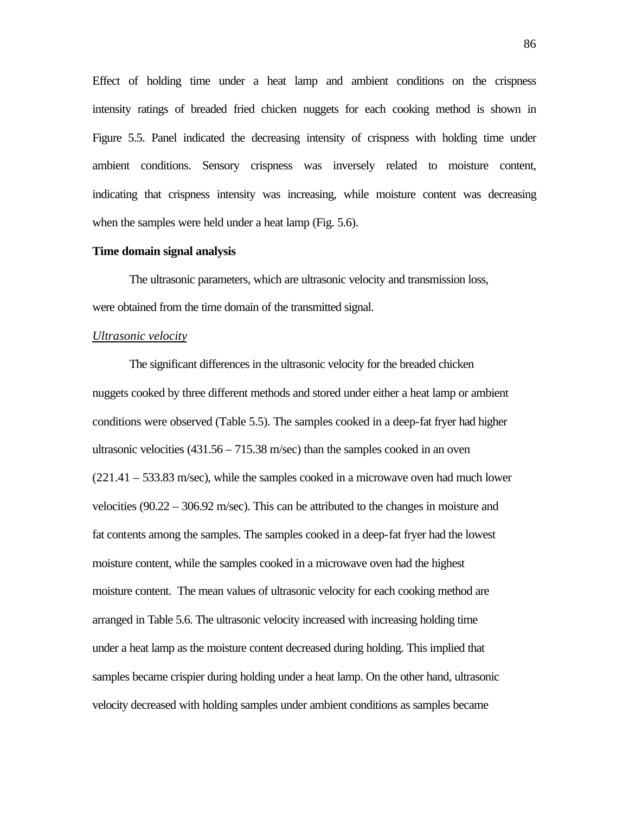Effect of holding time under a heat lamp and ambient conditions on the crispness intensity ratings of breaded fried chicken nuggets for each cooking method is shown in Figure 5.5. Panel indicated the decreasing intensity of crispness with holding time under ambient conditions. Sensory crispness was inversely related to moisture content, indicating that crispness intensity was increasing, while moisture content was decreasing when the samples were held under a heat lamp (Fig. 5.6).

#### **Time domain signal analysis**

The ultrasonic parameters, which are ultrasonic velocity and transmission loss, were obtained from the time domain of the transmitted signal.

#### *Ultrasonic velocity*

The significant differences in the ultrasonic velocity for the breaded chicken nuggets cooked by three different methods and stored under either a heat lamp or ambient conditions were observed (Table 5.5). The samples cooked in a deep-fat fryer had higher ultrasonic velocities  $(431.56 - 715.38 \text{ m/sec})$  than the samples cooked in an oven (221.41 – 533.83 m/sec), while the samples cooked in a microwave oven had much lower velocities (90.22 – 306.92 m/sec). This can be attributed to the changes in moisture and fat contents among the samples. The samples cooked in a deep-fat fryer had the lowest moisture content, while the samples cooked in a microwave oven had the highest moisture content. The mean values of ultrasonic velocity for each cooking method are arranged in Table 5.6. The ultrasonic velocity increased with increasing holding time under a heat lamp as the moisture content decreased during holding. This implied that samples became crispier during holding under a heat lamp. On the other hand, ultrasonic velocity decreased with holding samples under ambient conditions as samples became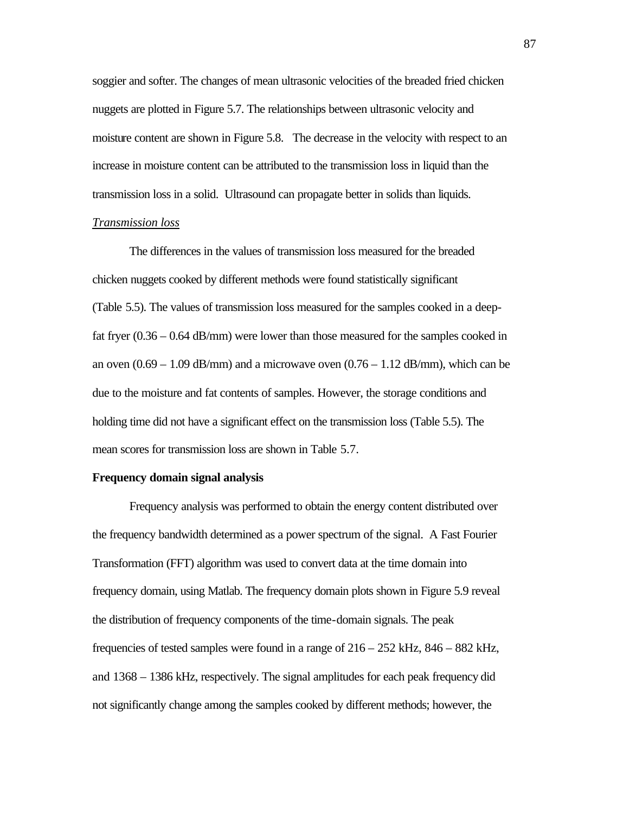soggier and softer. The changes of mean ultrasonic velocities of the breaded fried chicken nuggets are plotted in Figure 5.7. The relationships between ultrasonic velocity and moisture content are shown in Figure 5.8. The decrease in the velocity with respect to an increase in moisture content can be attributed to the transmission loss in liquid than the transmission loss in a solid. Ultrasound can propagate better in solids than liquids.

#### *Transmission loss*

The differences in the values of transmission loss measured for the breaded chicken nuggets cooked by different methods were found statistically significant (Table 5.5). The values of transmission loss measured for the samples cooked in a deepfat fryer (0.36 – 0.64 dB/mm) were lower than those measured for the samples cooked in an oven  $(0.69 - 1.09$  dB/mm) and a microwave oven  $(0.76 - 1.12$  dB/mm), which can be due to the moisture and fat contents of samples. However, the storage conditions and holding time did not have a significant effect on the transmission loss (Table 5.5). The mean scores for transmission loss are shown in Table 5.7.

#### **Frequency domain signal analysis**

Frequency analysis was performed to obtain the energy content distributed over the frequency bandwidth determined as a power spectrum of the signal. A Fast Fourier Transformation (FFT) algorithm was used to convert data at the time domain into frequency domain, using Matlab. The frequency domain plots shown in Figure 5.9 reveal the distribution of frequency components of the time-domain signals. The peak frequencies of tested samples were found in a range of 216 – 252 kHz, 846 – 882 kHz, and 1368 – 1386 kHz, respectively. The signal amplitudes for each peak frequency did not significantly change among the samples cooked by different methods; however, the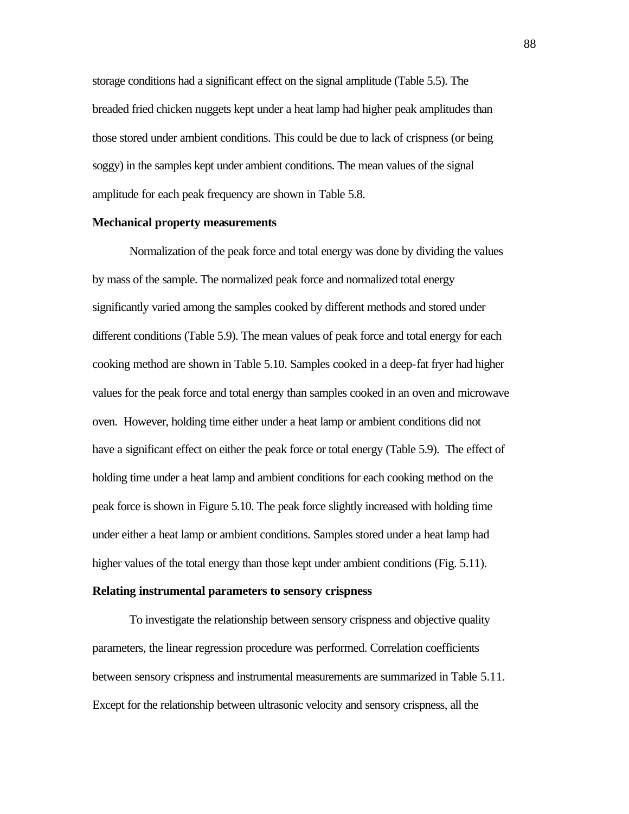storage conditions had a significant effect on the signal amplitude (Table 5.5). The breaded fried chicken nuggets kept under a heat lamp had higher peak amplitudes than those stored under ambient conditions. This could be due to lack of crispness (or being soggy) in the samples kept under ambient conditions. The mean values of the signal amplitude for each peak frequency are shown in Table 5.8.

#### **Mechanical property measurements**

Normalization of the peak force and total energy was done by dividing the values by mass of the sample. The normalized peak force and normalized total energy significantly varied among the samples cooked by different methods and stored under different conditions (Table 5.9). The mean values of peak force and total energy for each cooking method are shown in Table 5.10. Samples cooked in a deep-fat fryer had higher values for the peak force and total energy than samples cooked in an oven and microwave oven. However, holding time either under a heat lamp or ambient conditions did not have a significant effect on either the peak force or total energy (Table 5.9). The effect of holding time under a heat lamp and ambient conditions for each cooking method on the peak force is shown in Figure 5.10. The peak force slightly increased with holding time under either a heat lamp or ambient conditions. Samples stored under a heat lamp had higher values of the total energy than those kept under ambient conditions (Fig. 5.11).

#### **Relating instrumental parameters to sensory crispness**

To investigate the relationship between sensory crispness and objective quality parameters, the linear regression procedure was performed. Correlation coefficients between sensory crispness and instrumental measurements are summarized in Table 5.11. Except for the relationship between ultrasonic velocity and sensory crispness, all the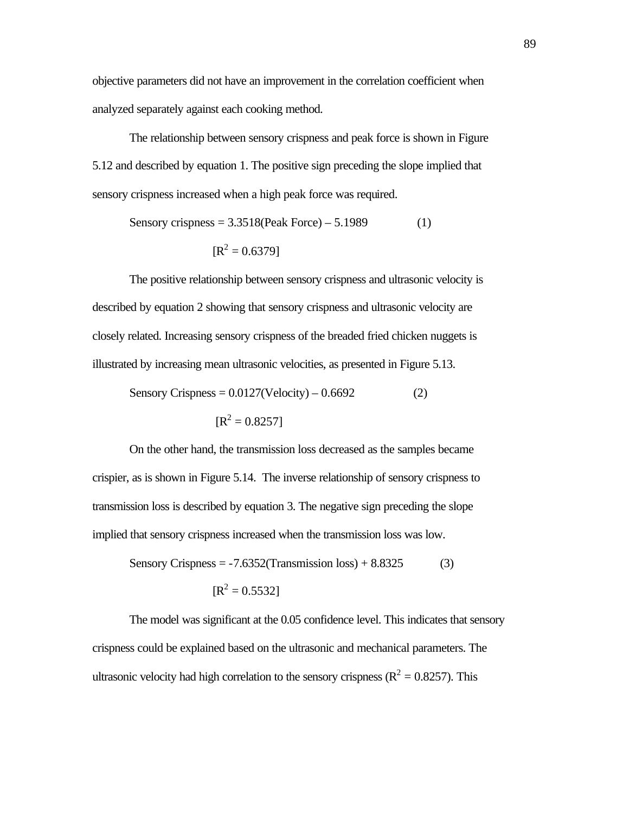objective parameters did not have an improvement in the correlation coefficient when analyzed separately against each cooking method.

The relationship between sensory crispness and peak force is shown in Figure 5.12 and described by equation 1. The positive sign preceding the slope implied that sensory crispness increased when a high peak force was required.

Sensory crispness = 
$$
3.3518
$$
(Peak Force) –  $5.1989$  (1)  
[ $R^2 = 0.6379$ ]

The positive relationship between sensory crispness and ultrasonic velocity is described by equation 2 showing that sensory crispness and ultrasonic velocity are closely related. Increasing sensory crispness of the breaded fried chicken nuggets is illustrated by increasing mean ultrasonic velocities, as presented in Figure 5.13.

Sensory Crispress = 
$$
0.0127(\text{Velocity}) - 0.6692
$$
 (2)  

$$
[\text{R}^2 = 0.8257]
$$

On the other hand, the transmission loss decreased as the samples became crispier, as is shown in Figure 5.14. The inverse relationship of sensory crispness to transmission loss is described by equation 3. The negative sign preceding the slope implied that sensory crispness increased when the transmission loss was low.

Sensory Crispress = -7.6352(Transmission loss) + 8.8325 (3)  

$$
[\text{R}^2 = 0.5532]
$$

The model was significant at the 0.05 confidence level. This indicates that sensory crispness could be explained based on the ultrasonic and mechanical parameters. The ultrasonic velocity had high correlation to the sensory crispness ( $R^2 = 0.8257$ ). This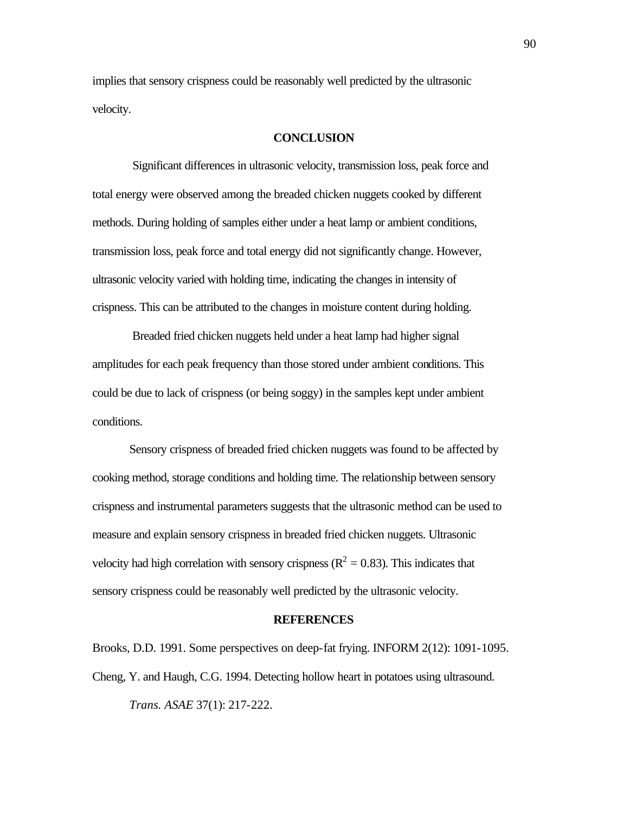implies that sensory crispness could be reasonably well predicted by the ultrasonic velocity.

#### **CONCLUSION**

 Significant differences in ultrasonic velocity, transmission loss, peak force and total energy were observed among the breaded chicken nuggets cooked by different methods. During holding of samples either under a heat lamp or ambient conditions, transmission loss, peak force and total energy did not significantly change. However, ultrasonic velocity varied with holding time, indicating the changes in intensity of crispness. This can be attributed to the changes in moisture content during holding.

 Breaded fried chicken nuggets held under a heat lamp had higher signal amplitudes for each peak frequency than those stored under ambient conditions. This could be due to lack of crispness (or being soggy) in the samples kept under ambient conditions.

Sensory crispness of breaded fried chicken nuggets was found to be affected by cooking method, storage conditions and holding time. The relationship between sensory crispness and instrumental parameters suggests that the ultrasonic method can be used to measure and explain sensory crispness in breaded fried chicken nuggets. Ultrasonic velocity had high correlation with sensory crispness ( $R^2 = 0.83$ ). This indicates that sensory crispness could be reasonably well predicted by the ultrasonic velocity.

#### **REFERENCES**

Brooks, D.D. 1991. Some perspectives on deep-fat frying. INFORM 2(12): 1091-1095. Cheng, Y. and Haugh, C.G. 1994. Detecting hollow heart in potatoes using ultrasound. *Trans. ASAE* 37(1): 217-222.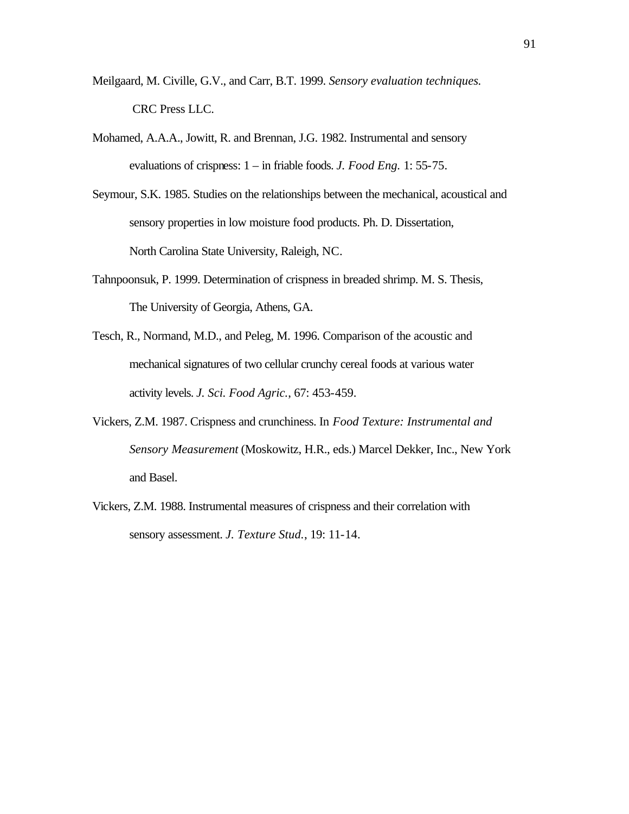- Meilgaard, M. Civille, G.V., and Carr, B.T. 1999. *Sensory evaluation techniques.* CRC Press LLC.
- Mohamed, A.A.A., Jowitt, R. and Brennan, J.G. 1982. Instrumental and sensory evaluations of crispness: 1 – in friable foods. *J. Food Eng.* 1: 55-75.
- Seymour, S.K. 1985. Studies on the relationships between the mechanical, acoustical and sensory properties in low moisture food products. Ph. D. Dissertation, North Carolina State University, Raleigh, NC.
- Tahnpoonsuk, P. 1999. Determination of crispness in breaded shrimp. M. S. Thesis, The University of Georgia, Athens, GA.
- Tesch, R., Normand, M.D., and Peleg, M. 1996. Comparison of the acoustic and mechanical signatures of two cellular crunchy cereal foods at various water activity levels. *J. Sci. Food Agric.*, 67: 453-459.
- Vickers, Z.M. 1987. Crispness and crunchiness. In *Food Texture: Instrumental and Sensory Measurement* (Moskowitz, H.R., eds.) Marcel Dekker, Inc., New York and Basel.
- Vickers, Z.M. 1988. Instrumental measures of crispness and their correlation with sensory assessment. *J. Texture Stud.*, 19: 11-14.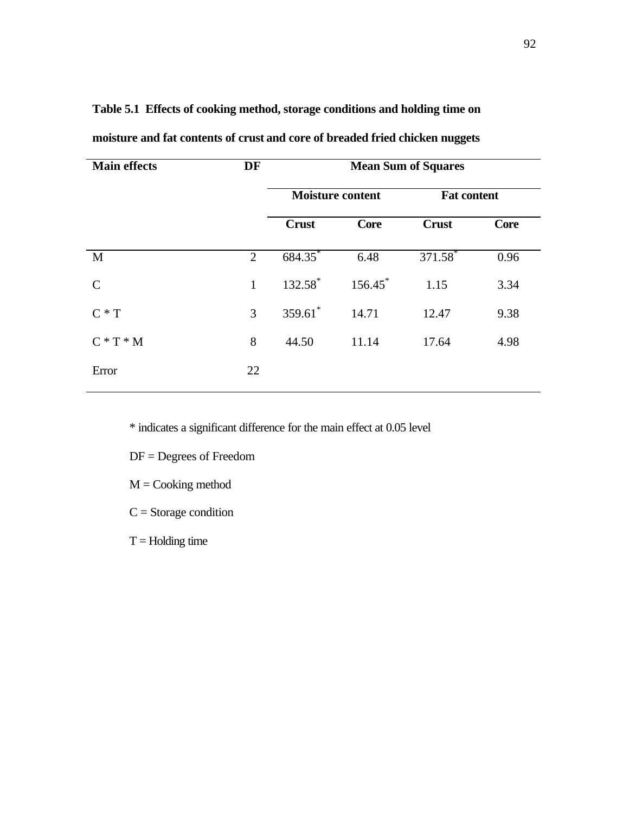| <b>Main effects</b> | DF             | <b>Mean Sum of Squares</b> |                       |                       |             |  |  |
|---------------------|----------------|----------------------------|-----------------------|-----------------------|-------------|--|--|
|                     |                | <b>Moisture content</b>    |                       | <b>Fat content</b>    |             |  |  |
|                     |                | <b>Crust</b>               | <b>Core</b>           | <b>Crust</b>          | <b>Core</b> |  |  |
| M                   | $\overline{2}$ | 684.35                     | 6.48                  | $371.58$ <sup>*</sup> | 0.96        |  |  |
| $\mathcal{C}$       | $\mathbf{1}$   | $132.58^*$                 | $156.45$ <sup>*</sup> | 1.15                  | 3.34        |  |  |
| $C * T$             | 3              | $359.61$ *                 | 14.71                 | 12.47                 | 9.38        |  |  |
| $C * T * M$         | 8              | 44.50                      | 11.14                 | 17.64                 | 4.98        |  |  |
| Error               | 22             |                            |                       |                       |             |  |  |
|                     |                |                            |                       |                       |             |  |  |

**Table 5.1 Effects of cooking method, storage conditions and holding time on** 

**moisture and fat contents of crust and core of breaded fried chicken nuggets**

\* indicates a significant difference for the main effect at 0.05 level

DF = Degrees of Freedom

 $M = \text{Cooking method}$ 

 $C =$ Storage condition

 $T =$  Holding time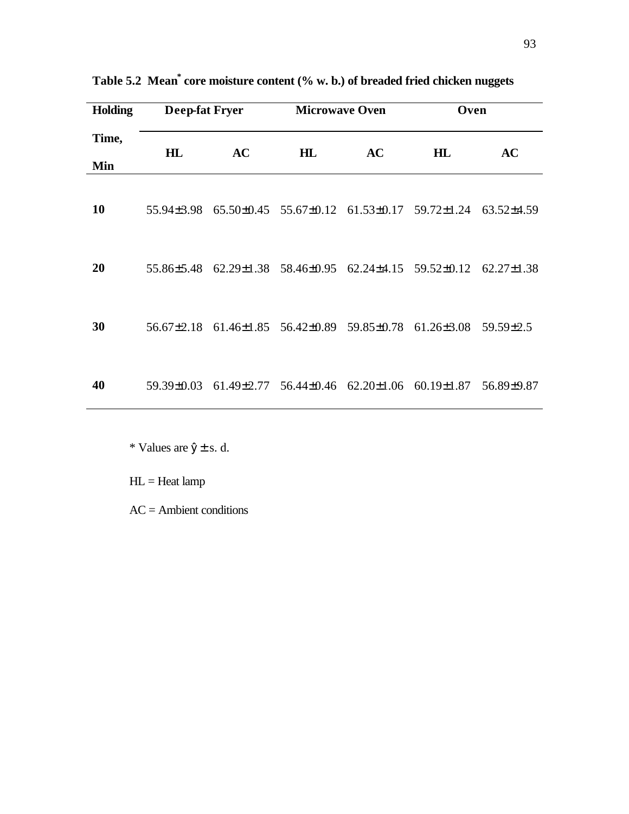| <b>Holding</b> | <b>Deep-fat Fryer</b> |                                                        | <b>Microwave Oven</b> |    | Oven                                                   |                  |  |  |
|----------------|-----------------------|--------------------------------------------------------|-----------------------|----|--------------------------------------------------------|------------------|--|--|
| Time,<br>Min   | H L                   | <b>AC</b>                                              | H L                   | AC | H L                                                    | AC               |  |  |
| 10             |                       | 55.94±3.98 65.50±0.45 55.67±0.12                       |                       |    | $61.53\pm0.17$ $59.72\pm1.24$                          | $63.52\pm4.59$   |  |  |
| 20             |                       |                                                        |                       |    | 55.86±5.48 62.29±1.38 58.46±0.95 62.24±4.15 59.52±0.12 | $62.27 \pm 1.38$ |  |  |
| 30             |                       | 56.67±2.18 61.46±1.85 56.42±0.89 59.85±0.78 61.26±3.08 |                       |    |                                                        | 59.59±2.5        |  |  |
| 40             |                       |                                                        |                       |    | 59.39±0.03 61.49±2.77 56.44±0.46 62.20±1.06 60.19±1.87 | 56.89±9.87       |  |  |

**Table 5.2 Mean\* core moisture content (% w. b.) of breaded fried chicken nuggets**

\* Values are  $\hat{y} \pm s$ . d.

HL = Heat lamp

AC = Ambient conditions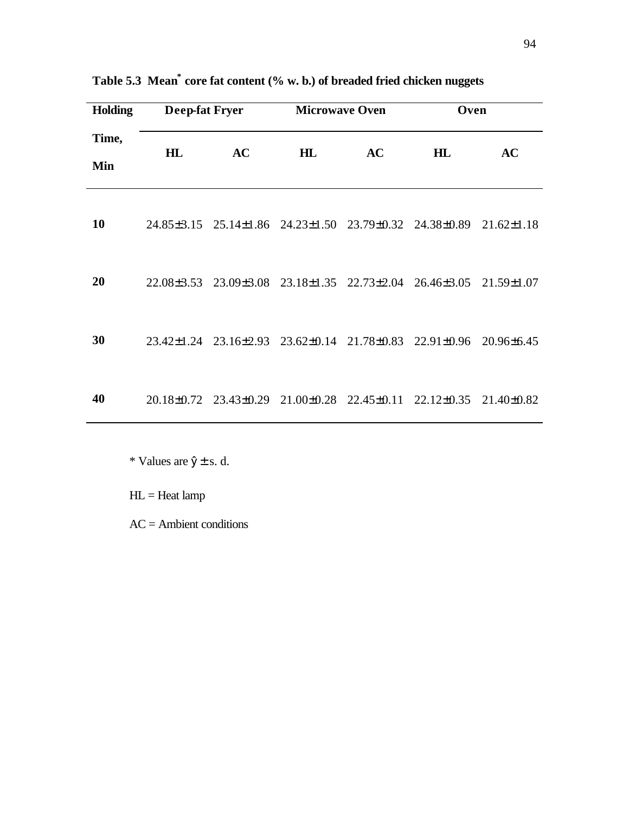| <b>Holding</b> | <b>Deep-fat Fryer</b> |                                                                  | <b>Microwave Oven</b> |    | Oven                                                                          |                  |  |
|----------------|-----------------------|------------------------------------------------------------------|-----------------------|----|-------------------------------------------------------------------------------|------------------|--|
| Time,<br>Min   | HL                    | <b>AC</b>                                                        | HL                    | AC | HL                                                                            | AC               |  |
| 10             |                       | 24.85 ± 3.15 25.14 ± 1.86 24.23 ± 1.50 23.79 ± 0.32 24.38 ± 0.89 |                       |    |                                                                               | $21.62 \pm 1.18$ |  |
| 20             |                       |                                                                  |                       |    | 22.08 ± 3.53 23.09 ± 3.08 23.18 ± 1.35 22.73 ± 2.04 26.46 ± 3.05 21.59 ± 1.07 |                  |  |
| 30             |                       | 23.42±1.24 23.16±2.93 23.62±0.14 21.78±0.83 22.91±0.96           |                       |    |                                                                               | $20.96\pm 6.45$  |  |
| 40             |                       |                                                                  |                       |    | 20.18±0.72 23.43±0.29 21.00±0.28 22.45±0.11 22.12±0.35 21.40±0.82             |                  |  |

**Table 5.3 Mean\* core fat content (% w. b.) of breaded fried chicken nuggets**

\* Values are  $\hat{y} \pm s$ . d.

HL = Heat lamp

AC = Ambient conditions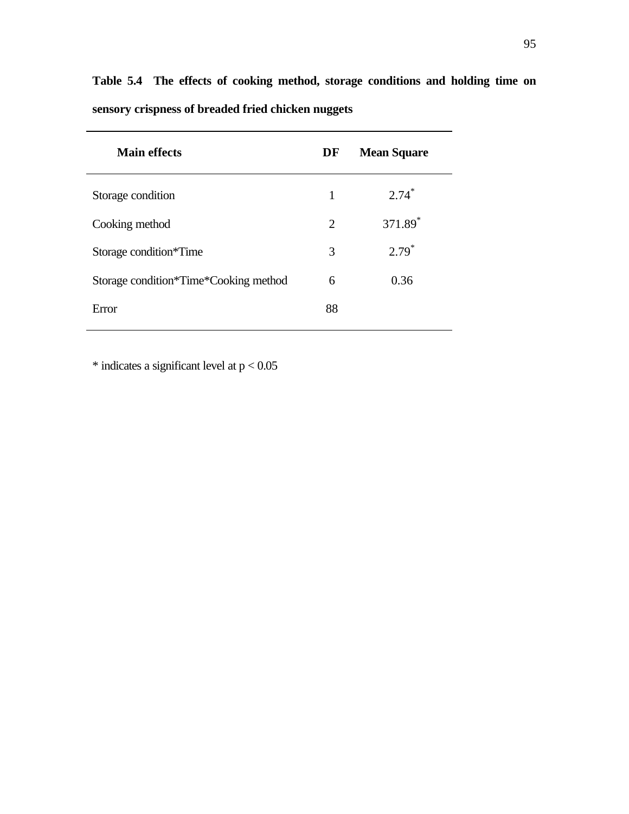| Table 5.4 The effects of cooking method, storage conditions and holding time on |  |  |  |  |  |  |
|---------------------------------------------------------------------------------|--|--|--|--|--|--|
| sensory crispness of breaded fried chicken nuggets                              |  |  |  |  |  |  |

| Main effects                          | DF | <b>Mean Square</b>  |
|---------------------------------------|----|---------------------|
| Storage condition                     | 1  | $2.74*$             |
| Cooking method                        | 2  | 371.89 <sup>*</sup> |
| Storage condition*Time                | 3  | $2.79*$             |
| Storage condition*Time*Cooking method | 6  | 0.36                |
| Error                                 | 88 |                     |

 $*$  indicates a significant level at  $p < 0.05$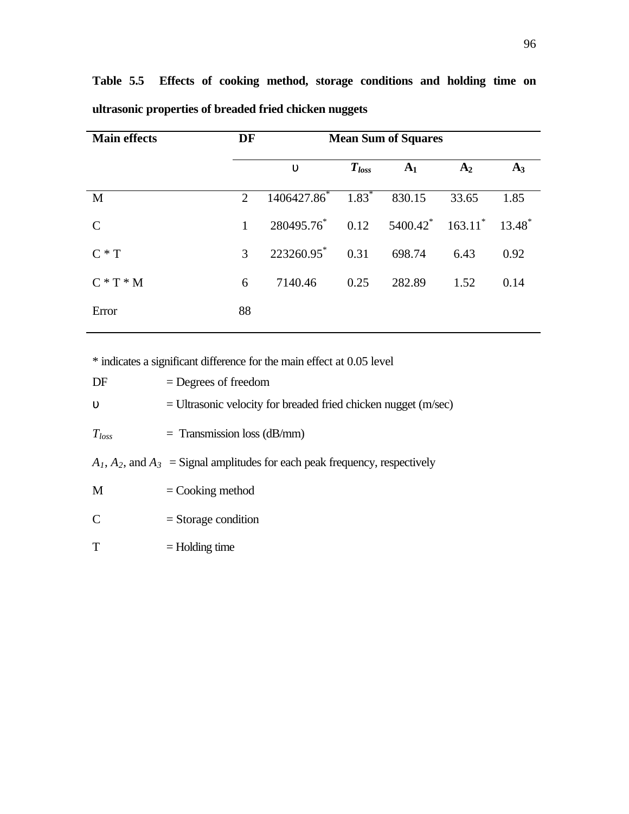| <b>Main effects</b> | DF | <b>Mean Sum of Squares</b>                                            |            |                |                |       |
|---------------------|----|-----------------------------------------------------------------------|------------|----------------|----------------|-------|
|                     |    | u                                                                     | $T_{loss}$ | A <sub>1</sub> | A <sub>2</sub> | $A_3$ |
| M                   | 2  | $1406427.86^*$ $1.83^*$                                               |            | 830.15         | 33.65          | 1.85  |
| C                   | 1  | $280495.76^*$ 0.12 $5400.42^*$ 163.11 <sup>*</sup> 13.48 <sup>*</sup> |            |                |                |       |
| $C \ast T$          | 3  | $223260.95^*$ 0.31                                                    |            | 698.74         | 6.43           | 0.92  |
| $C*T*M$             | 6  | 7140.46                                                               | 0.25       | 282.89         | 1.52           | 0.14  |
| Error               | 88 |                                                                       |            |                |                |       |

**Table 5.5 Effects of cooking method, storage conditions and holding time on ultrasonic properties of breaded fried chicken nuggets**

\* indicates a significant difference for the main effect at 0.05 level

| DF               | $=$ Degrees of freedom                                                           |
|------------------|----------------------------------------------------------------------------------|
| $\boldsymbol{u}$ | $=$ Ultrasonic velocity for breaded fried chicken nugget (m/sec)                 |
| $T_{loss}$       | $=$ Transmission loss (dB/mm)                                                    |
|                  | $A_1, A_2$ , and $A_3$ = Signal amplitudes for each peak frequency, respectively |
| M                | $=$ Cooking method                                                               |
| C                | $=$ Storage condition                                                            |
| T                | $=$ Holding time                                                                 |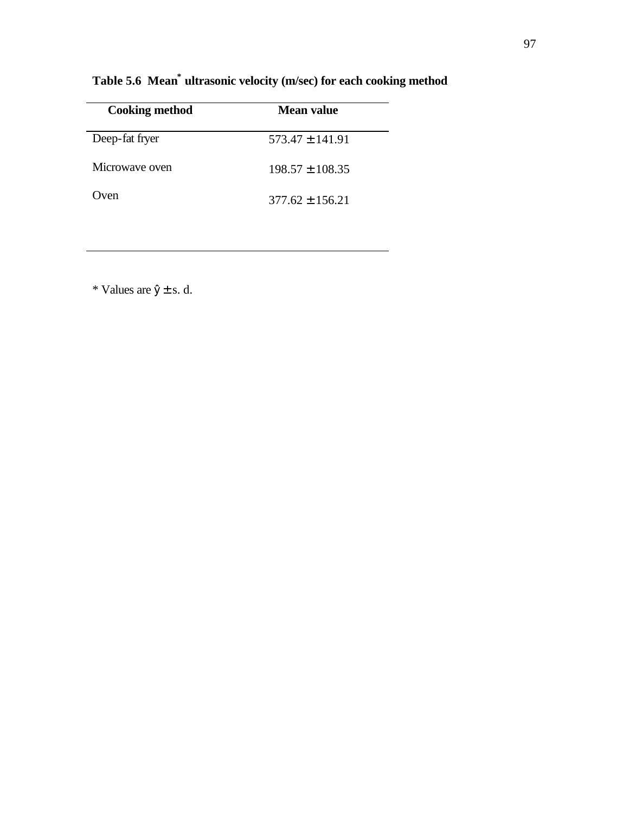| <b>Cooking method</b> | Mean value          |
|-----------------------|---------------------|
| Deep-fat fryer        | $573.47 + 141.91$   |
| Microwaye oven        | $198.57 + 108.35$   |
| Oven                  | $377.62 \pm 156.21$ |

**Table 5.6 Mean\* ultrasonic velocity (m/sec) for each cooking method**

\* Values are  $\hat{y} \pm s$ . d.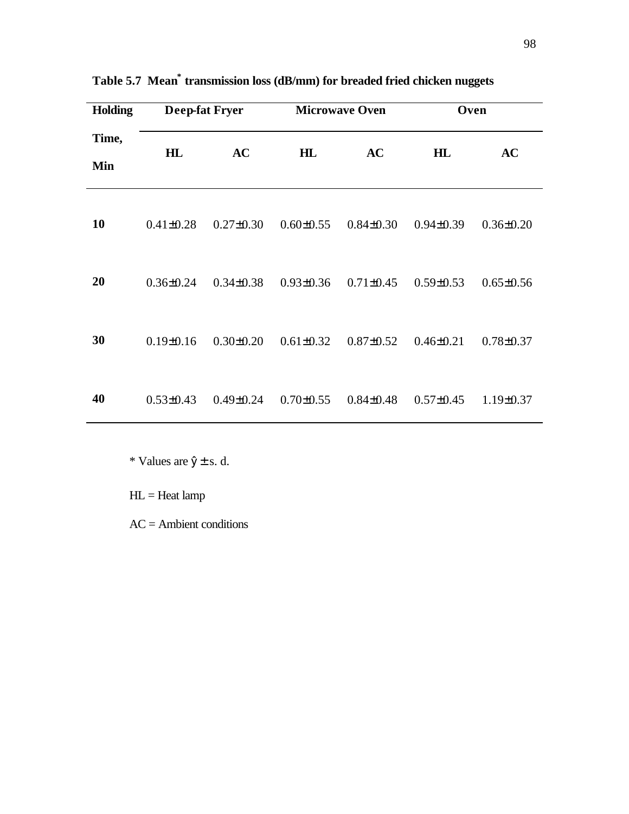| Holding      | <b>Deep-fat Fryer</b> |                 |                 | <b>Microwave Oven</b> | Oven            |                 |  |
|--------------|-----------------------|-----------------|-----------------|-----------------------|-----------------|-----------------|--|
| Time,<br>Min | H L                   | AC              | H L             | AC                    | H L             | AC              |  |
| <b>10</b>    | $0.41 \pm 0.28$       | $0.27 \pm 0.30$ | $0.60 \pm 0.55$ | $0.84 \pm 0.30$       | $0.94 \pm 0.39$ | $0.36 \pm 0.20$ |  |
| 20           | $0.36 \pm 0.24$       | $0.34 \pm 0.38$ | $0.93 \pm 0.36$ | $0.71 \pm 0.45$       | $0.59 \pm 0.53$ | $0.65 \pm 0.56$ |  |
| 30           | $0.19 \pm 0.16$       | $0.30 \pm 0.20$ | $0.61 \pm 0.32$ | $0.87 \pm 0.52$       | $0.46 \pm 0.21$ | $0.78 \pm 0.37$ |  |
| 40           | $0.53 \pm 0.43$       | $0.49 \pm 0.24$ | $0.70 \pm 0.55$ | $0.84 \pm 0.48$       | $0.57 \pm 0.45$ | $1.19 \pm 0.37$ |  |

**Table 5.7 Mean\* transmission loss (dB/mm) for breaded fried chicken nuggets**

\* Values are  $\hat{y} \pm s$ . d.

HL = Heat lamp

AC = Ambient conditions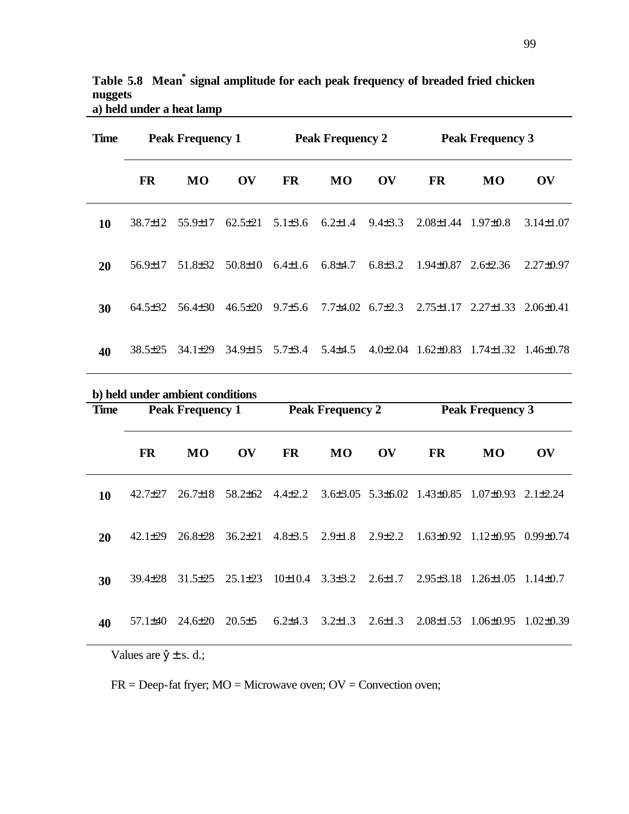**Table 5.8 Mean\* signal amplitude for each peak frequency of breaded fried chicken nuggets a) held under a heat lamp**

| <b>Time</b> | <b>Peak Frequency 1</b>          |               |                        | <b>Peak Frequency 2</b> |                           |                               | <b>Peak Frequency 3</b>                 |                                                 |                         |  |  |
|-------------|----------------------------------|---------------|------------------------|-------------------------|---------------------------|-------------------------------|-----------------------------------------|-------------------------------------------------|-------------------------|--|--|
|             | <b>FR</b>                        | <b>MO</b>     | OV                     | <b>FR</b>               | <b>MO</b>                 | $\mathbf{O}\mathbf{V}$        | <b>FR</b>                               | <b>MO</b>                                       | $\mathbf{O} \mathbf{V}$ |  |  |
| 10          | 38.7±12                          | 55.9±17       | $62.5 \pm 21$          | $5.1 \pm 3.6$           | $6.2 \pm 1.4$             | $9.4 \pm 3.3$                 | $2.08 \pm 1.44$ 1.97 $\pm 0.8$          |                                                 | $3.14 \pm 1.07$         |  |  |
| 20          | $56.9 \pm 17$                    | $51.8\pm32$   | $50.8 \pm 10$          | $6.4 \pm 1.6$           | $6.8{\pm}4.7$             | $6.8{\pm}3.2$                 | $1.94\pm0.87$ $2.6\pm2.36$              |                                                 | $2.27 \pm 0.97$         |  |  |
| 30          | $64.5 \pm 32$                    | $56.4\pm30$   | $46.5 \pm 20$          | $9.7 \pm 5.6$           | $7.7\pm4.02$ 6.7 $\pm2.3$ |                               |                                         | $2.75 \pm 1.17$ $2.27 \pm 1.33$ $2.06 \pm 0.41$ |                         |  |  |
| 40          | $38.5 \pm 25$                    | 34.1±29       | 34.9±15                | $5.7 \pm 3.4$           | $5.4\pm 4.5$              | $4.0 \pm 2.04$                | $1.62 \pm 0.83$                         | $1.74 \pm 1.32$ $1.46 \pm 0.78$                 |                         |  |  |
|             | b) held under ambient conditions |               |                        |                         |                           |                               |                                         |                                                 |                         |  |  |
| <b>Time</b> | <b>Peak Frequency 1</b>          |               |                        | <b>Peak Frequency 2</b> |                           |                               | <b>Peak Frequency 3</b>                 |                                                 |                         |  |  |
|             | <b>FR</b>                        | <b>MO</b>     | $\overline{\text{OV}}$ | <b>FR</b>               | <b>MO</b>                 | $\overline{\text{O}}\text{V}$ | <b>FR</b>                               | <b>MO</b>                                       | $\mathbf{O} \mathbf{V}$ |  |  |
| 10          | 42.7±27                          | $26.7 \pm 18$ | 58.2±62                | $4.4 \pm 2.2$           |                           |                               | $3.6\pm3.05$ $5.3\pm6.02$ $1.43\pm0.85$ | $1.07 \pm 0.93$                                 | $2.1 \pm 2.24$          |  |  |
| 20          | $42.1 \pm 29$                    | $26.8 \pm 28$ | $36.2 \pm 21$          | $4.8 \pm 3.5$           | $2.9 \pm 1.8$             | $2.9 \pm 2.2$                 | $1.63 \pm 0.92$                         | $1.12\pm0.95$ 0.99 $\pm0.74$                    |                         |  |  |
| 30          | 39.4±28                          | $31.5 \pm 25$ | $25.1 \pm 23$          | 10±10.4                 | $3.3\pm3.2$               | $2.6 \pm 1.7$                 | $2.95 \pm 3.18$                         | $1.26 \pm 1.05$ $1.14 \pm 0.7$                  |                         |  |  |

 **40** 57.1±40 24.6±20 20.5±5 6.2±4.3 3.2±1.3 2.6±1.3 2.08±1.53 1.06±0.95 1.02±0.39

Values are  $\hat{y} \pm s$ . d.;

FR = Deep-fat fryer; MO = Microwave oven; OV = Convection oven;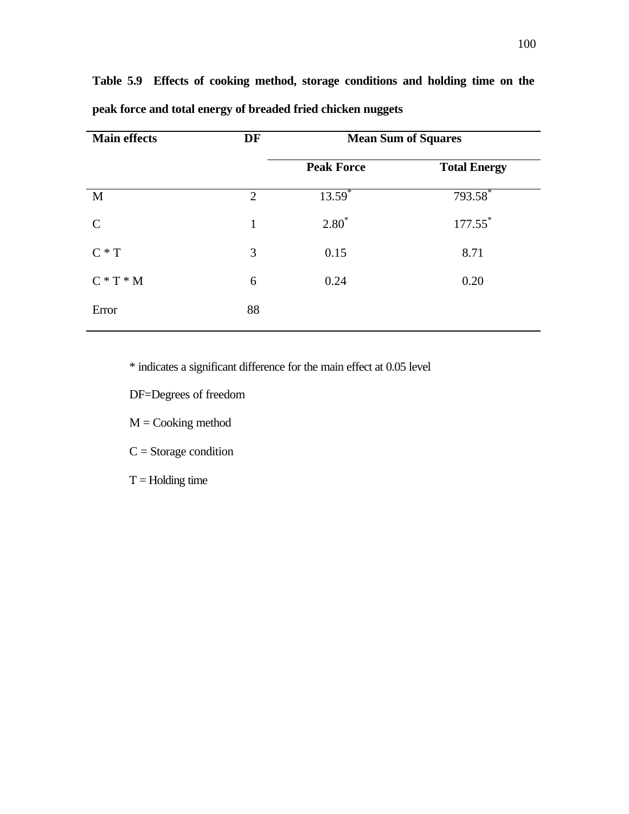| <b>Main effects</b> | DF<br><b>Mean Sum of Squares</b> |                   |                       |
|---------------------|----------------------------------|-------------------|-----------------------|
|                     |                                  | <b>Peak Force</b> | <b>Total Energy</b>   |
| M                   | $\overline{2}$                   | $13.59^{*}$       | 793.58                |
| $\mathcal{C}$       | $\mathbf{1}$                     | $2.80*$           | $177.55$ <sup>*</sup> |
| $C * T$             | 3                                | 0.15              | 8.71                  |
| $C * T * M$         | 6                                | 0.24              | 0.20                  |
| Error               | 88                               |                   |                       |

**Table 5.9 Effects of cooking method, storage conditions and holding time on the peak force and total energy of breaded fried chicken nuggets**

\* indicates a significant difference for the main effect at 0.05 level

DF=Degrees of freedom

 $M = \text{Cooking method}$ 

 $C =$ Storage condition

 $T =$  Holding time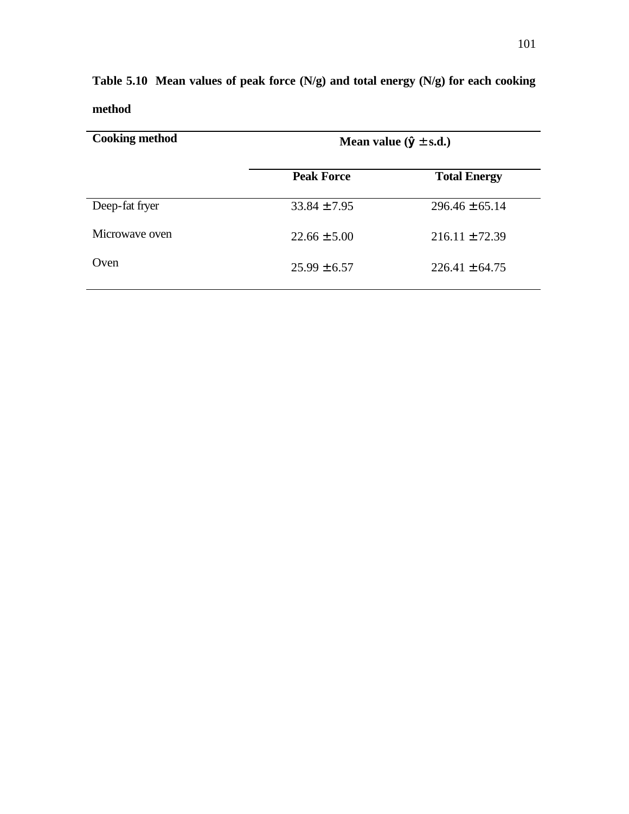| <b>Cooking method</b> | Mean value $(\hat{y} \pm s.d.)$ |                     |  |  |
|-----------------------|---------------------------------|---------------------|--|--|
|                       | <b>Peak Force</b>               | <b>Total Energy</b> |  |  |
| Deep-fat fryer        | $33.84 \pm 7.95$                | $296.46 \pm 65.14$  |  |  |
| Microwave oven        | $22.66 \pm 5.00$                | $216.11 \pm 72.39$  |  |  |
| Oven                  | $25.99 \pm 6.57$                | $226.41 \pm 64.75$  |  |  |

**Table 5.10 Mean values of peak force (N/g) and total energy (N/g) for each cooking method**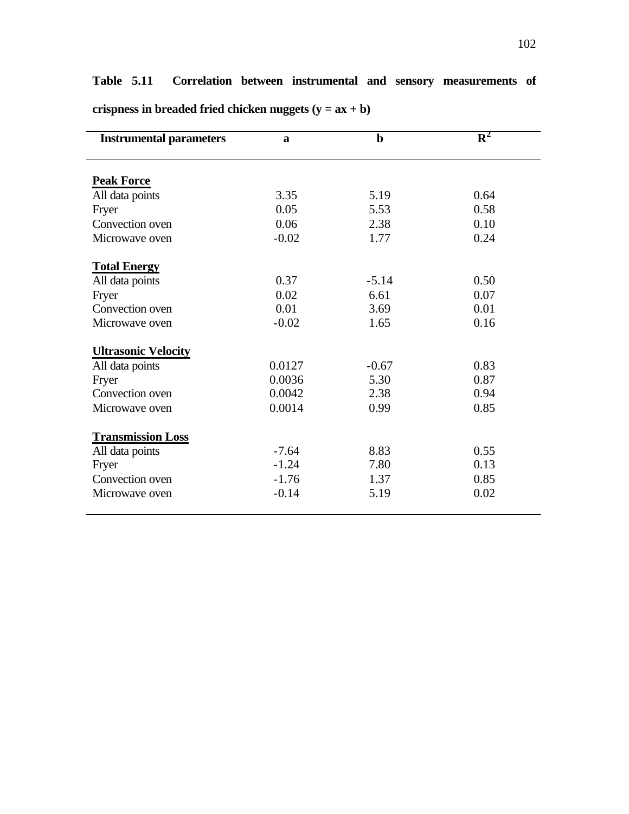# **Table 5.11 Correlation between instrumental and sensory measurements of**

| <b>Instrumental parameters</b> | $\mathbf{a}$ | $\mathbf b$ | $\mathbf{R}^2$ |  |
|--------------------------------|--------------|-------------|----------------|--|
| <b>Peak Force</b>              |              |             |                |  |
| All data points                | 3.35         | 5.19        | 0.64           |  |
| Fryer                          | 0.05         | 5.53        | 0.58           |  |
| Convection oven                | 0.06         | 2.38        | 0.10           |  |
| Microwave oven                 | $-0.02$      | 1.77        | 0.24           |  |
| <b>Total Energy</b>            |              |             |                |  |
| All data points                | 0.37         | $-5.14$     | 0.50           |  |
| Fryer                          | 0.02         | 6.61        | 0.07           |  |
| Convection oven                | 0.01         | 3.69        | 0.01           |  |
| Microwave oven                 | $-0.02$      | 1.65        | 0.16           |  |
| <b>Ultrasonic Velocity</b>     |              |             |                |  |
| All data points                | 0.0127       | $-0.67$     | 0.83           |  |
| Fryer                          | 0.0036       | 5.30        | 0.87           |  |
| Convection oven                | 0.0042       | 2.38        | 0.94           |  |
| Microwave oven                 | 0.0014       | 0.99        | 0.85           |  |
| <b>Transmission Loss</b>       |              |             |                |  |
| All data points                | $-7.64$      | 8.83        | 0.55           |  |
| Fryer                          | $-1.24$      | 7.80        | 0.13           |  |
| Convection oven                | $-1.76$      | 1.37        | 0.85           |  |
| Microwave oven                 | $-0.14$      | 5.19        | 0.02           |  |

**crispness in breaded fried chicken nuggets (y = ax + b)**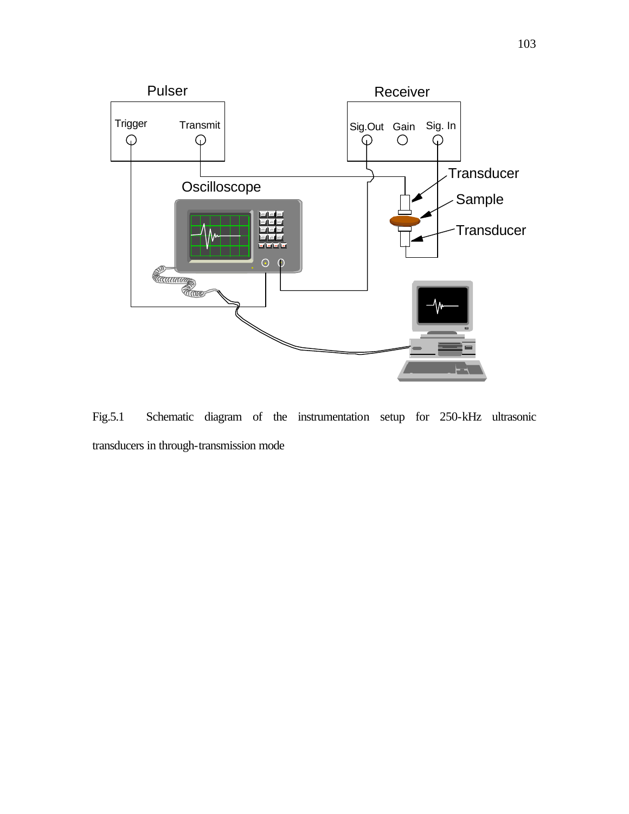

Fig.5.1 Schematic diagram of the instrumentation setup for 250-kHz ultrasonic transducers in through-transmission mode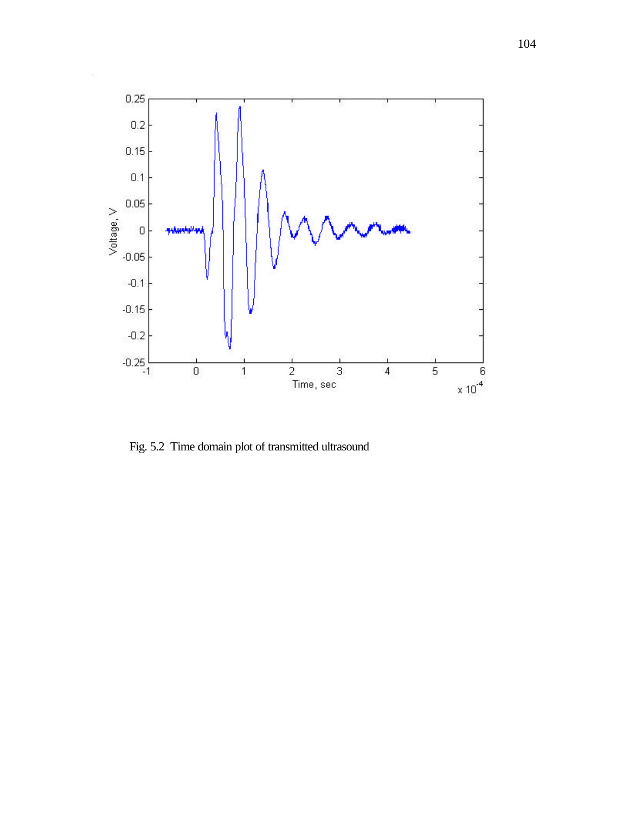

Fig. 5.2 Time domain plot of transmitted ultrasound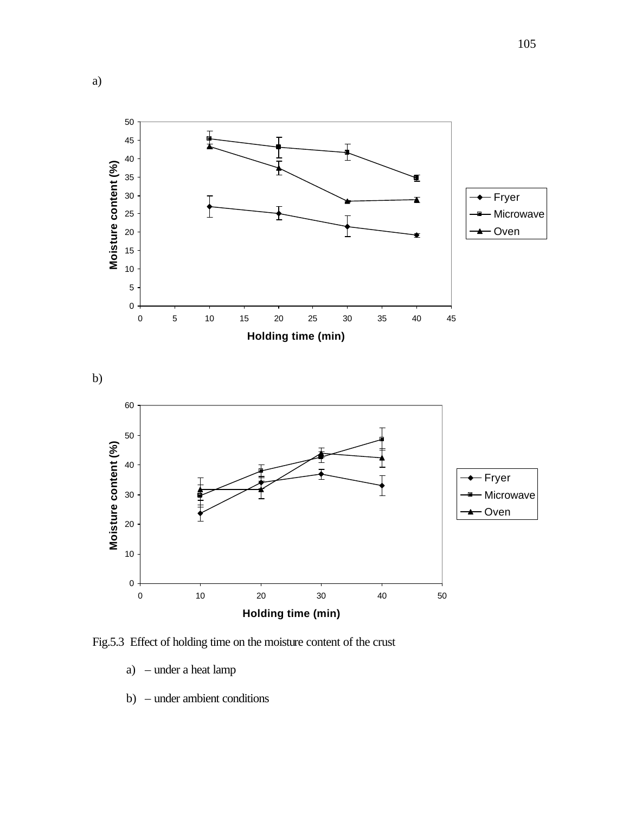

Fig.5.3 Effect of holding time on the moisture content of the crust

- a) under a heat lamp
- b) under ambient conditions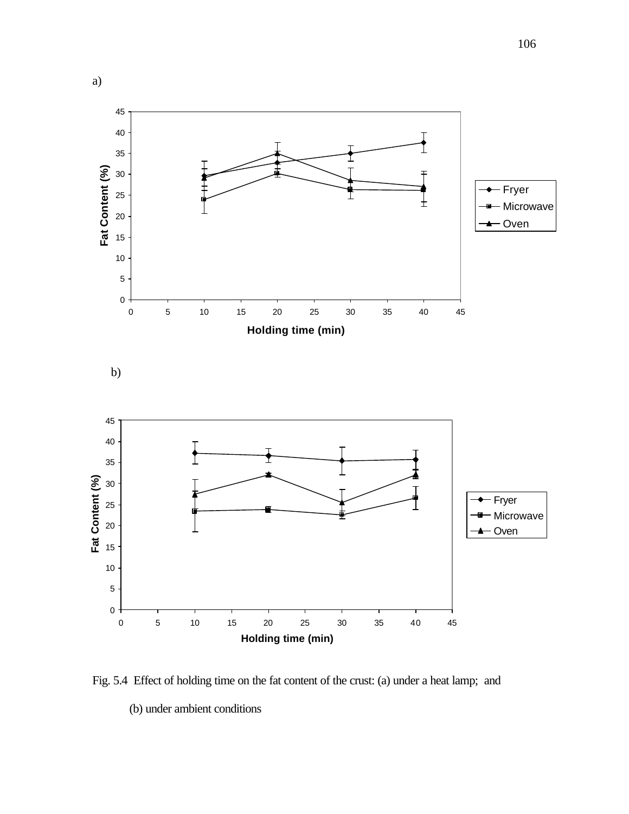

Fig. 5.4 Effect of holding time on the fat content of the crust: (a) under a heat lamp; and (b) under ambient conditions

 5 10 15 20 25 30 35 40 45 **Holding time (min)**

a)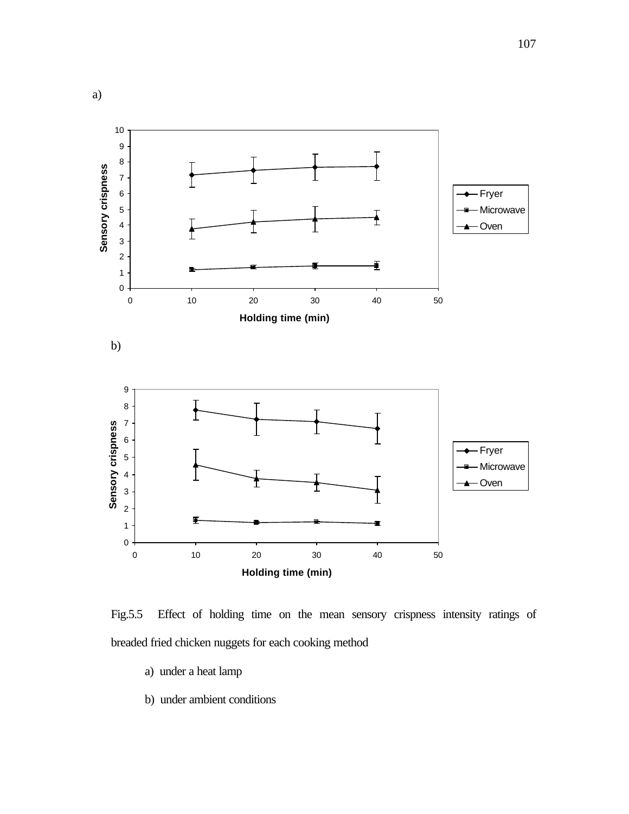

Fig.5.5 Effect of holding time on the mean sensory crispness intensity ratings of breaded fried chicken nuggets for each cooking method

- a) under a heat lamp
- b) under ambient conditions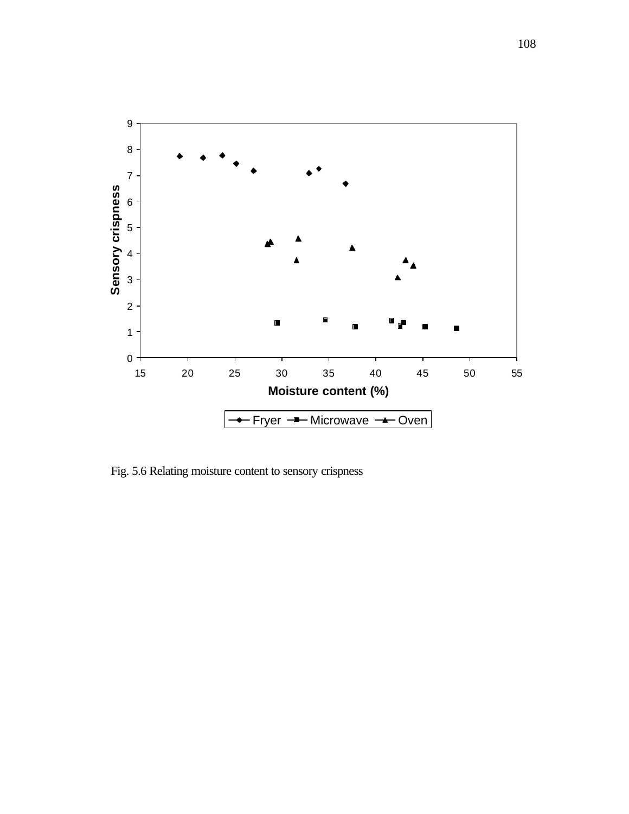

Fig. 5.6 Relating moisture content to sensory crispness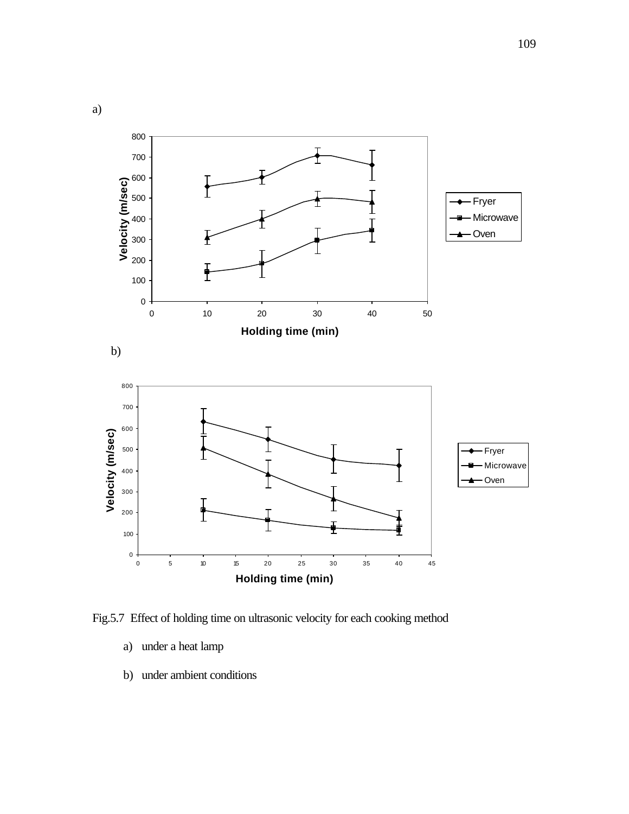

Fig.5.7 Effect of holding time on ultrasonic velocity for each cooking method

- a) under a heat lamp
- b) under ambient conditions

a)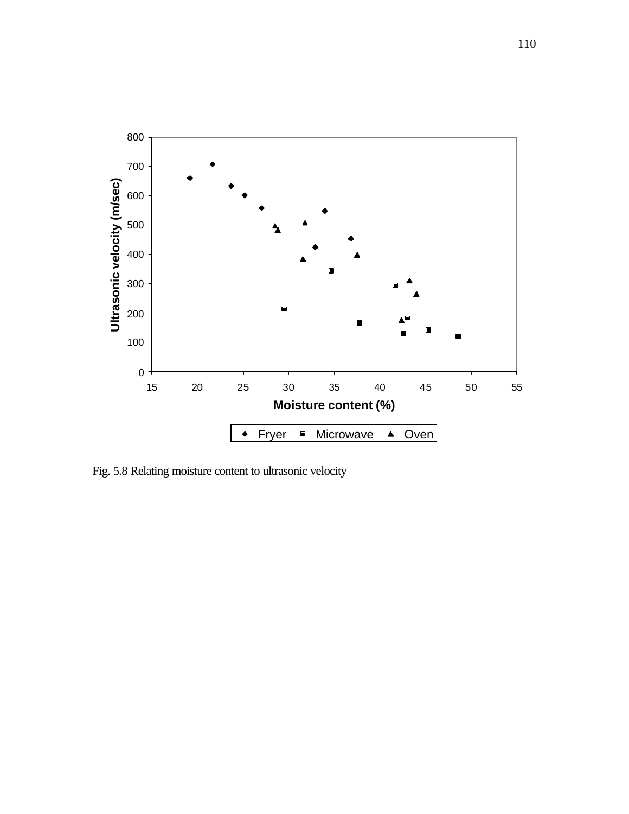

Fig. 5.8 Relating moisture content to ultrasonic velocity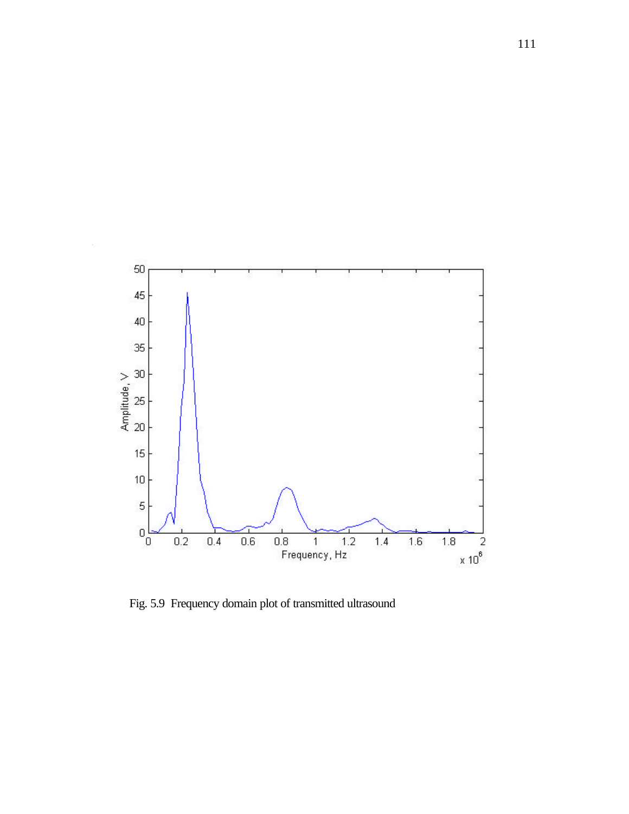

Fig. 5.9 Frequency domain plot of transmitted ultrasound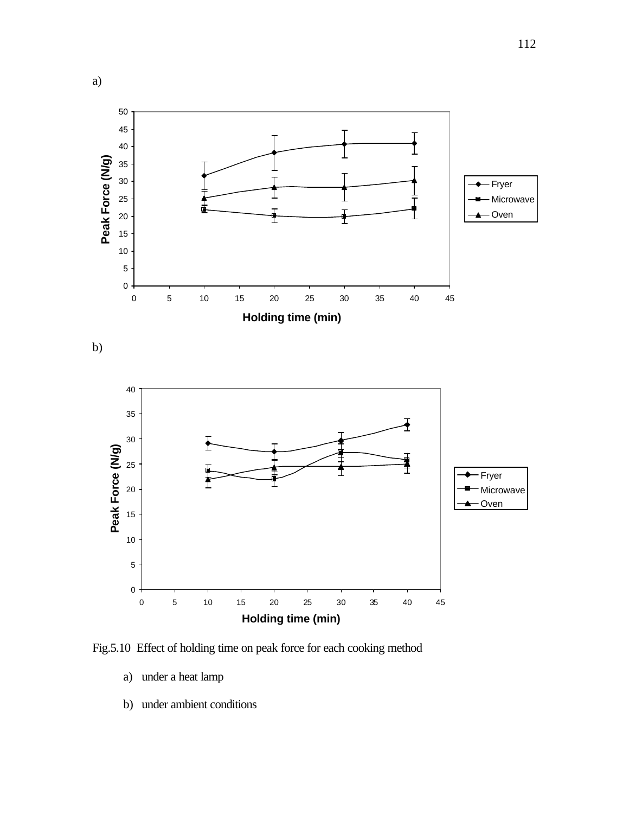

Fig.5.10 Effect of holding time on peak force for each cooking method

- a) under a heat lamp
- b) under ambient conditions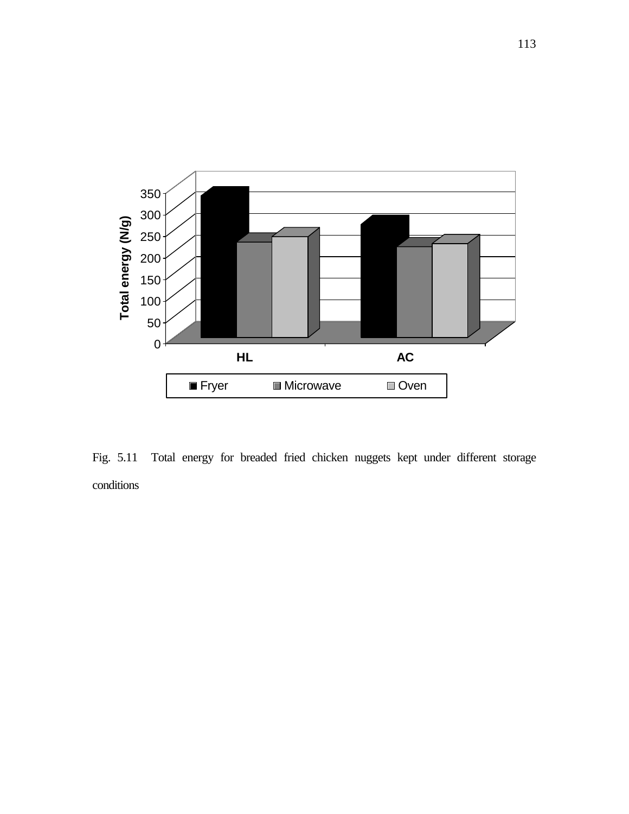

Fig. 5.11 Total energy for breaded fried chicken nuggets kept under different storage conditions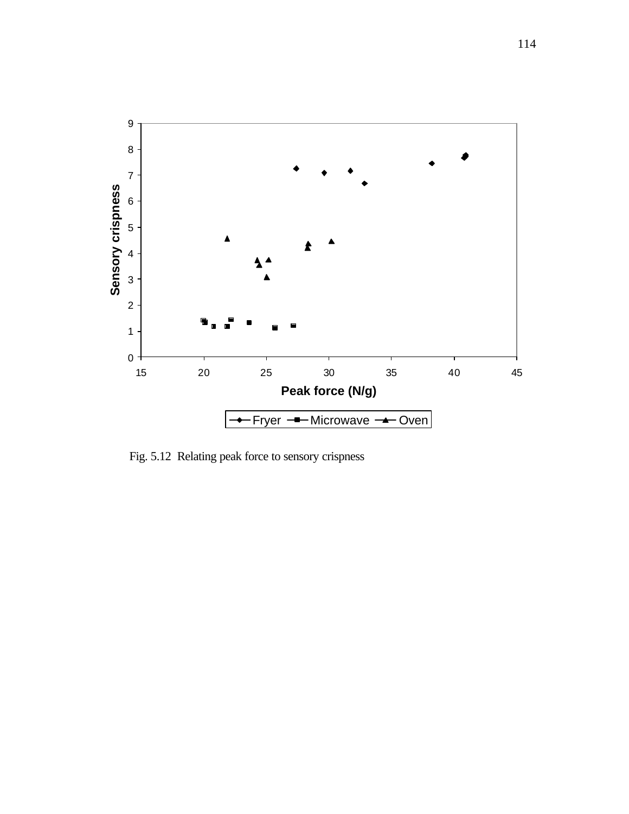

Fig. 5.12 Relating peak force to sensory crispness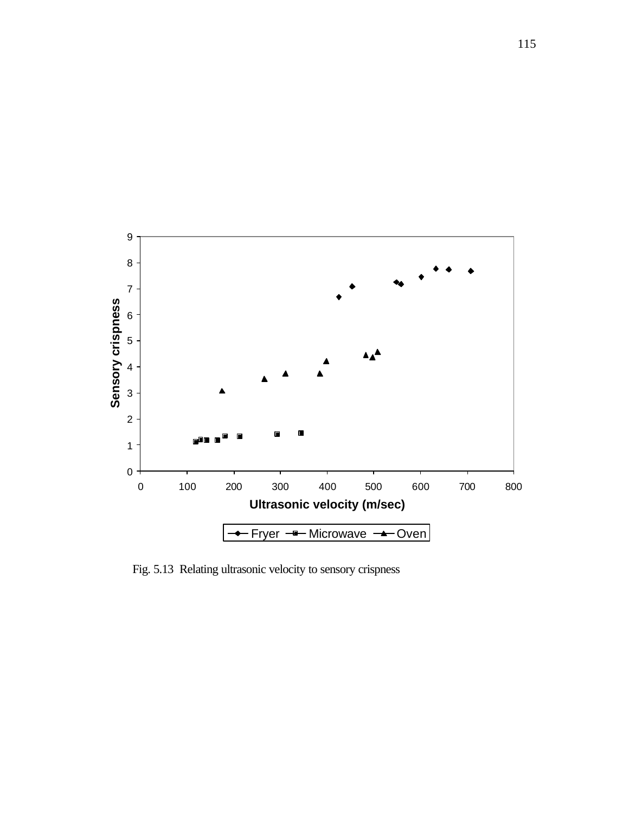

Fig. 5.13 Relating ultrasonic velocity to sensory crispness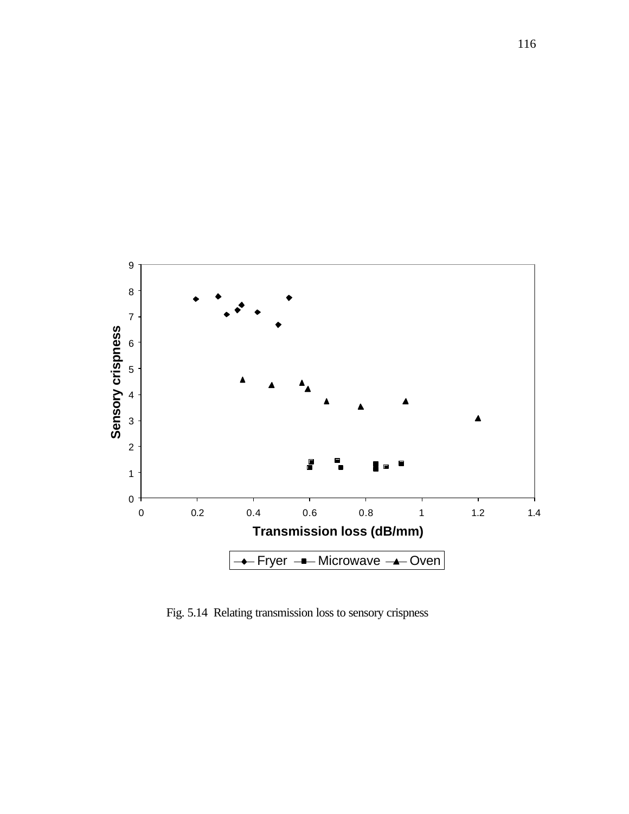

Fig. 5.14 Relating transmission loss to sensory crispness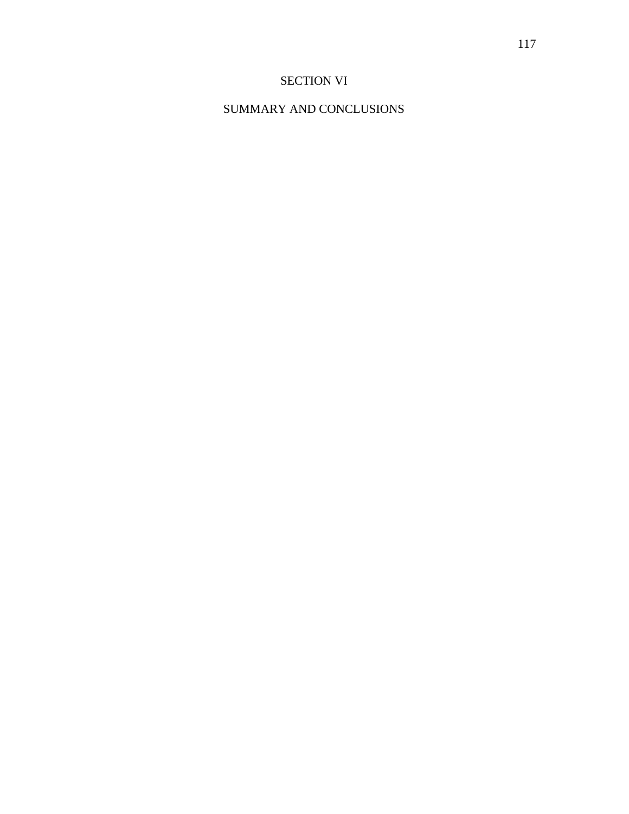# SECTION VI

# SUMMARY AND CONCLUSIONS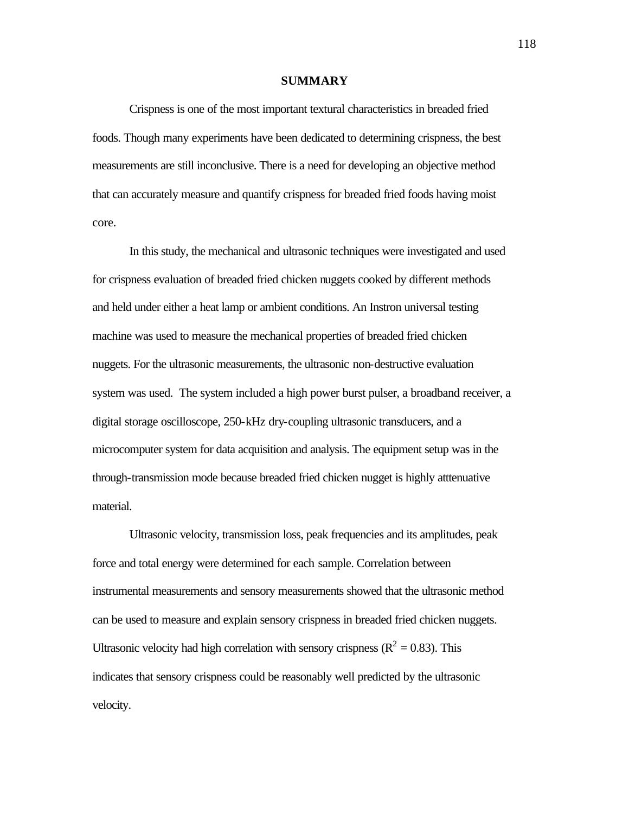#### **SUMMARY**

Crispness is one of the most important textural characteristics in breaded fried foods. Though many experiments have been dedicated to determining crispness, the best measurements are still inconclusive. There is a need for developing an objective method that can accurately measure and quantify crispness for breaded fried foods having moist core.

In this study, the mechanical and ultrasonic techniques were investigated and used for crispness evaluation of breaded fried chicken nuggets cooked by different methods and held under either a heat lamp or ambient conditions. An Instron universal testing machine was used to measure the mechanical properties of breaded fried chicken nuggets. For the ultrasonic measurements, the ultrasonic non-destructive evaluation system was used. The system included a high power burst pulser, a broadband receiver, a digital storage oscilloscope, 250-kHz dry-coupling ultrasonic transducers, and a microcomputer system for data acquisition and analysis. The equipment setup was in the through-transmission mode because breaded fried chicken nugget is highly atttenuative material.

Ultrasonic velocity, transmission loss, peak frequencies and its amplitudes, peak force and total energy were determined for each sample. Correlation between instrumental measurements and sensory measurements showed that the ultrasonic method can be used to measure and explain sensory crispness in breaded fried chicken nuggets. Ultrasonic velocity had high correlation with sensory crispness ( $R^2 = 0.83$ ). This indicates that sensory crispness could be reasonably well predicted by the ultrasonic velocity.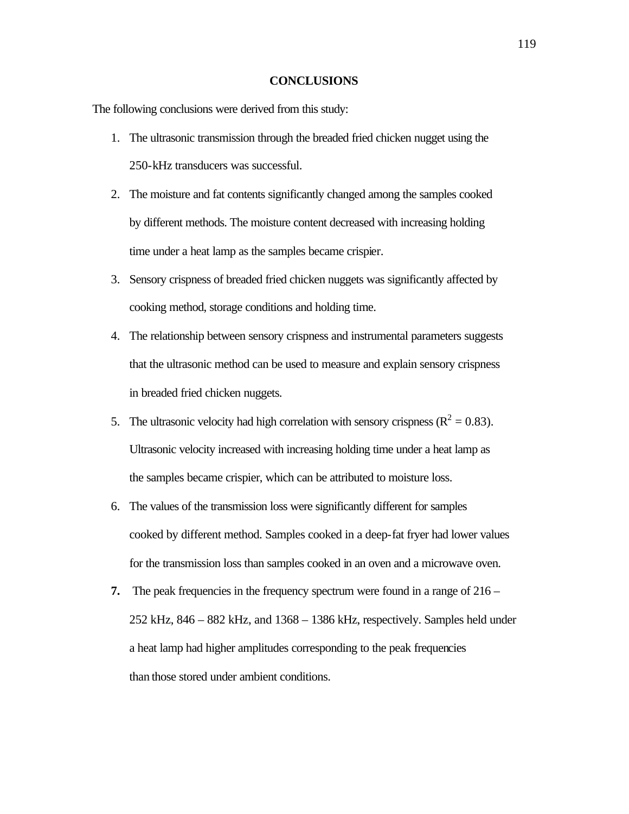#### **CONCLUSIONS**

The following conclusions were derived from this study:

- 1. The ultrasonic transmission through the breaded fried chicken nugget using the 250-kHz transducers was successful.
- 2. The moisture and fat contents significantly changed among the samples cooked by different methods. The moisture content decreased with increasing holding time under a heat lamp as the samples became crispier.
- 3. Sensory crispness of breaded fried chicken nuggets was significantly affected by cooking method, storage conditions and holding time.
- 4. The relationship between sensory crispness and instrumental parameters suggests that the ultrasonic method can be used to measure and explain sensory crispness in breaded fried chicken nuggets.
- 5. The ultrasonic velocity had high correlation with sensory crispness ( $\mathbb{R}^2 = 0.83$ ). Ultrasonic velocity increased with increasing holding time under a heat lamp as the samples became crispier, which can be attributed to moisture loss.
- 6. The values of the transmission loss were significantly different for samples cooked by different method. Samples cooked in a deep-fat fryer had lower values for the transmission loss than samples cooked in an oven and a microwave oven.
- **7.** The peak frequencies in the frequency spectrum were found in a range of 216 252 kHz, 846 – 882 kHz, and 1368 – 1386 kHz, respectively. Samples held under a heat lamp had higher amplitudes corresponding to the peak frequencies than those stored under ambient conditions.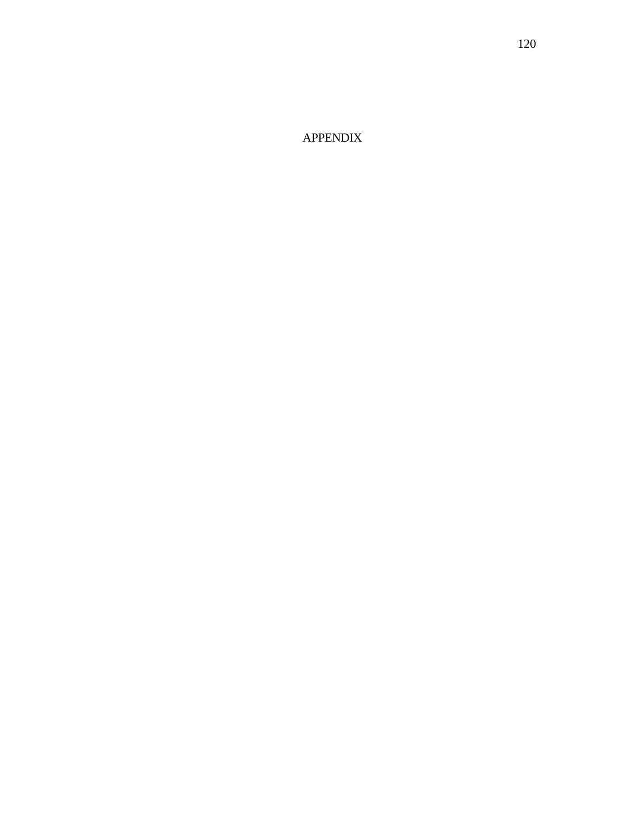APPENDIX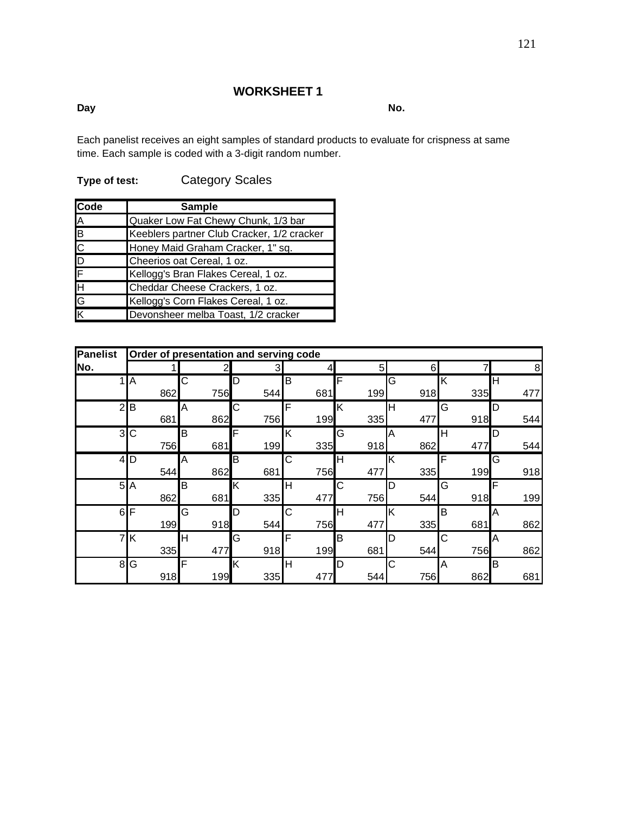#### **Day No.**

Each panelist receives an eight samples of standard products to evaluate for crispness at same time. Each sample is coded with a 3-digit random number.

| Code     | <b>Sample</b>                              |  |  |  |  |
|----------|--------------------------------------------|--|--|--|--|
|          | Quaker Low Fat Chewy Chunk, 1/3 bar        |  |  |  |  |
|          | Keeblers partner Club Cracker, 1/2 cracker |  |  |  |  |
|          | Honey Maid Graham Cracker, 1" sq.          |  |  |  |  |
|          | Cheerios oat Cereal, 1 oz.                 |  |  |  |  |
|          | Kellogg's Bran Flakes Cereal, 1 oz.        |  |  |  |  |
|          | Cheddar Cheese Crackers, 1 oz.             |  |  |  |  |
| ABCDFHGK | Kellogg's Corn Flakes Cereal, 1 oz.        |  |  |  |  |
|          | Devonsheer melba Toast, 1/2 cracker        |  |  |  |  |

**Type of test:** Category Scales

| <b>Panelist</b> | Order of presentation and serving code |     |     |     |     |     |     |     |
|-----------------|----------------------------------------|-----|-----|-----|-----|-----|-----|-----|
| No.             |                                        |     | 3   |     | 5   | 6   |     | 8   |
|                 | A                                      | C   | D   | B   | F   | G   | Κ   | Η   |
|                 | 862                                    | 756 | 544 | 681 | 199 | 918 | 335 | 477 |
| $\overline{2}$  | B                                      | A   | С   | F   | K   | Н   | G   | D   |
|                 | 681                                    | 862 | 756 | 199 | 335 | 477 | 918 | 544 |
| ω               | $\mathsf C$                            | B   | F   | K   | G   | A   | Н   | D   |
|                 | 756                                    | 681 | 199 | 335 | 918 | 862 | 477 | 544 |
| $\overline{4}$  | <b>ID</b>                              | Α   | B   | C   | H   | ΙK  | F   | G   |
|                 | 544                                    | 862 | 681 | 756 | 477 | 335 | 199 | 918 |
| 5               | A                                      | B   | ΙK  | н   | C   | D   | G   | F   |
|                 | 862                                    | 681 | 335 | 477 | 756 | 544 | 918 | 199 |
| 6               | F                                      | G   | D   | C   | Η   | K   | B   | Α   |
|                 | 199                                    | 918 | 544 | 756 | 477 | 335 | 681 | 862 |
| 7               | K                                      | Н   | G   | F   | B   | D   | С   | Α   |
|                 | 335                                    | 477 | 918 | 199 | 681 | 544 | 756 | 862 |
| 8               | G                                      | F   | Κ   | Н   | D   | С   | Α   | B   |
|                 | 918                                    | 199 | 335 | 477 | 544 | 756 | 862 | 681 |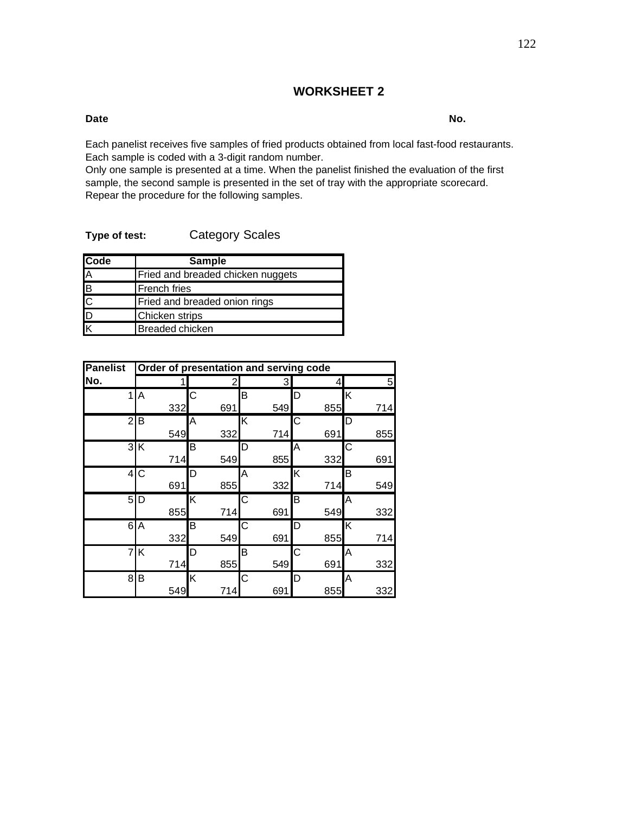#### **Date No.**

Each panelist receives five samples of fried products obtained from local fast-food restaurants. Each sample is coded with a 3-digit random number.

Only one sample is presented at a time. When the panelist finished the evaluation of the first sample, the second sample is presented in the set of tray with the appropriate scorecard. Repear the procedure for the following samples.

| Type of test: | <b>Category Scales</b> |
|---------------|------------------------|
|---------------|------------------------|

| Code                    | <b>Sample</b>                     |
|-------------------------|-----------------------------------|
| $\overline{\mathsf{A}}$ | Fried and breaded chicken nuggets |
| $\overline{\mathsf{B}}$ | <b>French fries</b>               |
| $\overline{\text{c}}$   | Fried and breaded onion rings     |
| $\overline{\mathsf{D}}$ | <b>Chicken strips</b>             |
| K                       | Breaded chicken                   |

| <b>Panelist</b> | Order of presentation and serving code |     |     |     |     |  |
|-----------------|----------------------------------------|-----|-----|-----|-----|--|
| No.             |                                        | 2   | 3   |     | 5   |  |
| 1               | A                                      | C   | B   | D   | Κ   |  |
|                 | 332                                    | 691 | 549 | 855 | 714 |  |
| $\overline{2}$  | B                                      | Α   | Κ   | С   | D   |  |
|                 | 549                                    | 332 | 714 | 691 | 855 |  |
|                 | 3K                                     | Β   | D   | Α   | С   |  |
|                 | 714                                    | 549 | 855 | 332 | 691 |  |
| $\overline{4}$  | IС                                     | D   | Α   | Κ   | в   |  |
|                 | 691                                    | 855 | 332 | 714 | 549 |  |
| 5               | ID                                     | Κ   | С   | B   | Α   |  |
|                 | 855                                    | 714 | 691 | 549 | 332 |  |
| 6               | A                                      | В   | С   | D   | Κ   |  |
|                 | 332                                    | 549 | 691 | 855 | 714 |  |
| $\overline{7}$  | Κ                                      | D   | B   | С   | Α   |  |
|                 | 714                                    | 855 | 549 | 691 | 332 |  |
| 8               | В                                      | Κ   | С   | D   | A   |  |
|                 | 549                                    | 714 | 691 | 855 | 332 |  |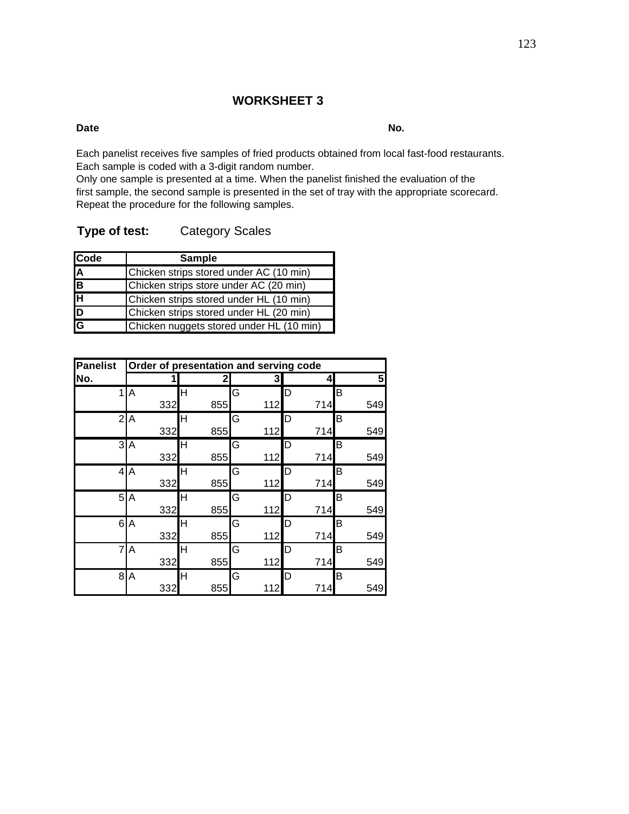#### **Date No.**

Each panelist receives five samples of fried products obtained from local fast-food restaurants. Each sample is coded with a 3-digit random number.

Only one sample is presented at a time. When the panelist finished the evaluation of the first sample, the second sample is presented in the set of tray with the appropriate scorecard. Repeat the procedure for the following samples.

|  | Type of test: | <b>Category Scales</b> |  |
|--|---------------|------------------------|--|
|  |               |                        |  |

| Code                    | <b>Sample</b>                            |
|-------------------------|------------------------------------------|
| $\overline{\mathsf{A}}$ | Chicken strips stored under AC (10 min)  |
| $\overline{\mathsf{B}}$ | Chicken strips store under AC (20 min)   |
| ਜਿ                      | Chicken strips stored under HL (10 min)  |
| $\frac{D}{G}$           | Chicken strips stored under HL (20 min)  |
|                         | Chicken nuggets stored under HL (10 min) |

| <b>Panelist</b> | Order of presentation and serving code |     |     |     |     |
|-----------------|----------------------------------------|-----|-----|-----|-----|
| No.             |                                        | 2   | 3   | 4   | 5   |
| 1               | A                                      | н   | G   | D   | В   |
|                 | 332                                    | 855 | 112 | 714 | 549 |
| $\overline{2}$  | A                                      | Н   | G   | D   | В   |
|                 | 332                                    | 855 | 112 | 714 | 549 |
|                 | $\overline{3}$ A                       | н   | G   | D   | В   |
|                 | 332                                    | 855 | 112 | 714 | 549 |
|                 | $\overline{4}$ A                       | н   | G   | D   | В   |
|                 | 332                                    | 855 | 112 | 714 | 549 |
|                 | 5A                                     | н   | G   | D   | B   |
|                 | 332                                    | 855 | 112 | 714 | 549 |
| 6               | A                                      | H   | G   | D   | B   |
|                 | 332                                    | 855 | 112 | 714 | 549 |
| 7               | A                                      | H   | G   | D   | В   |
|                 | 332                                    | 855 | 112 | 714 | 549 |
| 8               | $\overline{A}$                         | Н   | G   | D   | В   |
|                 | 332                                    | 855 | 112 | 714 | 549 |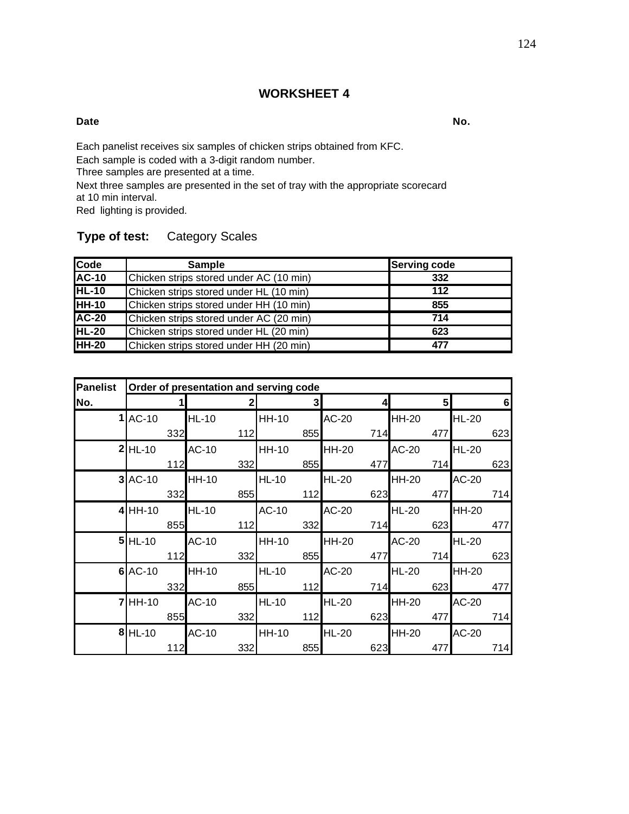#### **Date No.**

Each panelist receives six samples of chicken strips obtained from KFC.

Each sample is coded with a 3-digit random number.

Three samples are presented at a time.

Next three samples are presented in the set of tray with the appropriate scorecard at 10 min interval.

Red lighting is provided.

## **Type of test:** Category Scales

| Code         | Sample                                  | Serving code |
|--------------|-----------------------------------------|--------------|
| <b>AC-10</b> | Chicken strips stored under AC (10 min) | 332          |
| $HL-10$      | Chicken strips stored under HL (10 min) | 112          |
| <b>HH-10</b> | Chicken strips stored under HH (10 min) | 855          |
| <b>AC-20</b> | Chicken strips stored under AC (20 min) | 714          |
| <b>HL-20</b> | Chicken strips stored under HL (20 min) | 623          |
| <b>HH-20</b> | Chicken strips stored under HH (20 min) | 477          |

| <b>Panelist</b> | Order of presentation and serving code |     |              |     |              |     |              |     |              |     |              |     |
|-----------------|----------------------------------------|-----|--------------|-----|--------------|-----|--------------|-----|--------------|-----|--------------|-----|
| No.             |                                        |     |              | 2   |              | 3   |              |     |              | 5   |              | 6   |
|                 | $1$ $AC-10$                            |     | <b>HL-10</b> |     | <b>HH-10</b> |     | AC-20        |     | <b>HH-20</b> |     | <b>HL-20</b> |     |
|                 |                                        | 332 |              | 112 |              | 855 |              | 714 |              | 477 |              | 623 |
|                 | $2$ HL-10                              |     | <b>AC-10</b> |     | <b>HH-10</b> |     | <b>HH-20</b> |     | AC-20        |     | <b>HL-20</b> |     |
|                 |                                        | 112 |              | 332 |              | 855 |              | 477 |              | 714 |              | 623 |
|                 | $3$ AC-10                              |     | <b>HH-10</b> |     | <b>HL-10</b> |     | <b>HL-20</b> |     | <b>HH-20</b> |     | AC-20        |     |
|                 |                                        | 332 |              | 855 |              | 112 |              | 623 |              | 477 |              | 714 |
|                 | $4$ HH-10                              |     | <b>HL-10</b> |     | <b>AC-10</b> |     | AC-20        |     | <b>HL-20</b> |     | <b>HH-20</b> |     |
|                 |                                        | 855 |              | 112 |              | 332 |              | 714 |              | 623 |              | 477 |
|                 | $5$ HL-10                              |     | <b>AC-10</b> |     | <b>HH-10</b> |     | <b>HH-20</b> |     | AC-20        |     | <b>HL-20</b> |     |
|                 |                                        | 112 |              | 332 |              | 855 |              | 477 |              | 714 |              | 623 |
|                 | $6$ $AC-10$                            |     | <b>HH-10</b> |     | <b>HL-10</b> |     | <b>AC-20</b> |     | <b>HL-20</b> |     | <b>HH-20</b> |     |
|                 |                                        | 332 |              | 855 |              | 112 |              | 714 |              | 623 |              | 477 |
|                 | $7$ HH-10                              |     | <b>AC-10</b> |     | <b>HL-10</b> |     | <b>HL-20</b> |     | <b>HH-20</b> |     | AC-20        |     |
|                 |                                        | 855 |              | 332 |              | 112 |              | 623 |              | 477 |              | 714 |
|                 | $8$ HL-10                              |     | <b>AC-10</b> |     | <b>HH-10</b> |     | <b>HL-20</b> |     | <b>HH-20</b> |     | AC-20        |     |
|                 |                                        | 112 |              | 332 |              | 855 |              | 623 |              | 477 |              | 714 |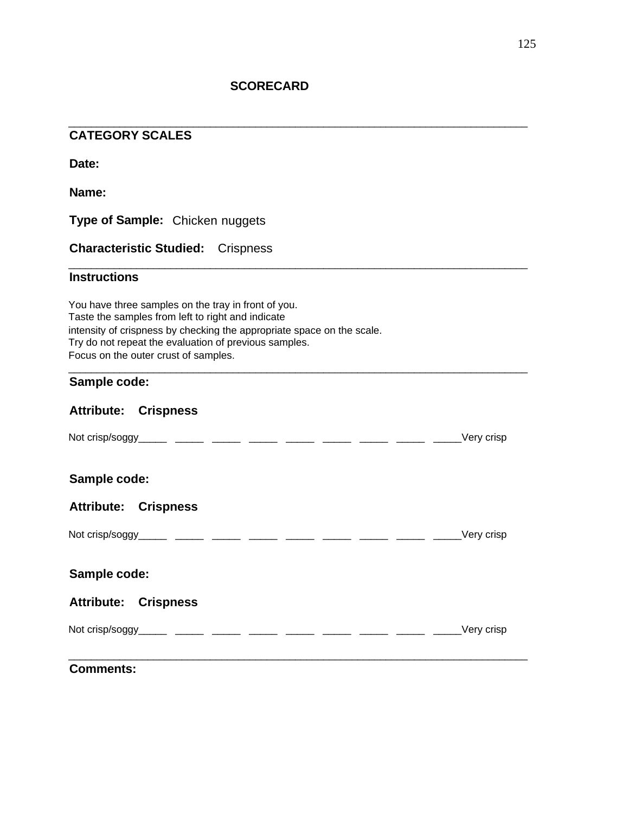**SCORECARD**

| <b>CATEGORY SCALES</b>                                                                                                                                                                                                                                                              |             |
|-------------------------------------------------------------------------------------------------------------------------------------------------------------------------------------------------------------------------------------------------------------------------------------|-------------|
| Date:                                                                                                                                                                                                                                                                               |             |
| Name:                                                                                                                                                                                                                                                                               |             |
| <b>Type of Sample:</b> Chicken nuggets                                                                                                                                                                                                                                              |             |
| <b>Characteristic Studied: Crispness</b>                                                                                                                                                                                                                                            |             |
| <b>Instructions</b>                                                                                                                                                                                                                                                                 |             |
| You have three samples on the tray in front of you.<br>Taste the samples from left to right and indicate<br>intensity of crispness by checking the appropriate space on the scale.<br>Try do not repeat the evaluation of previous samples.<br>Focus on the outer crust of samples. |             |
| Sample code:                                                                                                                                                                                                                                                                        |             |
| <b>Attribute: Crispness</b>                                                                                                                                                                                                                                                         |             |
|                                                                                                                                                                                                                                                                                     | Very crisp_ |
| Sample code:                                                                                                                                                                                                                                                                        |             |
| <b>Attribute: Crispness</b>                                                                                                                                                                                                                                                         |             |
|                                                                                                                                                                                                                                                                                     | Very crisp  |
| Sample code:                                                                                                                                                                                                                                                                        |             |
| <b>Attribute: Crispness</b>                                                                                                                                                                                                                                                         |             |
|                                                                                                                                                                                                                                                                                     | Very crisp  |
| <b>Comments:</b>                                                                                                                                                                                                                                                                    |             |